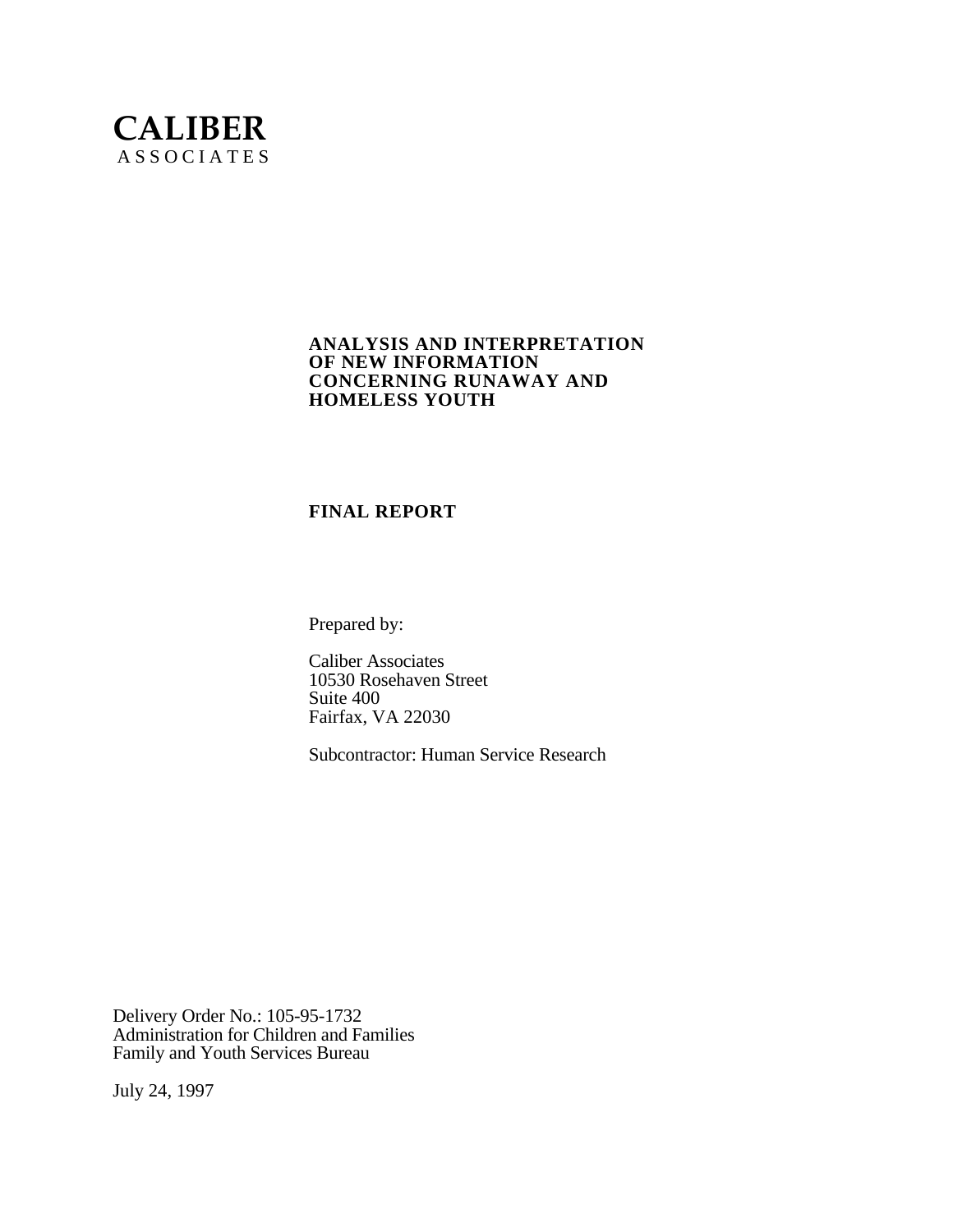# **CALIBER** A S S O C I A T E S

### **ANALYSIS AND INTERPRETATION OF NEW INFORMATION CONCERNING RUNAWAY AND HOMELESS YOUTH**

### **FINAL REPORT**

Prepared by:

Caliber Associates 10530 Rosehaven Street Suite 400 Fairfax, VA 22030

Subcontractor: Human Service Research

Delivery Order No.: 105-95-1732 Administration for Children and Families Family and Youth Services Bureau

July 24, 1997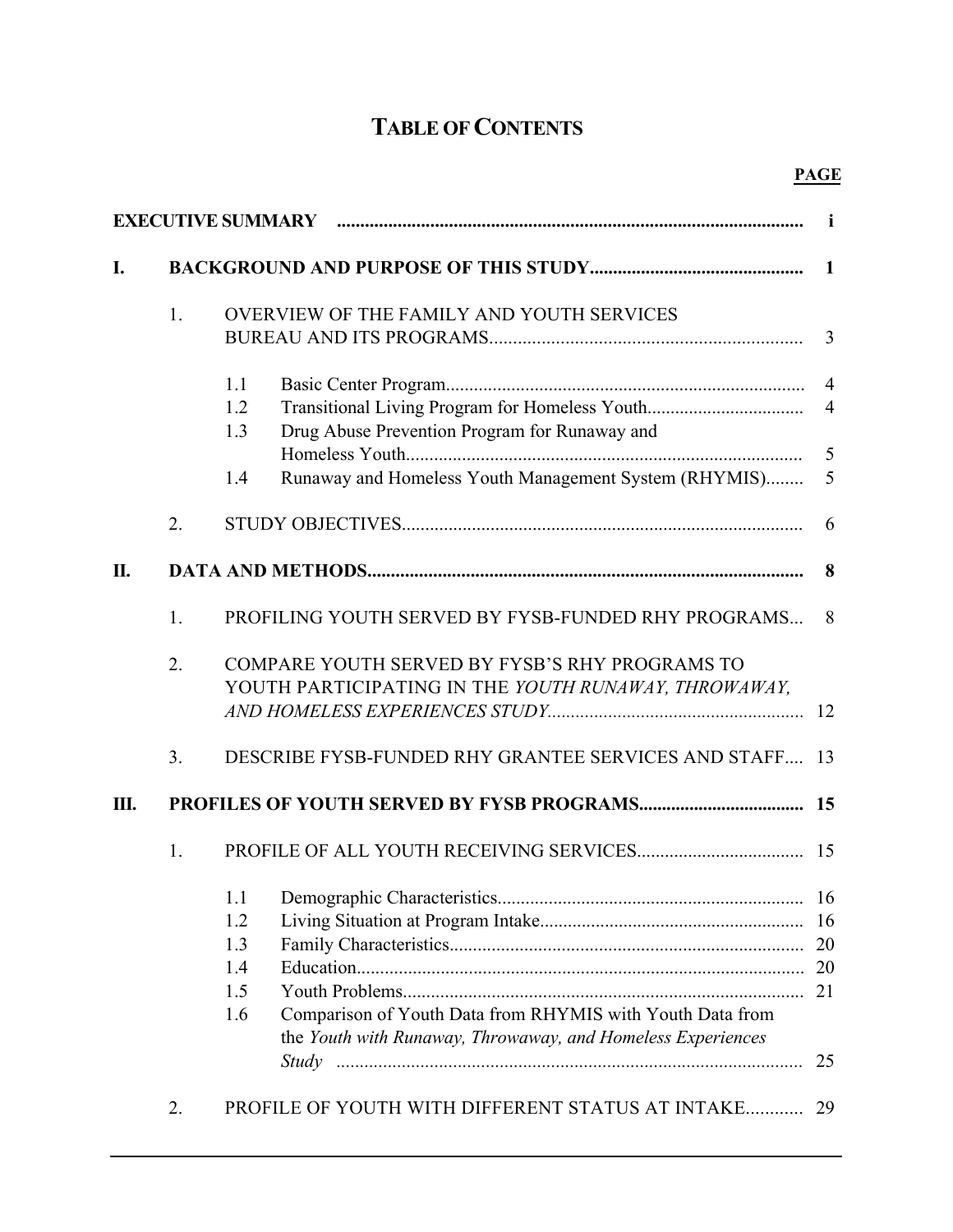# **TABLE OF CONTENTS**

|    |                  | EXECUTIVE SUMMARY manual content contract and the subset of the subset of the subset of the subset of the subset of the subset of the subset of the subset of the subset of the subset of the subset of the subset of the subs | i              |  |  |  |
|----|------------------|--------------------------------------------------------------------------------------------------------------------------------------------------------------------------------------------------------------------------------|----------------|--|--|--|
| I. |                  |                                                                                                                                                                                                                                |                |  |  |  |
|    | 1.               | OVERVIEW OF THE FAMILY AND YOUTH SERVICES                                                                                                                                                                                      | 3              |  |  |  |
|    |                  | 1.1                                                                                                                                                                                                                            |                |  |  |  |
|    |                  | 1.2<br>1.3<br>Drug Abuse Prevention Program for Runaway and                                                                                                                                                                    |                |  |  |  |
|    |                  | Runaway and Homeless Youth Management System (RHYMIS)<br>1.4                                                                                                                                                                   | 5<br>5         |  |  |  |
|    | 2.               |                                                                                                                                                                                                                                | 6              |  |  |  |
| П. |                  |                                                                                                                                                                                                                                | 8              |  |  |  |
|    | 1.               | PROFILING YOUTH SERVED BY FYSB-FUNDED RHY PROGRAMS                                                                                                                                                                             | 8              |  |  |  |
|    | $\overline{2}$ . | COMPARE YOUTH SERVED BY FYSB'S RHY PROGRAMS TO<br>YOUTH PARTICIPATING IN THE YOUTH RUNAWAY, THROWAWAY,                                                                                                                         |                |  |  |  |
|    | 3 <sub>1</sub>   | DESCRIBE FYSB-FUNDED RHY GRANTEE SERVICES AND STAFF 13                                                                                                                                                                         |                |  |  |  |
| Ш. |                  |                                                                                                                                                                                                                                | 15             |  |  |  |
|    | 1.               |                                                                                                                                                                                                                                |                |  |  |  |
|    |                  | 1.2<br>1.3<br>1.4<br>1.5<br>Comparison of Youth Data from RHYMIS with Youth Data from<br>1.6<br>the Youth with Runaway, Throwaway, and Homeless Experiences                                                                    | 16<br>20<br>25 |  |  |  |
|    | 2.               | PROFILE OF YOUTH WITH DIFFERENT STATUS AT INTAKE                                                                                                                                                                               | 29             |  |  |  |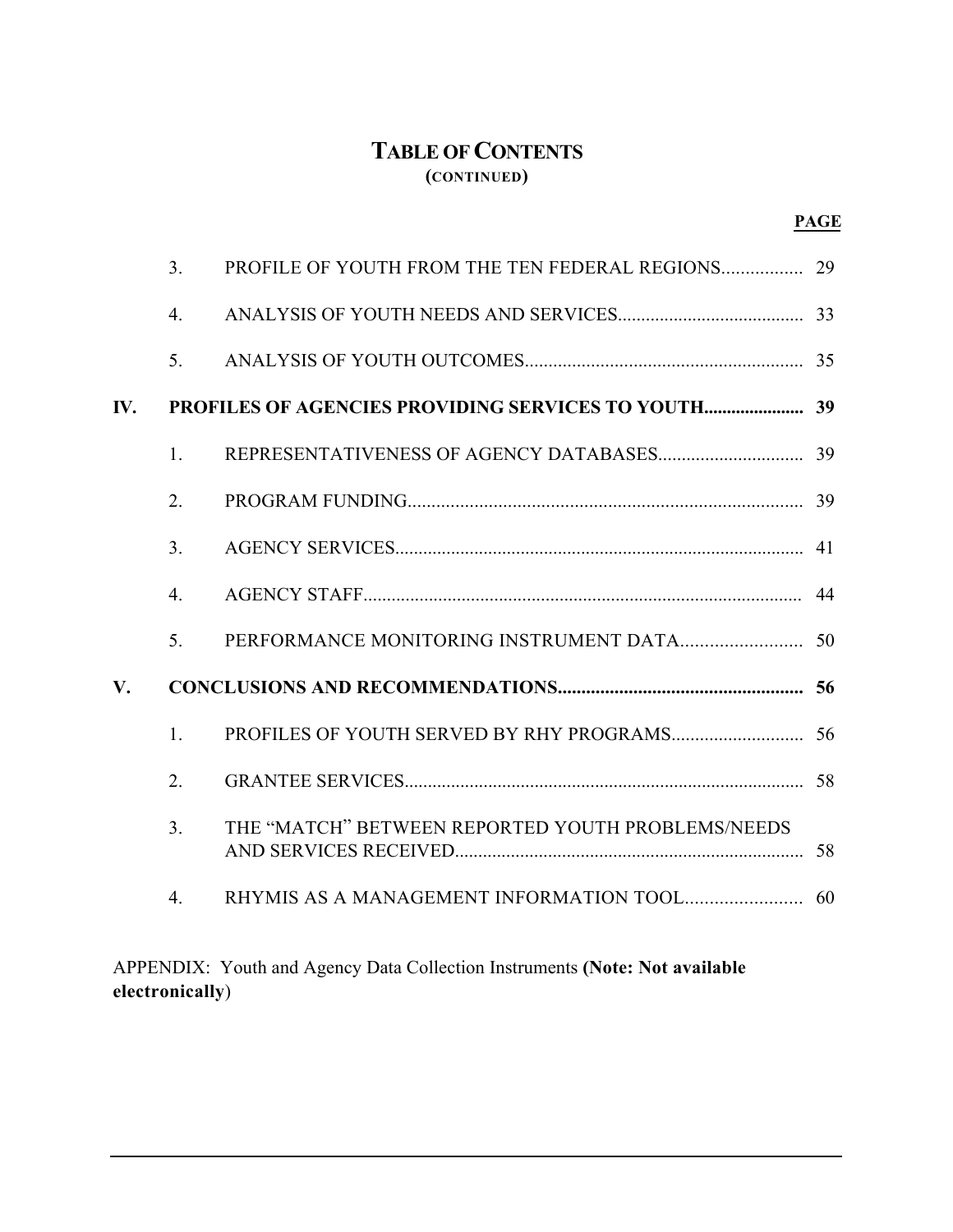# **TABLE OF CONTENTS (CONTINUED)**

|                        | 3 <sub>1</sub>   | PROFILE OF YOUTH FROM THE TEN FEDERAL REGIONS     | 29 |
|------------------------|------------------|---------------------------------------------------|----|
|                        | $\overline{4}$ . |                                                   |    |
|                        | 5.               |                                                   |    |
| IV.                    |                  |                                                   |    |
|                        | $1_{-}$          |                                                   |    |
|                        | $\overline{2}$ . |                                                   |    |
|                        | 3 <sub>1</sub>   |                                                   |    |
|                        | $\overline{4}$ . |                                                   |    |
|                        | 5 <sub>1</sub>   |                                                   |    |
| $\mathbf{V}_{\bullet}$ |                  |                                                   |    |
|                        | 1.               |                                                   |    |
|                        | 2.               |                                                   |    |
|                        | 3 <sub>1</sub>   | THE "MATCH" BETWEEN REPORTED YOUTH PROBLEMS/NEEDS |    |
|                        | $\overline{4}$ . |                                                   |    |

APPENDIX: Youth and Agency Data Collection Instruments **(Note: Not available electronically**)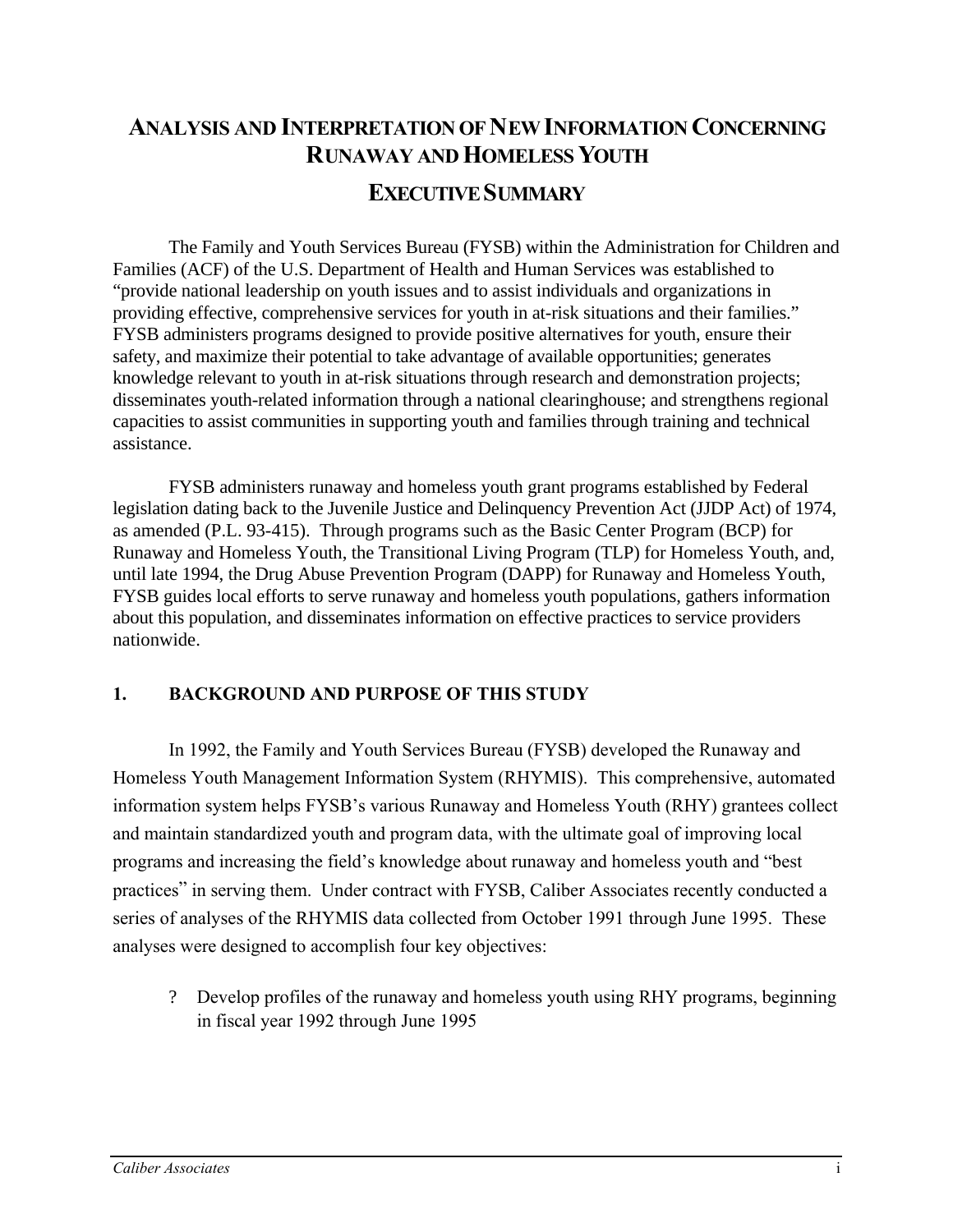# **ANALYSIS AND INTERPRETATION OF NEW INFORMATION CONCERNING RUNAWAY AND HOMELESS YOUTH EXECUTIVE SUMMARY**

The Family and Youth Services Bureau (FYSB) within the Administration for Children and Families (ACF) of the U.S. Department of Health and Human Services was established to "provide national leadership on youth issues and to assist individuals and organizations in providing effective, comprehensive services for youth in at-risk situations and their families." FYSB administers programs designed to provide positive alternatives for youth, ensure their safety, and maximize their potential to take advantage of available opportunities; generates knowledge relevant to youth in at-risk situations through research and demonstration projects; disseminates youth-related information through a national clearinghouse; and strengthens regional capacities to assist communities in supporting youth and families through training and technical assistance.

FYSB administers runaway and homeless youth grant programs established by Federal legislation dating back to the Juvenile Justice and Delinquency Prevention Act (JJDP Act) of 1974, as amended (P.L. 93-415). Through programs such as the Basic Center Program (BCP) for Runaway and Homeless Youth, the Transitional Living Program (TLP) for Homeless Youth, and, until late 1994, the Drug Abuse Prevention Program (DAPP) for Runaway and Homeless Youth, FYSB guides local efforts to serve runaway and homeless youth populations, gathers information about this population, and disseminates information on effective practices to service providers nationwide.

### **1. BACKGROUND AND PURPOSE OF THIS STUDY**

In 1992, the Family and Youth Services Bureau (FYSB) developed the Runaway and Homeless Youth Management Information System (RHYMIS). This comprehensive, automated information system helps FYSB's various Runaway and Homeless Youth (RHY) grantees collect and maintain standardized youth and program data, with the ultimate goal of improving local programs and increasing the field's knowledge about runaway and homeless youth and "best practices" in serving them. Under contract with FYSB, Caliber Associates recently conducted a series of analyses of the RHYMIS data collected from October 1991 through June 1995. These analyses were designed to accomplish four key objectives:

? Develop profiles of the runaway and homeless youth using RHY programs, beginning in fiscal year 1992 through June 1995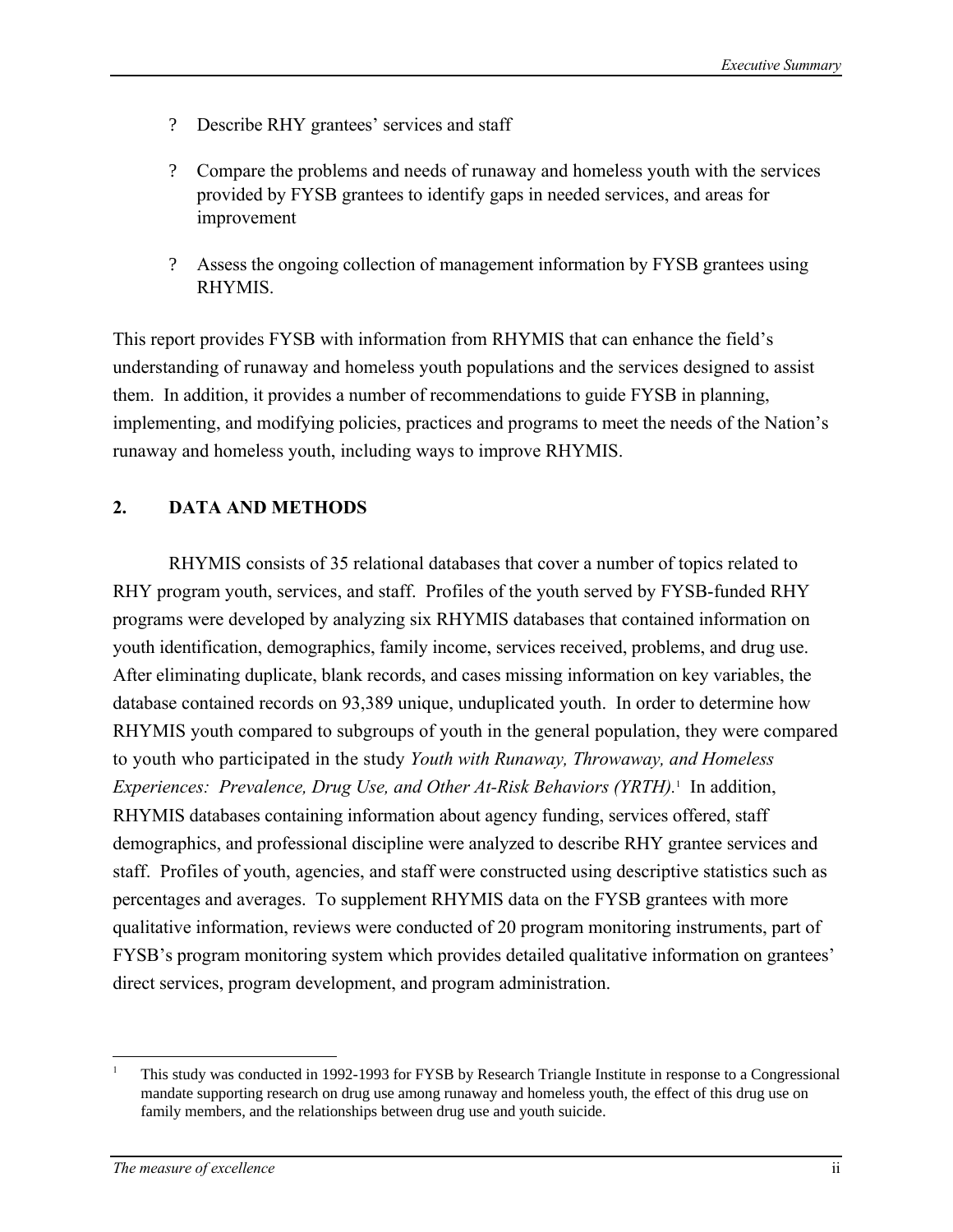- ? Describe RHY grantees' services and staff
- ? Compare the problems and needs of runaway and homeless youth with the services provided by FYSB grantees to identify gaps in needed services, and areas for improvement
- ? Assess the ongoing collection of management information by FYSB grantees using RHYMIS.

This report provides FYSB with information from RHYMIS that can enhance the field's understanding of runaway and homeless youth populations and the services designed to assist them. In addition, it provides a number of recommendations to guide FYSB in planning, implementing, and modifying policies, practices and programs to meet the needs of the Nation's runaway and homeless youth, including ways to improve RHYMIS.

### **2. DATA AND METHODS**

RHYMIS consists of 35 relational databases that cover a number of topics related to RHY program youth, services, and staff. Profiles of the youth served by FYSB-funded RHY programs were developed by analyzing six RHYMIS databases that contained information on youth identification, demographics, family income, services received, problems, and drug use. After eliminating duplicate, blank records, and cases missing information on key variables, the database contained records on 93,389 unique, unduplicated youth. In order to determine how RHYMIS youth compared to subgroups of youth in the general population, they were compared to youth who participated in the study *Youth with Runaway, Throwaway, and Homeless Experiences: Prevalence, Drug Use, and Other At-Risk Behaviors (YRTH).*1 In addition, RHYMIS databases containing information about agency funding, services offered, staff demographics, and professional discipline were analyzed to describe RHY grantee services and staff. Profiles of youth, agencies, and staff were constructed using descriptive statistics such as percentages and averages. To supplement RHYMIS data on the FYSB grantees with more qualitative information, reviews were conducted of 20 program monitoring instruments, part of FYSB's program monitoring system which provides detailed qualitative information on grantees' direct services, program development, and program administration.

 $\overline{a}$ 

This study was conducted in 1992-1993 for FYSB by Research Triangle Institute in response to a Congressional mandate supporting research on drug use among runaway and homeless youth, the effect of this drug use on family members, and the relationships between drug use and youth suicide. 1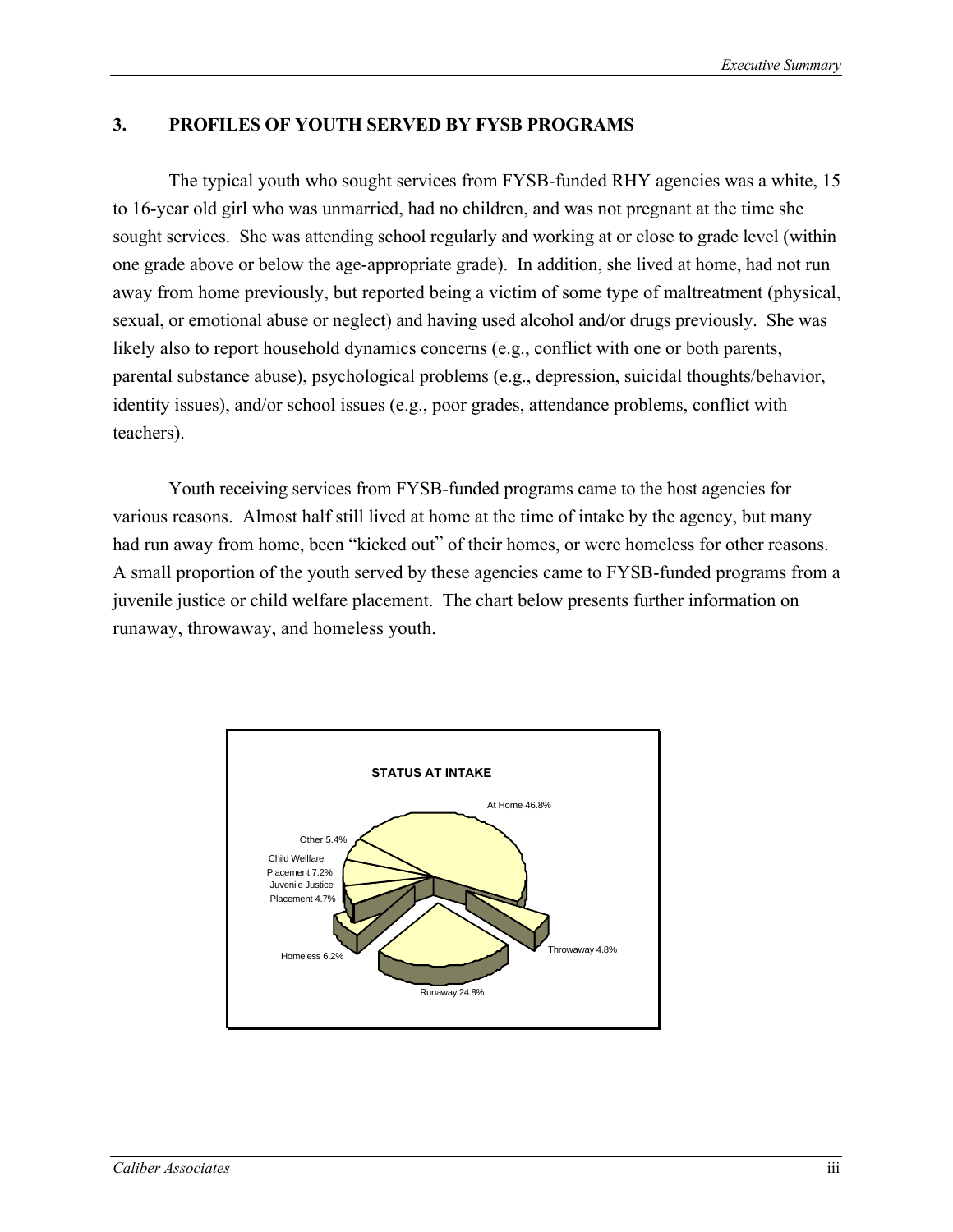### **3. PROFILES OF YOUTH SERVED BY FYSB PROGRAMS**

The typical youth who sought services from FYSB-funded RHY agencies was a white, 15 to 16-year old girl who was unmarried, had no children, and was not pregnant at the time she sought services. She was attending school regularly and working at or close to grade level (within one grade above or below the age-appropriate grade). In addition, she lived at home, had not run away from home previously, but reported being a victim of some type of maltreatment (physical, sexual, or emotional abuse or neglect) and having used alcohol and/or drugs previously. She was likely also to report household dynamics concerns (e.g., conflict with one or both parents, parental substance abuse), psychological problems (e.g., depression, suicidal thoughts/behavior, identity issues), and/or school issues (e.g., poor grades, attendance problems, conflict with teachers).

Youth receiving services from FYSB-funded programs came to the host agencies for various reasons. Almost half still lived at home at the time of intake by the agency, but many had run away from home, been "kicked out" of their homes, or were homeless for other reasons. A small proportion of the youth served by these agencies came to FYSB-funded programs from a juvenile justice or child welfare placement. The chart below presents further information on runaway, throwaway, and homeless youth.

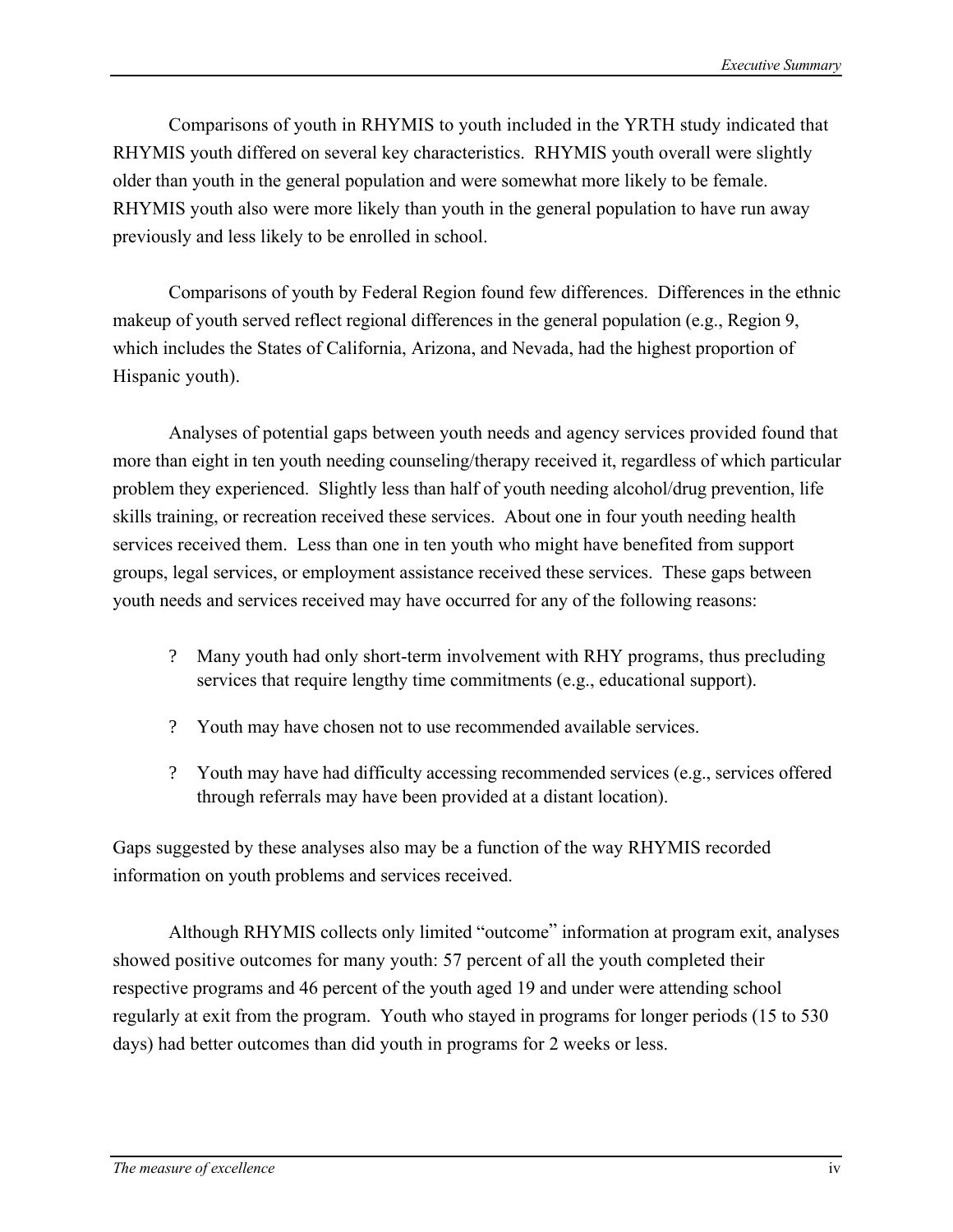Comparisons of youth in RHYMIS to youth included in the YRTH study indicated that RHYMIS youth differed on several key characteristics. RHYMIS youth overall were slightly older than youth in the general population and were somewhat more likely to be female. RHYMIS youth also were more likely than youth in the general population to have run away previously and less likely to be enrolled in school.

Comparisons of youth by Federal Region found few differences. Differences in the ethnic makeup of youth served reflect regional differences in the general population (e.g., Region 9, which includes the States of California, Arizona, and Nevada, had the highest proportion of Hispanic youth).

Analyses of potential gaps between youth needs and agency services provided found that more than eight in ten youth needing counseling/therapy received it, regardless of which particular problem they experienced. Slightly less than half of youth needing alcohol/drug prevention, life skills training, or recreation received these services. About one in four youth needing health services received them. Less than one in ten youth who might have benefited from support groups, legal services, or employment assistance received these services. These gaps between youth needs and services received may have occurred for any of the following reasons:

- ? Many youth had only short-term involvement with RHY programs, thus precluding services that require lengthy time commitments (e.g., educational support).
- ? Youth may have chosen not to use recommended available services.
- ? Youth may have had difficulty accessing recommended services (e.g., services offered through referrals may have been provided at a distant location).

Gaps suggested by these analyses also may be a function of the way RHYMIS recorded information on youth problems and services received.

Although RHYMIS collects only limited "outcome" information at program exit, analyses showed positive outcomes for many youth: 57 percent of all the youth completed their respective programs and 46 percent of the youth aged 19 and under were attending school regularly at exit from the program. Youth who stayed in programs for longer periods (15 to 530 days) had better outcomes than did youth in programs for 2 weeks or less.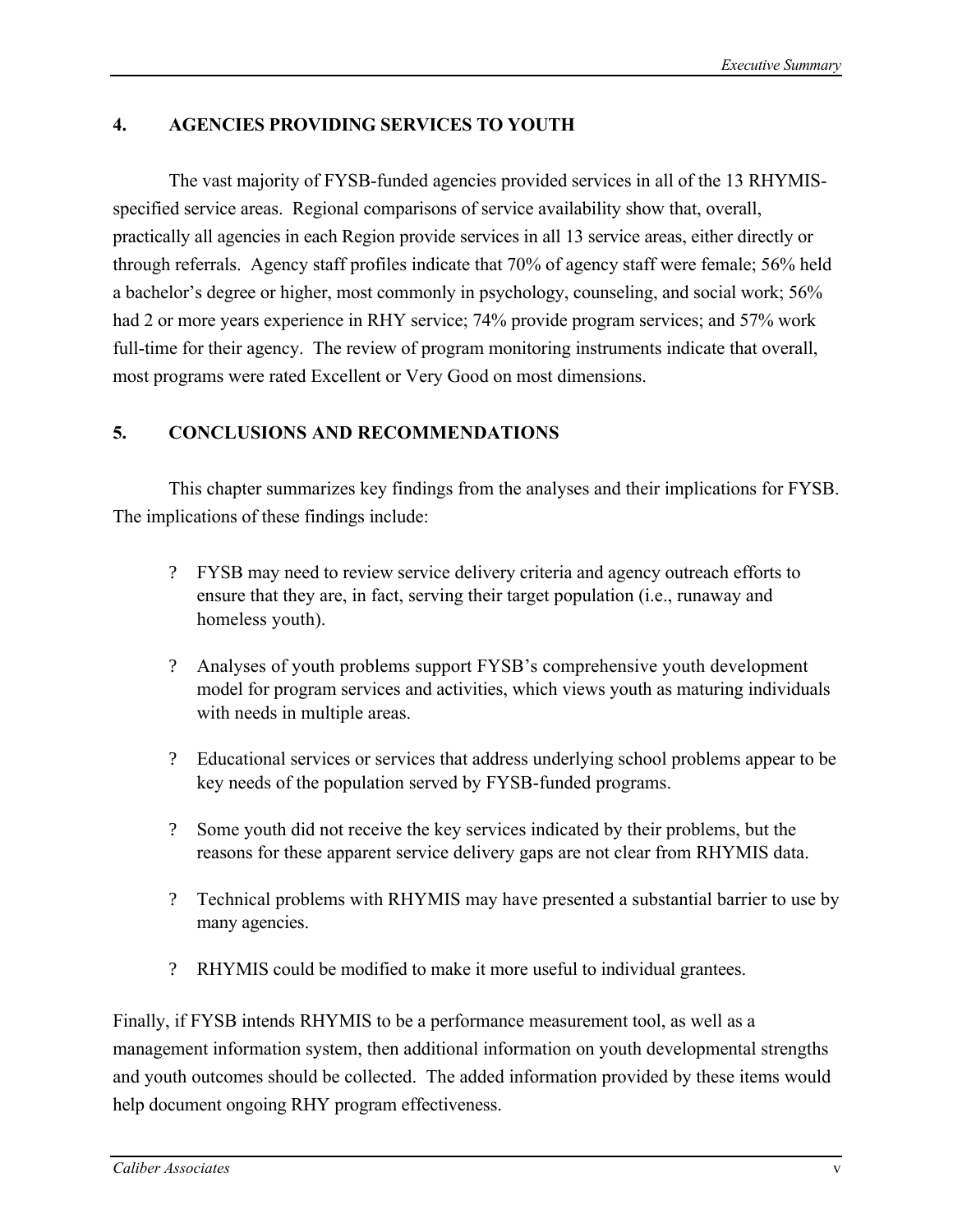# **4. AGENCIES PROVIDING SERVICES TO YOUTH**

The vast majority of FYSB-funded agencies provided services in all of the 13 RHYMISspecified service areas. Regional comparisons of service availability show that, overall, practically all agencies in each Region provide services in all 13 service areas, either directly or through referrals. Agency staff profiles indicate that 70% of agency staff were female; 56% held a bachelor's degree or higher, most commonly in psychology, counseling, and social work; 56% had 2 or more years experience in RHY service; 74% provide program services; and 57% work full-time for their agency. The review of program monitoring instruments indicate that overall, most programs were rated Excellent or Very Good on most dimensions.

## **5. CONCLUSIONS AND RECOMMENDATIONS**

This chapter summarizes key findings from the analyses and their implications for FYSB. The implications of these findings include:

- ? FYSB may need to review service delivery criteria and agency outreach efforts to ensure that they are, in fact, serving their target population (i.e., runaway and homeless youth).
- ? Analyses of youth problems support FYSB's comprehensive youth development model for program services and activities, which views youth as maturing individuals with needs in multiple areas.
- ? Educational services or services that address underlying school problems appear to be key needs of the population served by FYSB-funded programs.
- ? Some youth did not receive the key services indicated by their problems, but the reasons for these apparent service delivery gaps are not clear from RHYMIS data.
- ? Technical problems with RHYMIS may have presented a substantial barrier to use by many agencies.
- ? RHYMIS could be modified to make it more useful to individual grantees.

Finally, if FYSB intends RHYMIS to be a performance measurement tool, as well as a management information system, then additional information on youth developmental strengths and youth outcomes should be collected. The added information provided by these items would help document ongoing RHY program effectiveness.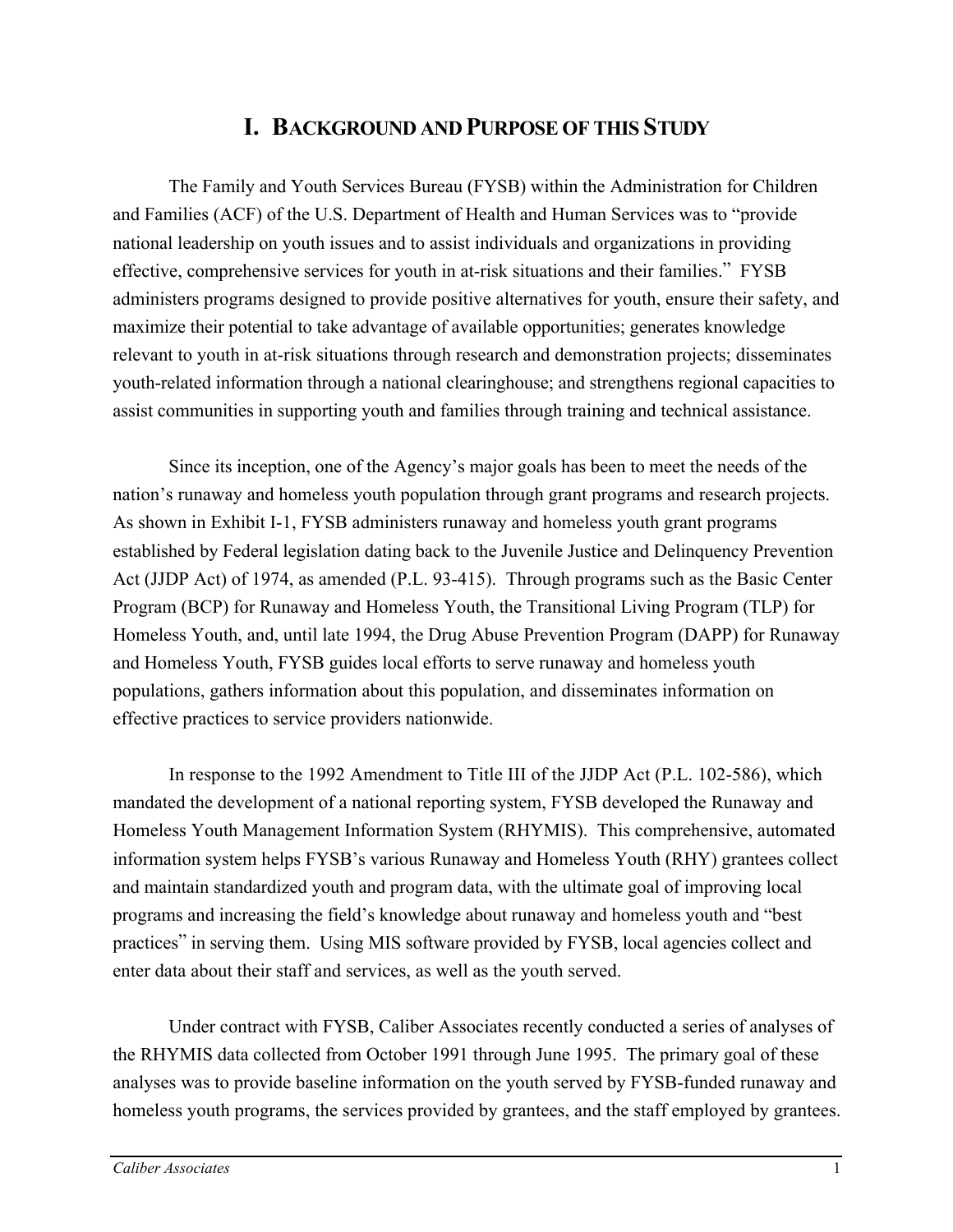# **I. BACKGROUND AND PURPOSE OF THIS STUDY**

<span id="page-8-0"></span>The Family and Youth Services Bureau (FYSB) within the Administration for Children and Families (ACF) of the U.S. Department of Health and Human Services was to "provide national leadership on youth issues and to assist individuals and organizations in providing effective, comprehensive services for youth in at-risk situations and their families." FYSB administers programs designed to provide positive alternatives for youth, ensure their safety, and maximize their potential to take advantage of available opportunities; generates knowledge relevant to youth in at-risk situations through research and demonstration projects; disseminates youth-related information through a national clearinghouse; and strengthens regional capacities to assist communities in supporting youth and families through training and technical assistance.

Since its inception, one of the Agency's major goals has been to meet the needs of the nation's runaway and homeless youth population through grant programs and research projects. As shown in Exhibit I-1, FYSB administers runaway and homeless youth grant programs established by Federal legislation dating back to the Juvenile Justice and Delinquency Prevention Act (JJDP Act) of 1974, as amended (P.L. 93-415). Through programs such as the Basic Center Program (BCP) for Runaway and Homeless Youth, the Transitional Living Program (TLP) for Homeless Youth, and, until late 1994, the Drug Abuse Prevention Program (DAPP) for Runaway and Homeless Youth, FYSB guides local efforts to serve runaway and homeless youth populations, gathers information about this population, and disseminates information on effective practices to service providers nationwide.

In response to the 1992 Amendment to Title III of the JJDP Act (P.L. 102-586), which mandated the development of a national reporting system, FYSB developed the Runaway and Homeless Youth Management Information System (RHYMIS). This comprehensive, automated information system helps FYSB's various Runaway and Homeless Youth (RHY) grantees collect and maintain standardized youth and program data, with the ultimate goal of improving local programs and increasing the field's knowledge about runaway and homeless youth and "best practices" in serving them. Using MIS software provided by FYSB, local agencies collect and enter data about their staff and services, as well as the youth served.

Under contract with FYSB, Caliber Associates recently conducted a series of analyses of the RHYMIS data collected from October 1991 through June 1995. The primary goal of these analyses was to provide baseline information on the youth served by FYSB-funded runaway and homeless youth programs, the services provided by grantees, and the staff employed by grantees.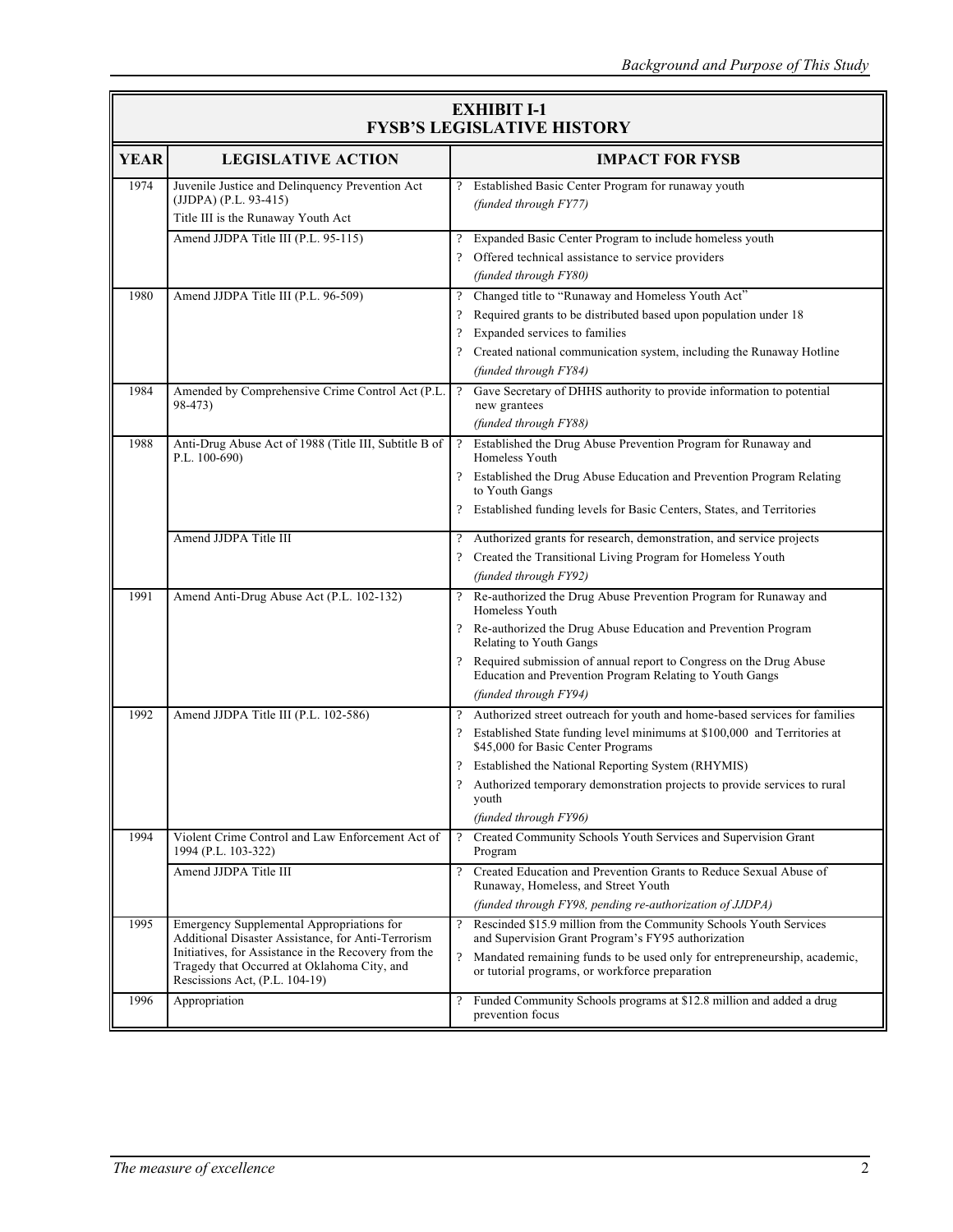| <b>EXHIBIT I-1</b>                |
|-----------------------------------|
| <b>FYSB'S LEGISLATIVE HISTORY</b> |

|             | FYSB'S LEGISLATIVE HISTORY                                                                                                            |                          |                                                                                                                                  |  |  |  |
|-------------|---------------------------------------------------------------------------------------------------------------------------------------|--------------------------|----------------------------------------------------------------------------------------------------------------------------------|--|--|--|
| <b>YEAR</b> | <b>LEGISLATIVE ACTION</b>                                                                                                             |                          | <b>IMPACT FOR FYSB</b>                                                                                                           |  |  |  |
| 1974        | Juvenile Justice and Delinquency Prevention Act<br>(JJDPA) (P.L. 93-415)                                                              |                          | ? Established Basic Center Program for runaway youth<br>(funded through FY77)                                                    |  |  |  |
|             | Title III is the Runaway Youth Act                                                                                                    |                          |                                                                                                                                  |  |  |  |
|             | Amend JJDPA Title III (P.L. 95-115)                                                                                                   |                          | Expanded Basic Center Program to include homeless youth                                                                          |  |  |  |
|             |                                                                                                                                       |                          | Offered technical assistance to service providers<br>(funded through FY80)                                                       |  |  |  |
| 1980        | Amend JJDPA Title III (P.L. 96-509)                                                                                                   | $\overline{\cdot}$       | Changed title to "Runaway and Homeless Youth Act"                                                                                |  |  |  |
|             |                                                                                                                                       | $\cdot$                  | Required grants to be distributed based upon population under 18                                                                 |  |  |  |
|             |                                                                                                                                       | $\cdot$                  | Expanded services to families                                                                                                    |  |  |  |
|             |                                                                                                                                       |                          | Created national communication system, including the Runaway Hotline                                                             |  |  |  |
| 1984        |                                                                                                                                       |                          | (funded through FY84)                                                                                                            |  |  |  |
|             | Amended by Comprehensive Crime Control Act (P.L.<br>98-473)                                                                           | $\overline{\mathcal{L}}$ | Gave Secretary of DHHS authority to provide information to potential<br>new grantees                                             |  |  |  |
|             |                                                                                                                                       |                          | (funded through FY88)                                                                                                            |  |  |  |
| 1988        | Anti-Drug Abuse Act of 1988 (Title III, Subtitle B of<br>P.L. $100-690$ )                                                             | $\overline{\cdot}$       | Established the Drug Abuse Prevention Program for Runaway and<br>Homeless Youth                                                  |  |  |  |
|             |                                                                                                                                       |                          | ? Established the Drug Abuse Education and Prevention Program Relating<br>to Youth Gangs                                         |  |  |  |
|             |                                                                                                                                       |                          | Established funding levels for Basic Centers, States, and Territories                                                            |  |  |  |
|             | Amend JJDPA Title III                                                                                                                 |                          | ? Authorized grants for research, demonstration, and service projects                                                            |  |  |  |
|             |                                                                                                                                       |                          | Created the Transitional Living Program for Homeless Youth                                                                       |  |  |  |
|             |                                                                                                                                       |                          | (funded through FY92)                                                                                                            |  |  |  |
| 1991        | Amend Anti-Drug Abuse Act (P.L. 102-132)                                                                                              | $\overline{\mathcal{E}}$ | Re-authorized the Drug Abuse Prevention Program for Runaway and<br>Homeless Youth                                                |  |  |  |
|             |                                                                                                                                       |                          | ? Re-authorized the Drug Abuse Education and Prevention Program<br>Relating to Youth Gangs                                       |  |  |  |
|             |                                                                                                                                       |                          | ? Required submission of annual report to Congress on the Drug Abuse<br>Education and Prevention Program Relating to Youth Gangs |  |  |  |
|             |                                                                                                                                       |                          | (funded through FY94)                                                                                                            |  |  |  |
| 1992        | Amend JJDPA Title III (P.L. 102-586)                                                                                                  | $\overline{?}$           | Authorized street outreach for youth and home-based services for families                                                        |  |  |  |
|             |                                                                                                                                       |                          | Established State funding level minimums at \$100,000 and Territories at<br>\$45,000 for Basic Center Programs                   |  |  |  |
|             |                                                                                                                                       |                          | Established the National Reporting System (RHYMIS)                                                                               |  |  |  |
|             |                                                                                                                                       |                          | Authorized temporary demonstration projects to provide services to rural<br>youth                                                |  |  |  |
|             |                                                                                                                                       |                          | (funded through FY96)                                                                                                            |  |  |  |
| 1994        | Violent Crime Control and Law Enforcement Act of<br>1994 (P.L. 103-322)                                                               | $\overline{\mathcal{L}}$ | Created Community Schools Youth Services and Supervision Grant<br>Program                                                        |  |  |  |
|             | Amend JJDPA Title III                                                                                                                 | $\overline{?}$           | Created Education and Prevention Grants to Reduce Sexual Abuse of                                                                |  |  |  |
|             |                                                                                                                                       |                          | Runaway, Homeless, and Street Youth<br>(funded through FY98, pending re-authorization of JJDPA)                                  |  |  |  |
| 1995        | Emergency Supplemental Appropriations for<br>Additional Disaster Assistance, for Anti-Terrorism                                       | $\gamma$                 | Rescinded \$15.9 million from the Community Schools Youth Services<br>and Supervision Grant Program's FY95 authorization         |  |  |  |
|             | Initiatives, for Assistance in the Recovery from the<br>Tragedy that Occurred at Oklahoma City, and<br>Rescissions Act, (P.L. 104-19) | $\overline{?}$           | Mandated remaining funds to be used only for entrepreneurship, academic,<br>or tutorial programs, or workforce preparation       |  |  |  |
| 1996        | Appropriation                                                                                                                         | $\overline{?}$           | Funded Community Schools programs at \$12.8 million and added a drug<br>prevention focus                                         |  |  |  |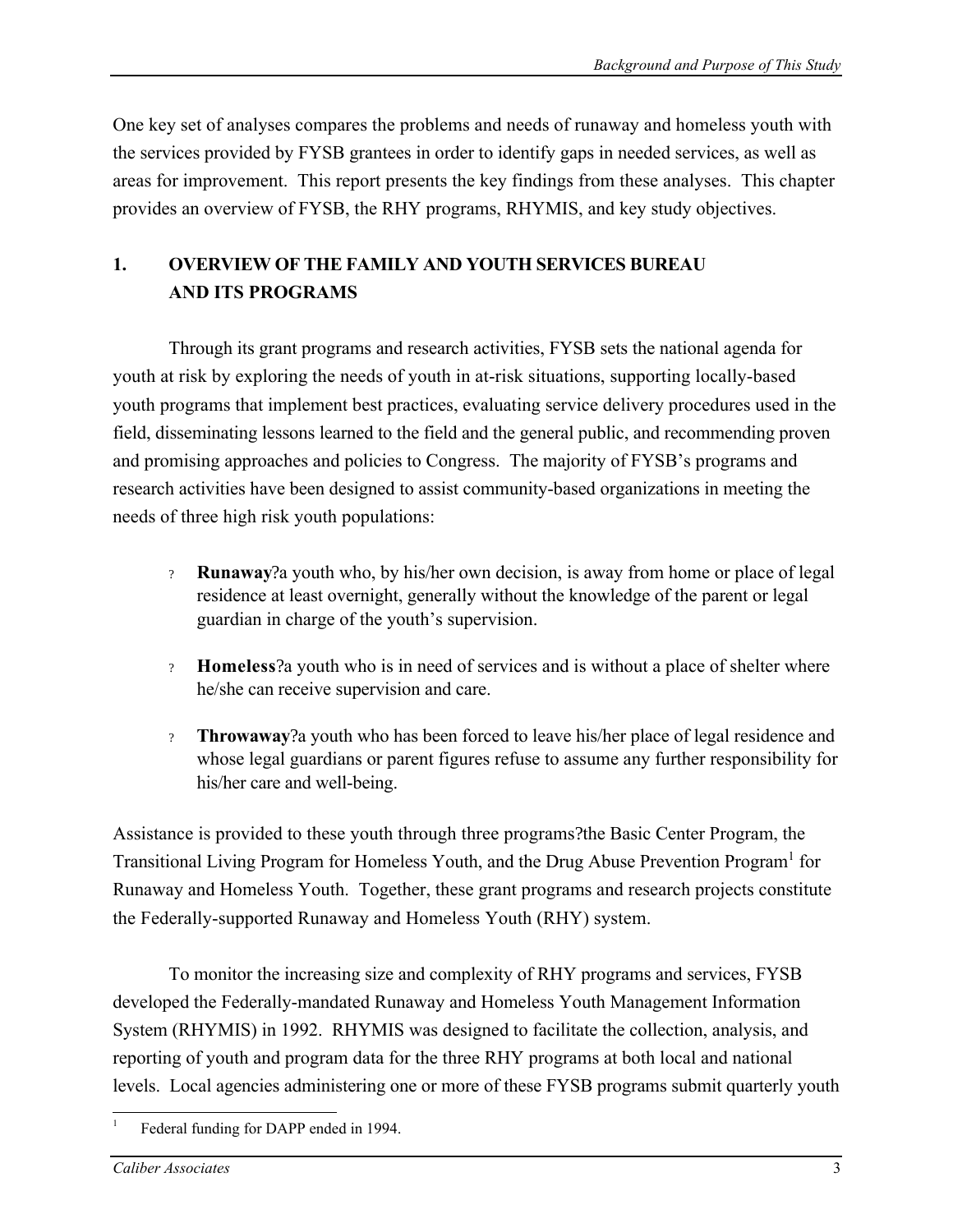One key set of analyses compares the problems and needs of runaway and homeless youth with the services provided by FYSB grantees in order to identify gaps in needed services, as well as areas for improvement. This report presents the key findings from these analyses. This chapter provides an overview of FYSB, the RHY programs, RHYMIS, and key study objectives.

# **1. OVERVIEW OF THE FAMILY AND YOUTH SERVICES BUREAU AND ITS PROGRAMS**

Through its grant programs and research activities, FYSB sets the national agenda for youth at risk by exploring the needs of youth in at-risk situations, supporting locally-based youth programs that implement best practices, evaluating service delivery procedures used in the field, disseminating lessons learned to the field and the general public, and recommending proven and promising approaches and policies to Congress. The majority of FYSB's programs and research activities have been designed to assist community-based organizations in meeting the needs of three high risk youth populations:

- ? **Runaway**?a youth who, by his/her own decision, is away from home or place of legal residence at least overnight, generally without the knowledge of the parent or legal guardian in charge of the youth's supervision.
- ? **Homeless**?a youth who is in need of services and is without a place of shelter where he/she can receive supervision and care.
- ? **Throwaway**?a youth who has been forced to leave his/her place of legal residence and whose legal guardians or parent figures refuse to assume any further responsibility for his/her care and well-being.

Assistance is provided to these youth through three programs?the Basic Center Program, the Transitional Living Program for Homeless Youth, and the Drug Abuse Prevention Program<sup>1</sup> for Runaway and Homeless Youth. Together, these grant programs and research projects constitute the Federally-supported Runaway and Homeless Youth (RHY) system.

To monitor the increasing size and complexity of RHY programs and services, FYSB developed the Federally-mandated Runaway and Homeless Youth Management Information System (RHYMIS) in 1992. RHYMIS was designed to facilitate the collection, analysis, and reporting of youth and program data for the three RHY programs at both local and national levels. Local agencies administering one or more of these FYSB programs submit quarterly youth

 $\overline{a}$ 

1

Federal funding for DAPP ended in 1994.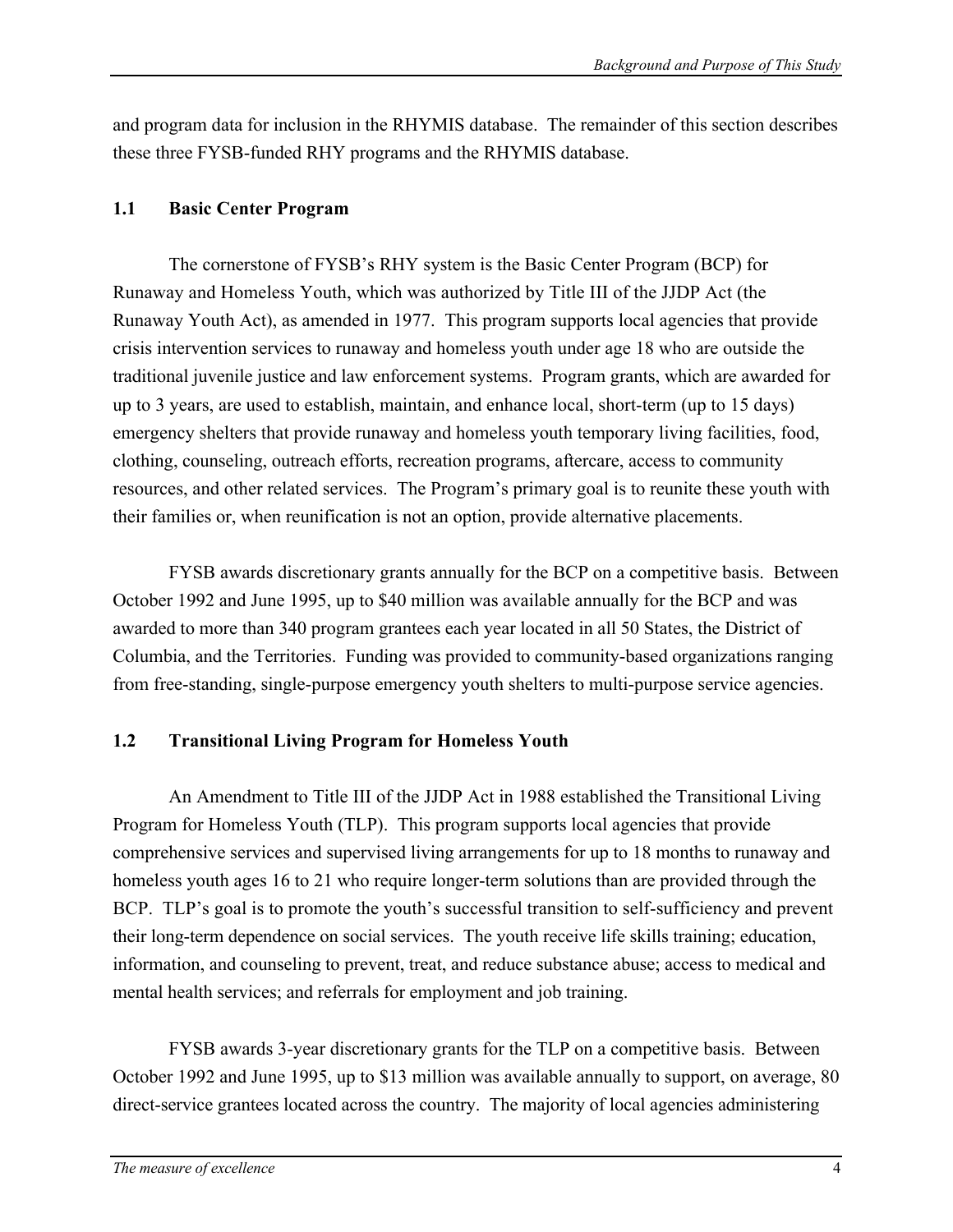and program data for inclusion in the RHYMIS database. The remainder of this section describes these three FYSB-funded RHY programs and the RHYMIS database.

### **1.1 Basic Center Program**

The cornerstone of FYSB's RHY system is the Basic Center Program (BCP) for Runaway and Homeless Youth, which was authorized by Title III of the JJDP Act (the Runaway Youth Act), as amended in 1977. This program supports local agencies that provide crisis intervention services to runaway and homeless youth under age 18 who are outside the traditional juvenile justice and law enforcement systems. Program grants, which are awarded for up to 3 years, are used to establish, maintain, and enhance local, short-term (up to 15 days) emergency shelters that provide runaway and homeless youth temporary living facilities, food, clothing, counseling, outreach efforts, recreation programs, aftercare, access to community resources, and other related services. The Program's primary goal is to reunite these youth with their families or, when reunification is not an option, provide alternative placements.

FYSB awards discretionary grants annually for the BCP on a competitive basis. Between October 1992 and June 1995, up to \$40 million was available annually for the BCP and was awarded to more than 340 program grantees each year located in all 50 States, the District of Columbia, and the Territories. Funding was provided to community-based organizations ranging from free-standing, single-purpose emergency youth shelters to multi-purpose service agencies.

# **1.2 Transitional Living Program for Homeless Youth**

An Amendment to Title III of the JJDP Act in 1988 established the Transitional Living Program for Homeless Youth (TLP). This program supports local agencies that provide comprehensive services and supervised living arrangements for up to 18 months to runaway and homeless youth ages 16 to 21 who require longer-term solutions than are provided through the BCP. TLP's goal is to promote the youth's successful transition to self-sufficiency and prevent their long-term dependence on social services. The youth receive life skills training; education, information, and counseling to prevent, treat, and reduce substance abuse; access to medical and mental health services; and referrals for employment and job training.

FYSB awards 3-year discretionary grants for the TLP on a competitive basis. Between October 1992 and June 1995, up to \$13 million was available annually to support, on average, 80 direct-service grantees located across the country. The majority of local agencies administering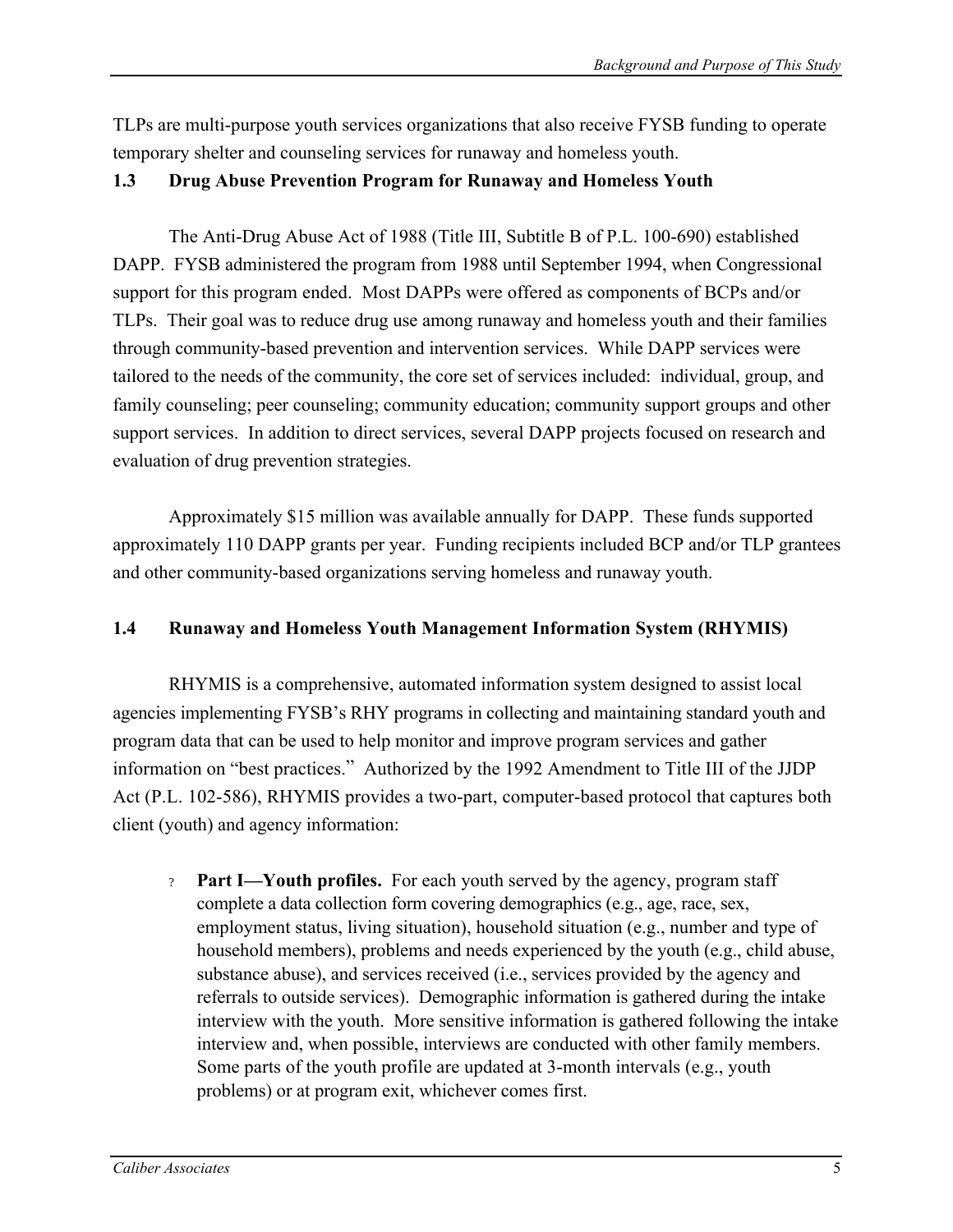TLPs are multi-purpose youth services organizations that also receive FYSB funding to operate temporary shelter and counseling services for runaway and homeless youth.

### **1.3 Drug Abuse Prevention Program for Runaway and Homeless Youth**

The Anti-Drug Abuse Act of 1988 (Title III, Subtitle B of P.L. 100-690) established DAPP. FYSB administered the program from 1988 until September 1994, when Congressional support for this program ended. Most DAPPs were offered as components of BCPs and/or TLPs. Their goal was to reduce drug use among runaway and homeless youth and their families through community-based prevention and intervention services. While DAPP services were tailored to the needs of the community, the core set of services included: individual, group, and family counseling; peer counseling; community education; community support groups and other support services. In addition to direct services, several DAPP projects focused on research and evaluation of drug prevention strategies.

Approximately \$15 million was available annually for DAPP. These funds supported approximately 110 DAPP grants per year. Funding recipients included BCP and/or TLP grantees and other community-based organizations serving homeless and runaway youth.

### **1.4 Runaway and Homeless Youth Management Information System (RHYMIS)**

RHYMIS is a comprehensive, automated information system designed to assist local agencies implementing FYSB's RHY programs in collecting and maintaining standard youth and program data that can be used to help monitor and improve program services and gather information on "best practices." Authorized by the 1992 Amendment to Title III of the JJDP Act (P.L. 102-586), RHYMIS provides a two-part, computer-based protocol that captures both client (youth) and agency information:

? **Part I—Youth profiles.** For each youth served by the agency, program staff complete a data collection form covering demographics (e.g., age, race, sex, employment status, living situation), household situation (e.g., number and type of household members), problems and needs experienced by the youth (e.g., child abuse, substance abuse), and services received (i.e., services provided by the agency and referrals to outside services). Demographic information is gathered during the intake interview with the youth. More sensitive information is gathered following the intake interview and, when possible, interviews are conducted with other family members. Some parts of the youth profile are updated at 3-month intervals (e.g., youth problems) or at program exit, whichever comes first.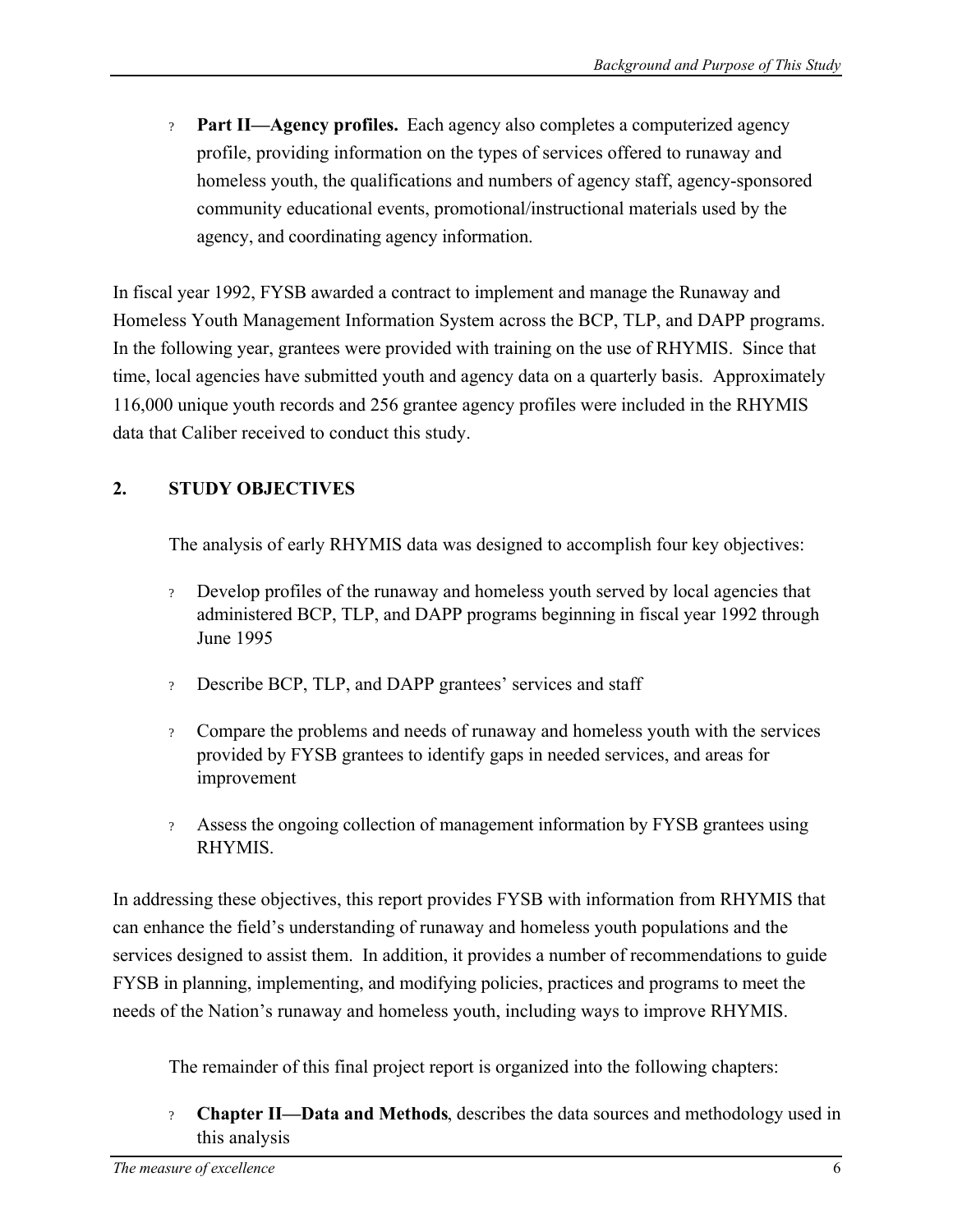? **Part II—Agency profiles.** Each agency also completes a computerized agency profile, providing information on the types of services offered to runaway and homeless youth, the qualifications and numbers of agency staff, agency-sponsored community educational events, promotional/instructional materials used by the agency, and coordinating agency information.

In fiscal year 1992, FYSB awarded a contract to implement and manage the Runaway and Homeless Youth Management Information System across the BCP, TLP, and DAPP programs. In the following year, grantees were provided with training on the use of RHYMIS. Since that time, local agencies have submitted youth and agency data on a quarterly basis. Approximately 116,000 unique youth records and 256 grantee agency profiles were included in the RHYMIS data that Caliber received to conduct this study.

# **2. STUDY OBJECTIVES**

The analysis of early RHYMIS data was designed to accomplish four key objectives:

- ? Develop profiles of the runaway and homeless youth served by local agencies that administered BCP, TLP, and DAPP programs beginning in fiscal year 1992 through June 1995
- ? Describe BCP, TLP, and DAPP grantees' services and staff
- ? Compare the problems and needs of runaway and homeless youth with the services provided by FYSB grantees to identify gaps in needed services, and areas for improvement
- ? Assess the ongoing collection of management information by FYSB grantees using RHYMIS.

In addressing these objectives, this report provides FYSB with information from RHYMIS that can enhance the field's understanding of runaway and homeless youth populations and the services designed to assist them. In addition, it provides a number of recommendations to guide FYSB in planning, implementing, and modifying policies, practices and programs to meet the needs of the Nation's runaway and homeless youth, including ways to improve RHYMIS.

The remainder of this final project report is organized into the following chapters:

? **Chapter II—Data and Methods**, describes the data sources and methodology used in this analysis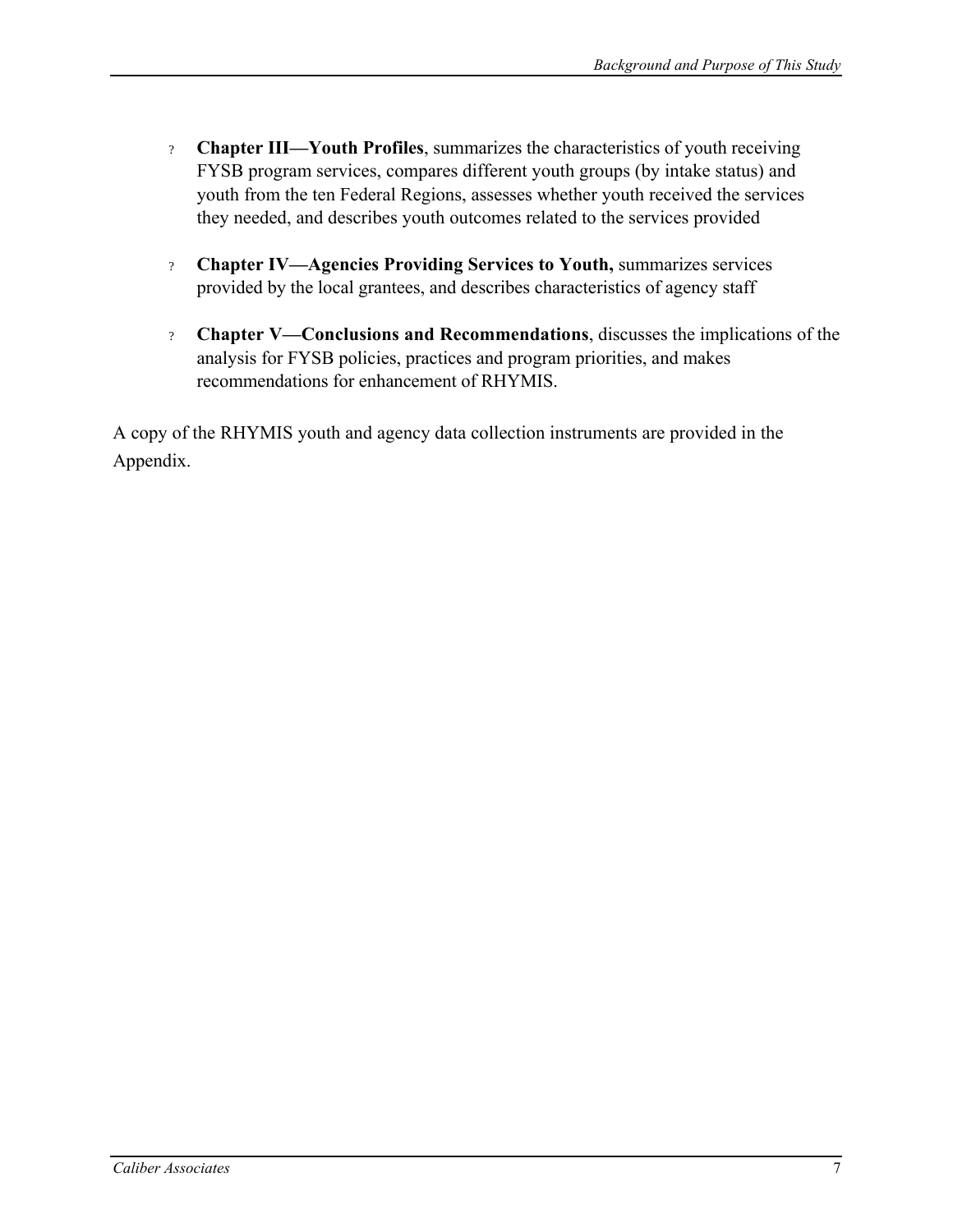- ? **Chapter III—Youth Profiles**, summarizes the characteristics of youth receiving FYSB program services, compares different youth groups (by intake status) and youth from the ten Federal Regions, assesses whether youth received the services they needed, and describes youth outcomes related to the services provided
- ? **Chapter IV—Agencies Providing Services to Youth,** summarizes services provided by the local grantees, and describes characteristics of agency staff
- ? **Chapter V—Conclusions and Recommendations**, discusses the implications of the analysis for FYSB policies, practices and program priorities, and makes recommendations for enhancement of RHYMIS.

A copy of the RHYMIS youth and agency data collection instruments are provided in the Appendix.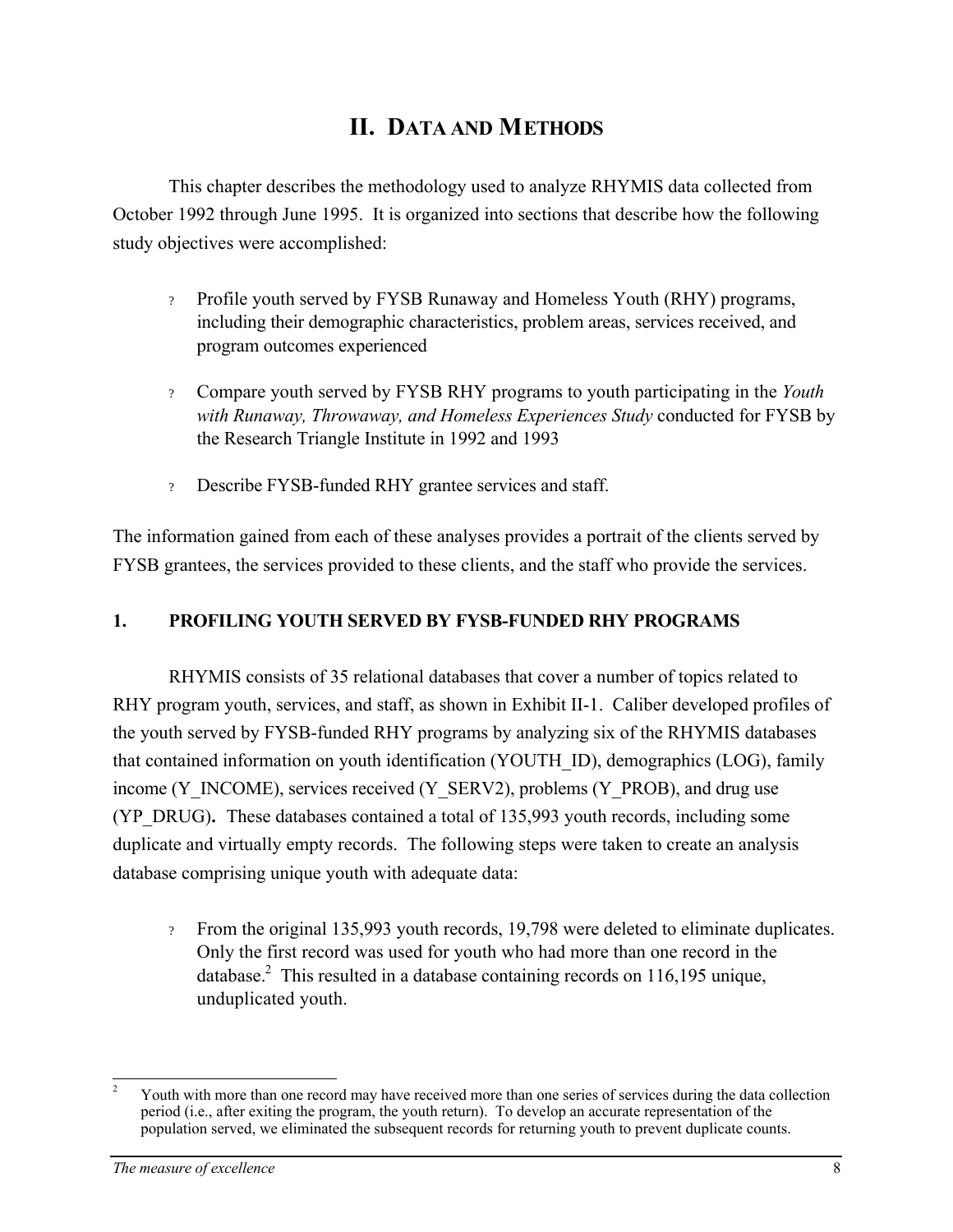# **II. DATA AND METHODS**

This chapter describes the methodology used to analyze RHYMIS data collected from October 1992 through June 1995. It is organized into sections that describe how the following study objectives were accomplished:

- ? Profile youth served by FYSB Runaway and Homeless Youth (RHY) programs, including their demographic characteristics, problem areas, services received, and program outcomes experienced
- ? Compare youth served by FYSB RHY programs to youth participating in the *Youth with Runaway, Throwaway, and Homeless Experiences Study* conducted for FYSB by the Research Triangle Institute in 1992 and 1993
- ? Describe FYSB-funded RHY grantee services and staff.

The information gained from each of these analyses provides a portrait of the clients served by FYSB grantees, the services provided to these clients, and the staff who provide the services.

# **1. PROFILING YOUTH SERVED BY FYSB-FUNDED RHY PROGRAMS**

RHYMIS consists of 35 relational databases that cover a number of topics related to RHY program youth, services, and staff, as shown in Exhibit II-1. Caliber developed profiles of the youth served by FYSB-funded RHY programs by analyzing six of the RHYMIS databases that contained information on youth identification (YOUTH\_ID), demographics (LOG), family income (Y\_INCOME), services received (Y\_SERV2), problems (Y\_PROB), and drug use (YP\_DRUG)*.* These databases contained a total of 135,993 youth records, including some duplicate and virtually empty records. The following steps were taken to create an analysis database comprising unique youth with adequate data:

? From the original 135,993 youth records, 19,798 were deleted to eliminate duplicates. Only the first record was used for youth who had more than one record in the database.<sup>2</sup> This resulted in a database containing records on 116,195 unique, unduplicated youth.

 $\overline{a}$ Youth with more than one record may have received more than one series of services during the data collection period (i.e., after exiting the program, the youth return). To develop an accurate representation of the population served, we eliminated the subsequent records for returning youth to prevent duplicate counts. 2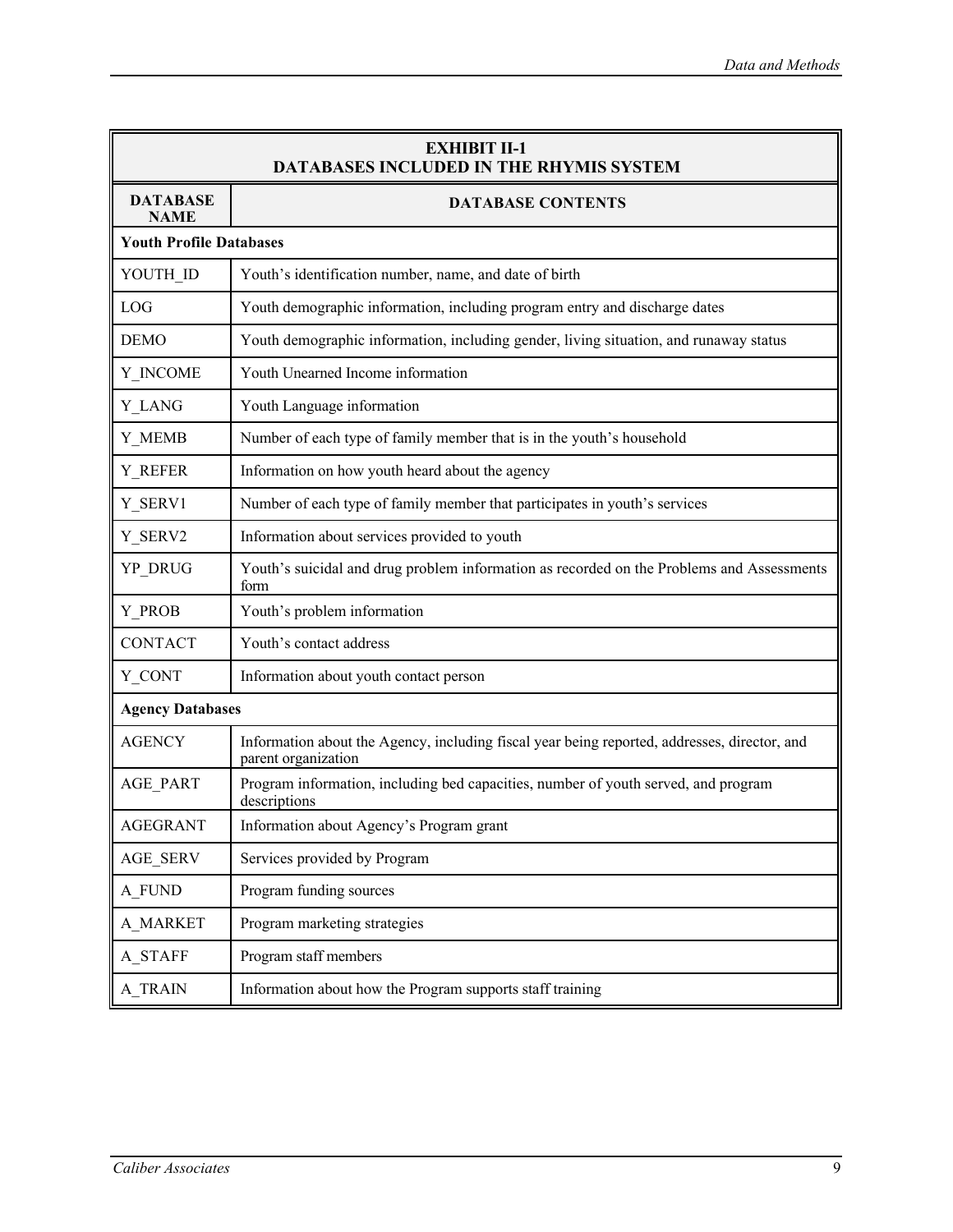| <b>EXHIBIT II-1</b><br><b>DATABASES INCLUDED IN THE RHYMIS SYSTEM</b> |                                                                                                                     |  |  |  |  |  |
|-----------------------------------------------------------------------|---------------------------------------------------------------------------------------------------------------------|--|--|--|--|--|
| <b>DATABASE</b><br><b>NAME</b>                                        | <b>DATABASE CONTENTS</b>                                                                                            |  |  |  |  |  |
|                                                                       | <b>Youth Profile Databases</b>                                                                                      |  |  |  |  |  |
| YOUTH ID                                                              | Youth's identification number, name, and date of birth                                                              |  |  |  |  |  |
| LOG                                                                   | Youth demographic information, including program entry and discharge dates                                          |  |  |  |  |  |
| <b>DEMO</b>                                                           | Youth demographic information, including gender, living situation, and runaway status                               |  |  |  |  |  |
| Y INCOME                                                              | Youth Unearned Income information                                                                                   |  |  |  |  |  |
| Y LANG                                                                | Youth Language information                                                                                          |  |  |  |  |  |
| Y_MEMB                                                                | Number of each type of family member that is in the youth's household                                               |  |  |  |  |  |
| Y REFER                                                               | Information on how youth heard about the agency                                                                     |  |  |  |  |  |
| Y_SERV1                                                               | Number of each type of family member that participates in youth's services                                          |  |  |  |  |  |
| Y SERV2                                                               | Information about services provided to youth                                                                        |  |  |  |  |  |
| YP_DRUG                                                               | Youth's suicidal and drug problem information as recorded on the Problems and Assessments<br>form                   |  |  |  |  |  |
| Y_PROB                                                                | Youth's problem information                                                                                         |  |  |  |  |  |
| <b>CONTACT</b>                                                        | Youth's contact address                                                                                             |  |  |  |  |  |
| Y CONT                                                                | Information about youth contact person                                                                              |  |  |  |  |  |
| <b>Agency Databases</b>                                               |                                                                                                                     |  |  |  |  |  |
| <b>AGENCY</b>                                                         | Information about the Agency, including fiscal year being reported, addresses, director, and<br>parent organization |  |  |  |  |  |
| AGE_PART                                                              | Program information, including bed capacities, number of youth served, and program<br>descriptions                  |  |  |  |  |  |
| <b>AGEGRANT</b>                                                       | Information about Agency's Program grant                                                                            |  |  |  |  |  |
| <b>AGE_SERV</b>                                                       | Services provided by Program                                                                                        |  |  |  |  |  |
| A_FUND                                                                | Program funding sources                                                                                             |  |  |  |  |  |
| A MARKET                                                              | Program marketing strategies                                                                                        |  |  |  |  |  |
| A_STAFF                                                               | Program staff members                                                                                               |  |  |  |  |  |
| <b>A_TRAIN</b>                                                        | Information about how the Program supports staff training                                                           |  |  |  |  |  |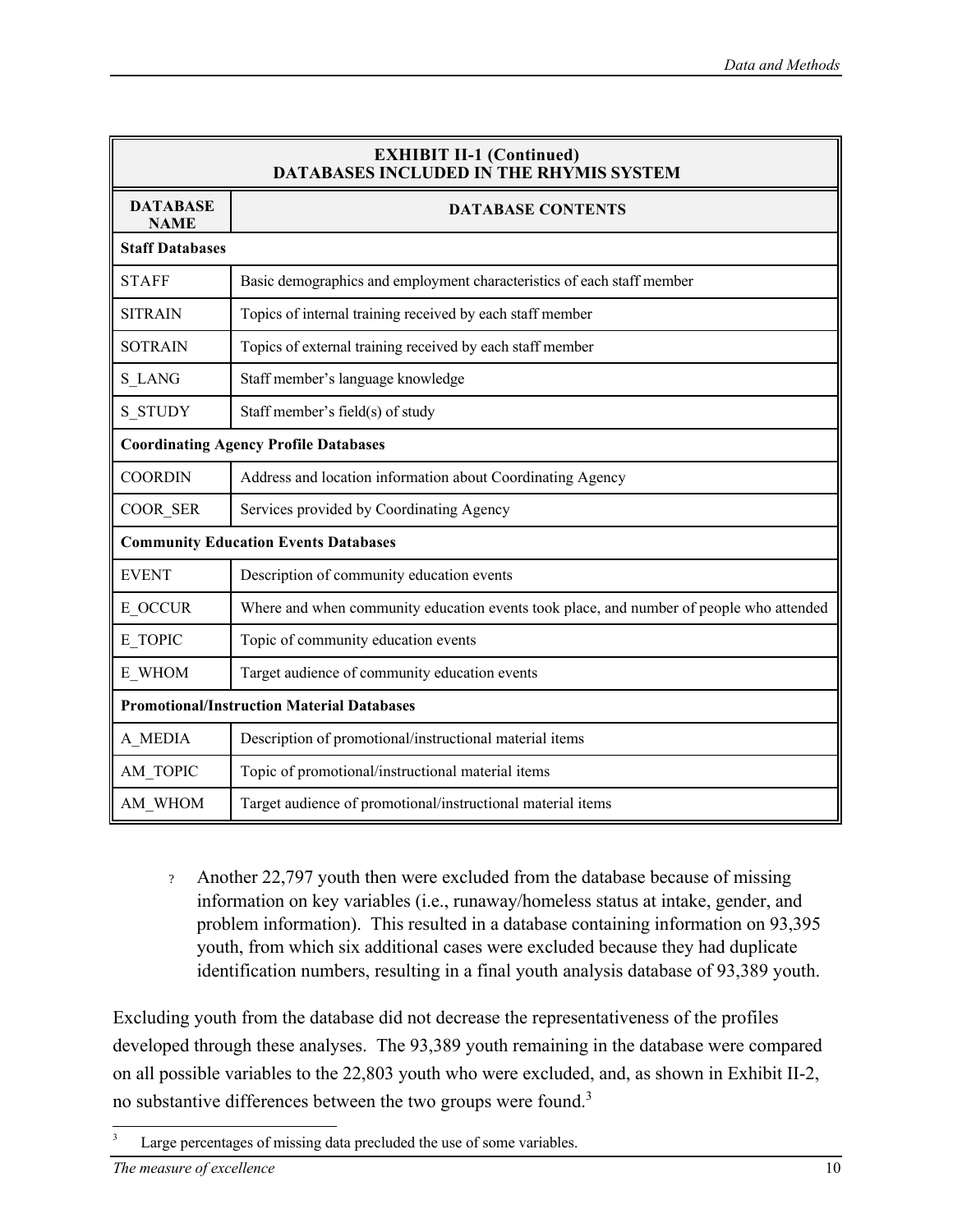| <b>EXHIBIT II-1 (Continued)</b><br><b>DATABASES INCLUDED IN THE RHYMIS SYSTEM</b>      |                                                                                         |  |  |  |
|----------------------------------------------------------------------------------------|-----------------------------------------------------------------------------------------|--|--|--|
| <b>DATABASE</b><br><b>DATABASE CONTENTS</b><br><b>NAME</b>                             |                                                                                         |  |  |  |
| <b>Staff Databases</b>                                                                 |                                                                                         |  |  |  |
| Basic demographics and employment characteristics of each staff member<br><b>STAFF</b> |                                                                                         |  |  |  |
| <b>SITRAIN</b>                                                                         | Topics of internal training received by each staff member                               |  |  |  |
| <b>SOTRAIN</b>                                                                         | Topics of external training received by each staff member                               |  |  |  |
| S LANG                                                                                 | Staff member's language knowledge                                                       |  |  |  |
| <b>S STUDY</b>                                                                         | Staff member's field(s) of study                                                        |  |  |  |
|                                                                                        | <b>Coordinating Agency Profile Databases</b>                                            |  |  |  |
| <b>COORDIN</b><br>Address and location information about Coordinating Agency           |                                                                                         |  |  |  |
| COOR_SER                                                                               | Services provided by Coordinating Agency                                                |  |  |  |
|                                                                                        | <b>Community Education Events Databases</b>                                             |  |  |  |
| <b>EVENT</b><br>Description of community education events                              |                                                                                         |  |  |  |
| E OCCUR                                                                                | Where and when community education events took place, and number of people who attended |  |  |  |
| E TOPIC                                                                                | Topic of community education events                                                     |  |  |  |
| E WHOM                                                                                 | Target audience of community education events                                           |  |  |  |
| <b>Promotional/Instruction Material Databases</b>                                      |                                                                                         |  |  |  |
| A MEDIA                                                                                | Description of promotional/instructional material items                                 |  |  |  |
| AM TOPIC                                                                               | Topic of promotional/instructional material items                                       |  |  |  |
| AM WHOM                                                                                | Target audience of promotional/instructional material items                             |  |  |  |

? Another 22,797 youth then were excluded from the database because of missing information on key variables (i.e., runaway/homeless status at intake, gender, and problem information). This resulted in a database containing information on 93,395 youth, from which six additional cases were excluded because they had duplicate identification numbers, resulting in a final youth analysis database of 93,389 youth.

Excluding youth from the database did not decrease the representativeness of the profiles developed through these analyses. The 93,389 youth remaining in the database were compared on all possible variables to the 22,803 youth who were excluded, and, as shown in Exhibit II-2, no substantive differences between the two groups were found.<sup>3</sup>

 $\overline{a}$ Large percentages of missing data precluded the use of some variables. 3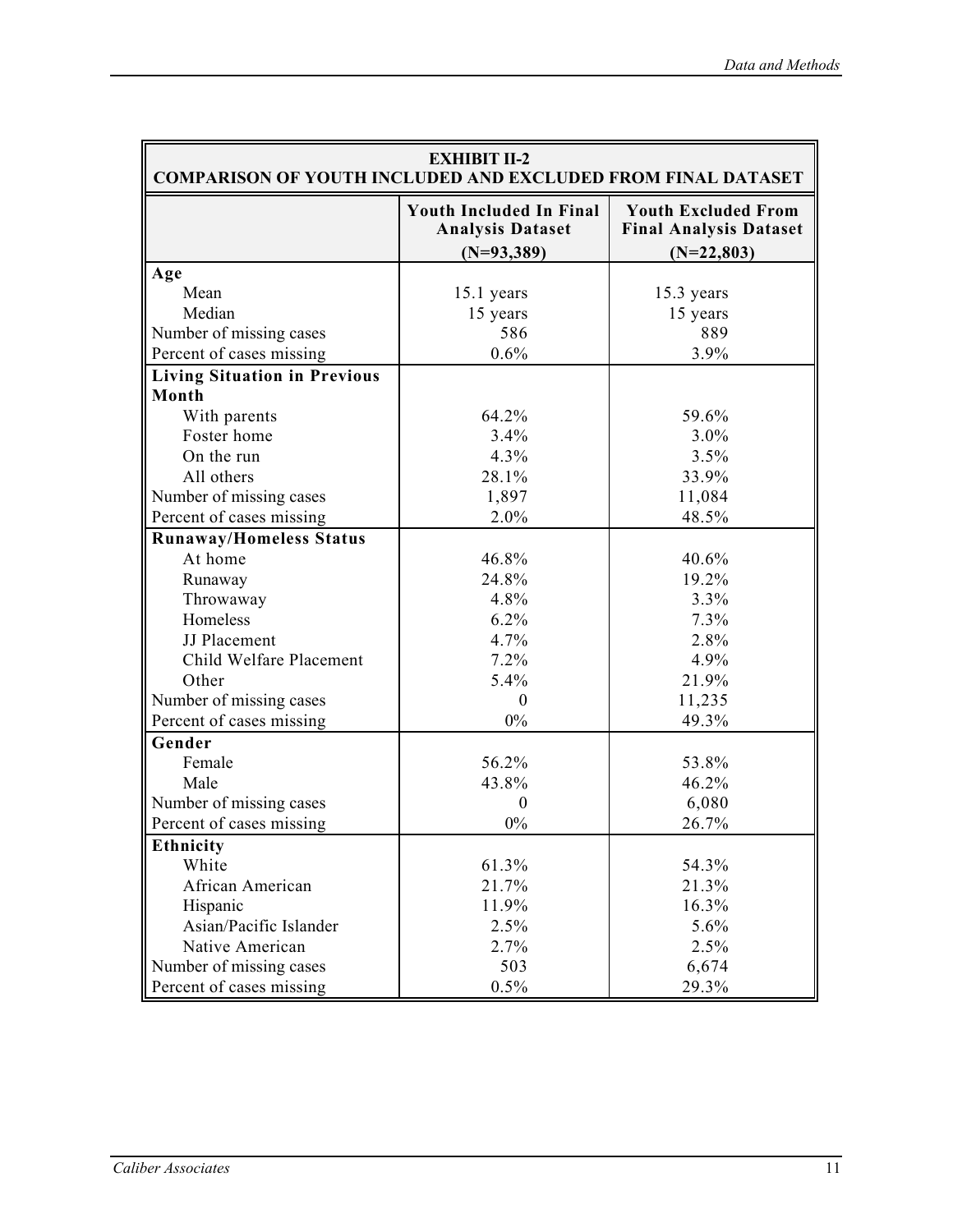| <b>EXHIBIT II-2</b><br><b>COMPARISON OF YOUTH INCLUDED AND EXCLUDED FROM FINAL DATASET</b> |                                                                           |                                                                             |  |  |
|--------------------------------------------------------------------------------------------|---------------------------------------------------------------------------|-----------------------------------------------------------------------------|--|--|
|                                                                                            | <b>Youth Included In Final</b><br><b>Analysis Dataset</b><br>$(N=93,389)$ | <b>Youth Excluded From</b><br><b>Final Analysis Dataset</b><br>$(N=22,803)$ |  |  |
| Age                                                                                        |                                                                           |                                                                             |  |  |
| Mean                                                                                       | 15.1 years                                                                | 15.3 years                                                                  |  |  |
| Median                                                                                     | 15 years                                                                  | 15 years                                                                    |  |  |
| Number of missing cases                                                                    | 586                                                                       | 889                                                                         |  |  |
| Percent of cases missing                                                                   | 0.6%                                                                      | 3.9%                                                                        |  |  |
| <b>Living Situation in Previous</b>                                                        |                                                                           |                                                                             |  |  |
| Month                                                                                      |                                                                           |                                                                             |  |  |
| With parents                                                                               | 64.2%                                                                     | 59.6%                                                                       |  |  |
| Foster home                                                                                | 3.4%                                                                      | 3.0%                                                                        |  |  |
| On the run                                                                                 | 4.3%                                                                      | 3.5%                                                                        |  |  |
| All others                                                                                 | 28.1%                                                                     | 33.9%                                                                       |  |  |
| Number of missing cases                                                                    | 1,897                                                                     | 11,084                                                                      |  |  |
| Percent of cases missing                                                                   | 2.0%                                                                      | 48.5%                                                                       |  |  |
| <b>Runaway/Homeless Status</b>                                                             |                                                                           |                                                                             |  |  |
| At home                                                                                    | 46.8%                                                                     | 40.6%                                                                       |  |  |
| Runaway                                                                                    | 24.8%                                                                     | 19.2%                                                                       |  |  |
| Throwaway                                                                                  | 4.8%                                                                      | 3.3%                                                                        |  |  |
| Homeless                                                                                   | 6.2%                                                                      | 7.3%                                                                        |  |  |
| JJ Placement                                                                               | 4.7%                                                                      | 2.8%                                                                        |  |  |
| Child Welfare Placement                                                                    | 7.2%                                                                      | 4.9%                                                                        |  |  |
| Other                                                                                      | 5.4%                                                                      | 21.9%                                                                       |  |  |
| Number of missing cases                                                                    | $\theta$                                                                  | 11,235                                                                      |  |  |
| Percent of cases missing                                                                   | $0\%$                                                                     | 49.3%                                                                       |  |  |
| Gender                                                                                     |                                                                           |                                                                             |  |  |
| Female                                                                                     | 56.2%                                                                     | 53.8%                                                                       |  |  |
| Male                                                                                       | 43.8%                                                                     | 46.2%                                                                       |  |  |
| Number of missing cases                                                                    | $\theta$                                                                  | 6,080                                                                       |  |  |
| Percent of cases missing                                                                   | $0\%$                                                                     | 26.7%                                                                       |  |  |
| <b>Ethnicity</b>                                                                           |                                                                           |                                                                             |  |  |
| White                                                                                      | 61.3%                                                                     | 54.3%                                                                       |  |  |
| African American                                                                           | 21.7%                                                                     | 21.3%                                                                       |  |  |
| Hispanic                                                                                   | 11.9%                                                                     | 16.3%                                                                       |  |  |
| Asian/Pacific Islander                                                                     | 2.5%                                                                      | 5.6%                                                                        |  |  |
| Native American                                                                            | 2.7%                                                                      | 2.5%                                                                        |  |  |
| Number of missing cases                                                                    | 503                                                                       | 6,674                                                                       |  |  |
| Percent of cases missing                                                                   | 0.5%                                                                      | 29.3%                                                                       |  |  |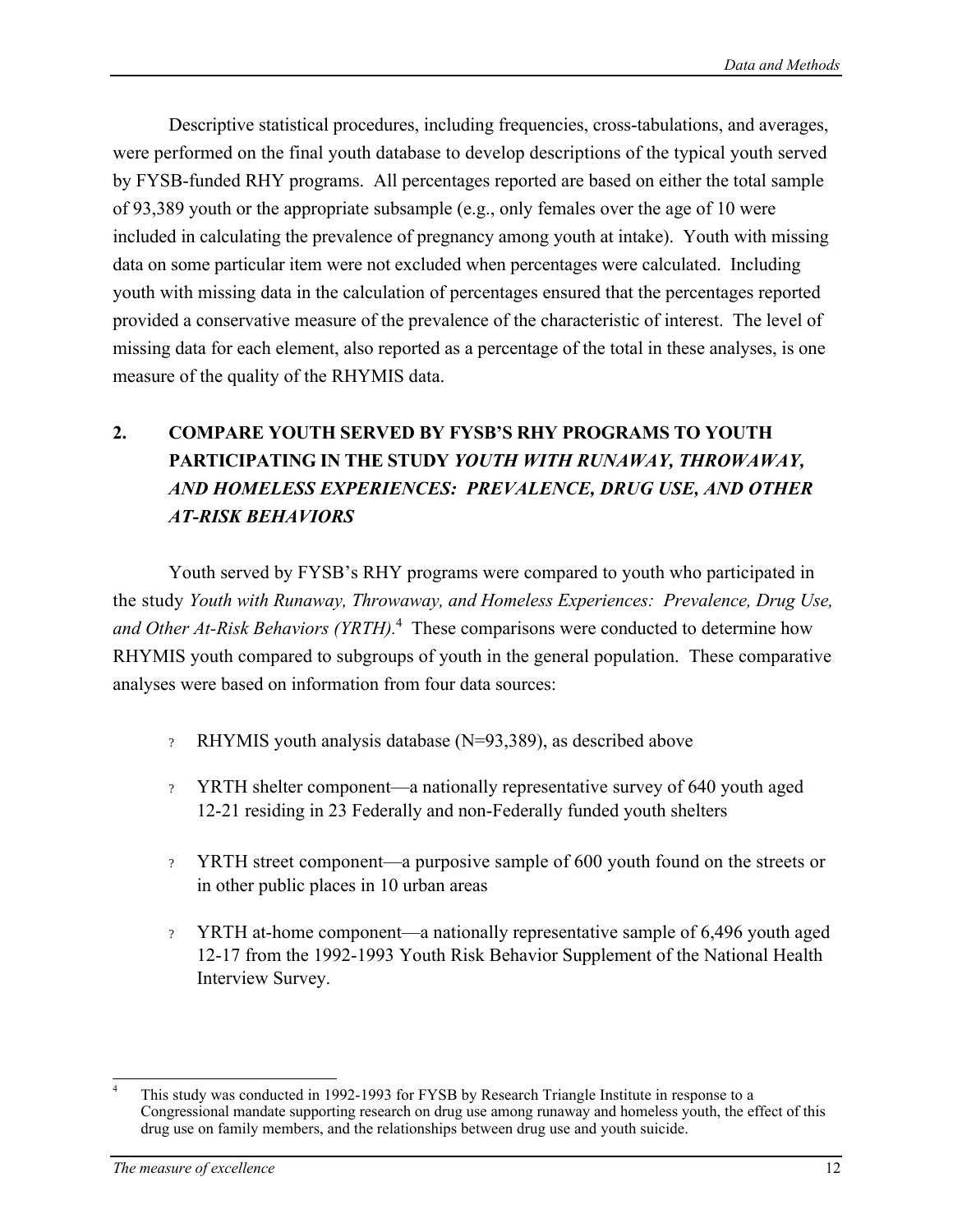Descriptive statistical procedures, including frequencies, cross-tabulations, and averages, were performed on the final youth database to develop descriptions of the typical youth served by FYSB-funded RHY programs. All percentages reported are based on either the total sample of 93,389 youth or the appropriate subsample (e.g., only females over the age of 10 were included in calculating the prevalence of pregnancy among youth at intake). Youth with missing data on some particular item were not excluded when percentages were calculated. Including youth with missing data in the calculation of percentages ensured that the percentages reported provided a conservative measure of the prevalence of the characteristic of interest. The level of missing data for each element, also reported as a percentage of the total in these analyses, is one measure of the quality of the RHYMIS data.

# **2. COMPARE YOUTH SERVED BY FYSB'S RHY PROGRAMS TO YOUTH PARTICIPATING IN THE STUDY** *YOUTH WITH RUNAWAY, THROWAWAY, AND HOMELESS EXPERIENCES: PREVALENCE, DRUG USE, AND OTHER AT-RISK BEHAVIORS*

Youth served by FYSB's RHY programs were compared to youth who participated in the study *Youth with Runaway, Throwaway, and Homeless Experiences: Prevalence, Drug Use, and Other At-Risk Behaviors (YRTH).*4 These comparisons were conducted to determine how RHYMIS youth compared to subgroups of youth in the general population. These comparative analyses were based on information from four data sources:

- ? RHYMIS youth analysis database (N=93,389), as described above
- ? YRTH shelter component—a nationally representative survey of 640 youth aged 12-21 residing in 23 Federally and non-Federally funded youth shelters
- ? YRTH street component—a purposive sample of 600 youth found on the streets or in other public places in 10 urban areas
- ? YRTH at-home component—a nationally representative sample of 6,496 youth aged 12-17 from the 1992-1993 Youth Risk Behavior Supplement of the National Health Interview Survey.

 $\overline{a}$ This study was conducted in 1992-1993 for FYSB by Research Triangle Institute in response to a Congressional mandate supporting research on drug use among runaway and homeless youth, the effect of this drug use on family members, and the relationships between drug use and youth suicide. 4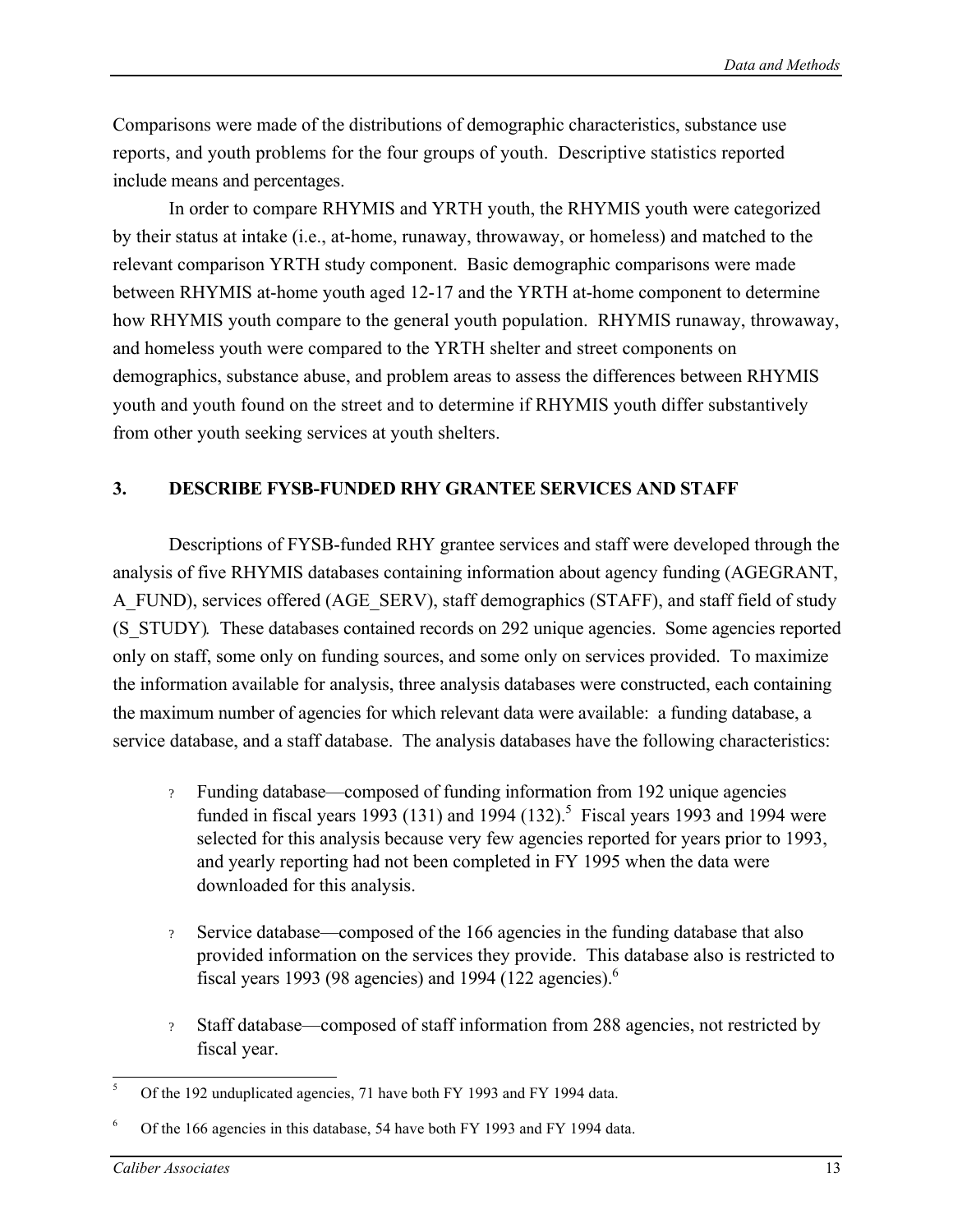Comparisons were made of the distributions of demographic characteristics, substance use reports, and youth problems for the four groups of youth. Descriptive statistics reported include means and percentages.

In order to compare RHYMIS and YRTH youth, the RHYMIS youth were categorized by their status at intake (i.e., at-home, runaway, throwaway, or homeless) and matched to the relevant comparison YRTH study component. Basic demographic comparisons were made between RHYMIS at-home youth aged 12-17 and the YRTH at-home component to determine how RHYMIS youth compare to the general youth population. RHYMIS runaway, throwaway, and homeless youth were compared to the YRTH shelter and street components on demographics, substance abuse, and problem areas to assess the differences between RHYMIS youth and youth found on the street and to determine if RHYMIS youth differ substantively from other youth seeking services at youth shelters.

### **3. DESCRIBE FYSB-FUNDED RHY GRANTEE SERVICES AND STAFF**

Descriptions of FYSB-funded RHY grantee services and staff were developed through the analysis of five RHYMIS databases containing information about agency funding (AGEGRANT, A\_FUND), services offered (AGE\_SERV), staff demographics (STAFF), and staff field of study (S\_STUDY)*.* These databases contained records on 292 unique agencies. Some agencies reported only on staff, some only on funding sources, and some only on services provided. To maximize the information available for analysis, three analysis databases were constructed, each containing the maximum number of agencies for which relevant data were available: a funding database, a service database, and a staff database. The analysis databases have the following characteristics:

- ? Funding database—composed of funding information from 192 unique agencies funded in fiscal years 1993 (131) and 1994 (132).<sup>5</sup> Fiscal years 1993 and 1994 were selected for this analysis because very few agencies reported for years prior to 1993, and yearly reporting had not been completed in FY 1995 when the data were downloaded for this analysis.
- ? Service database—composed of the 166 agencies in the funding database that also provided information on the services they provide. This database also is restricted to fiscal years 1993 (98 agencies) and 1994 (122 agencies).<sup>6</sup>
- ? Staff database—composed of staff information from 288 agencies, not restricted by fiscal year.

 $\overline{a}$ Of the 192 unduplicated agencies, 71 have both FY 1993 and FY 1994 data.

Of the 166 agencies in this database, 54 have both FY 1993 and FY 1994 data.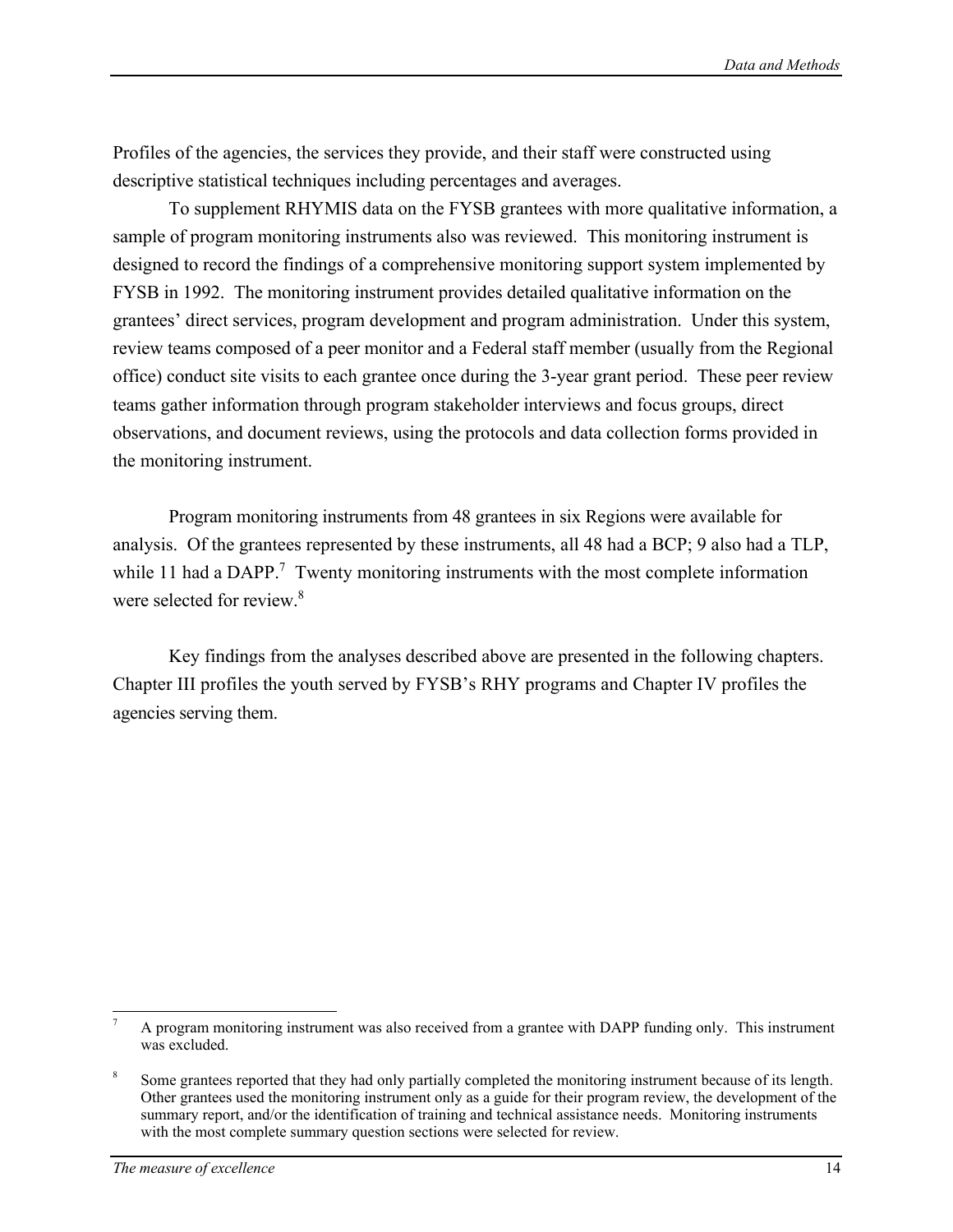Profiles of the agencies, the services they provide, and their staff were constructed using descriptive statistical techniques including percentages and averages.

To supplement RHYMIS data on the FYSB grantees with more qualitative information, a sample of program monitoring instruments also was reviewed. This monitoring instrument is designed to record the findings of a comprehensive monitoring support system implemented by FYSB in 1992. The monitoring instrument provides detailed qualitative information on the grantees' direct services, program development and program administration. Under this system, review teams composed of a peer monitor and a Federal staff member (usually from the Regional office) conduct site visits to each grantee once during the 3-year grant period. These peer review teams gather information through program stakeholder interviews and focus groups, direct observations, and document reviews, using the protocols and data collection forms provided in the monitoring instrument.

Program monitoring instruments from 48 grantees in six Regions were available for analysis. Of the grantees represented by these instruments, all 48 had a BCP; 9 also had a TLP, while 11 had a DAPP.<sup>7</sup> Twenty monitoring instruments with the most complete information were selected for review.<sup>8</sup>

Key findings from the analyses described above are presented in the following chapters. Chapter III profiles the youth served by FYSB's RHY programs and Chapter IV profiles the agencies serving them.

 $\overline{a}$ A program monitoring instrument was also received from a grantee with DAPP funding only. This instrument was excluded.

Some grantees reported that they had only partially completed the monitoring instrument because of its length. Other grantees used the monitoring instrument only as a guide for their program review, the development of the summary report, and/or the identification of training and technical assistance needs. Monitoring instruments with the most complete summary question sections were selected for review.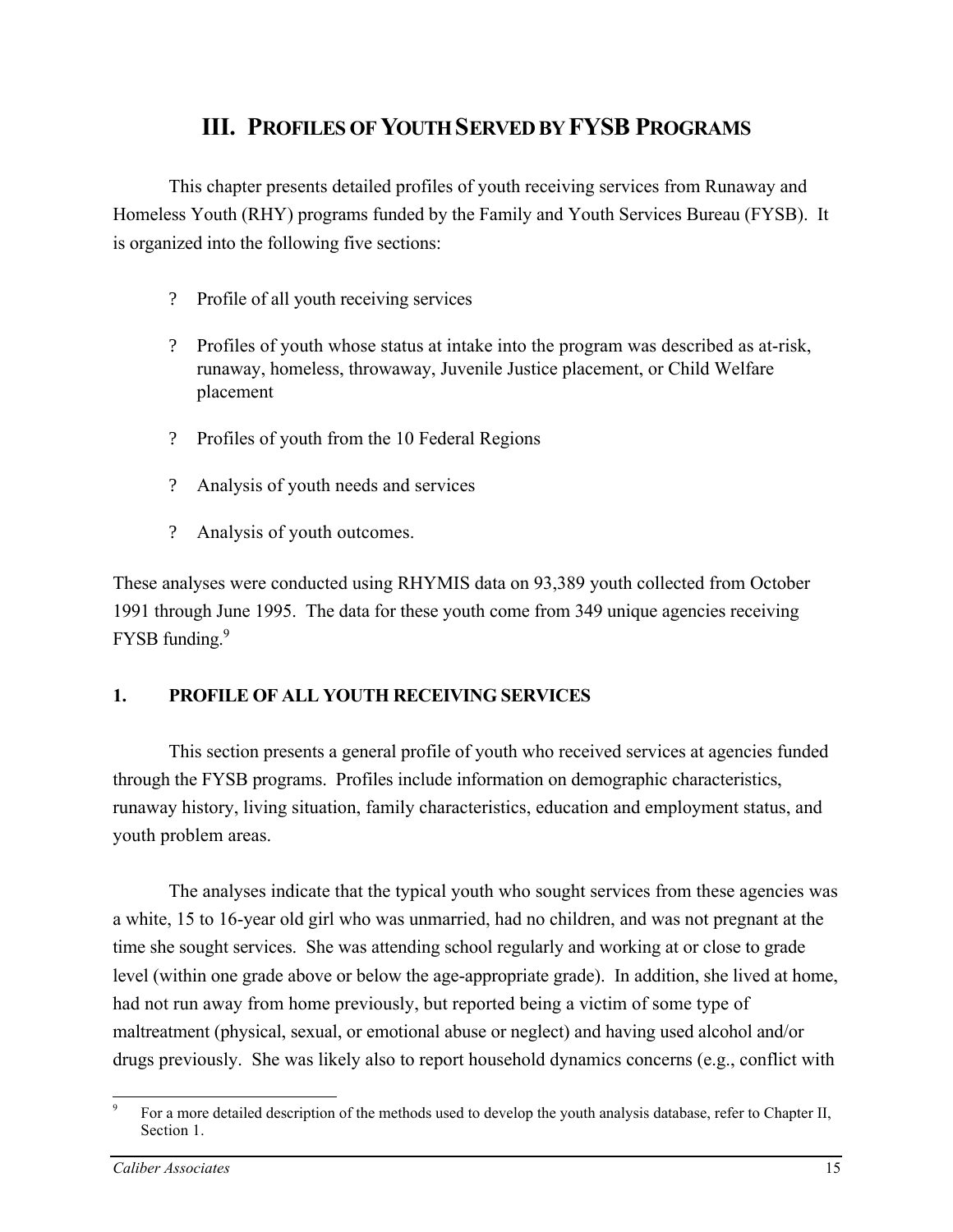# **III. PROFILES OF YOUTH SERVED BY FYSB PROGRAMS**

This chapter presents detailed profiles of youth receiving services from Runaway and Homeless Youth (RHY) programs funded by the Family and Youth Services Bureau (FYSB). It is organized into the following five sections:

- ? Profile of all youth receiving services
- ? Profiles of youth whose status at intake into the program was described as at-risk, runaway, homeless, throwaway, Juvenile Justice placement, or Child Welfare placement
- ? Profiles of youth from the 10 Federal Regions
- ? Analysis of youth needs and services
- ? Analysis of youth outcomes.

These analyses were conducted using RHYMIS data on 93,389 youth collected from October 1991 through June 1995. The data for these youth come from 349 unique agencies receiving FYSB funding.<sup>9</sup>

### **1. PROFILE OF ALL YOUTH RECEIVING SERVICES**

This section presents a general profile of youth who received services at agencies funded through the FYSB programs. Profiles include information on demographic characteristics, runaway history, living situation, family characteristics, education and employment status, and youth problem areas.

The analyses indicate that the typical youth who sought services from these agencies was a white, 15 to 16-year old girl who was unmarried, had no children, and was not pregnant at the time she sought services. She was attending school regularly and working at or close to grade level (within one grade above or below the age-appropriate grade). In addition, she lived at home, had not run away from home previously, but reported being a victim of some type of maltreatment (physical, sexual, or emotional abuse or neglect) and having used alcohol and/or drugs previously. She was likely also to report household dynamics concerns (e.g., conflict with

 $\overline{a}$ For a more detailed description of the methods used to develop the youth analysis database, refer to Chapter II, Section 1. 9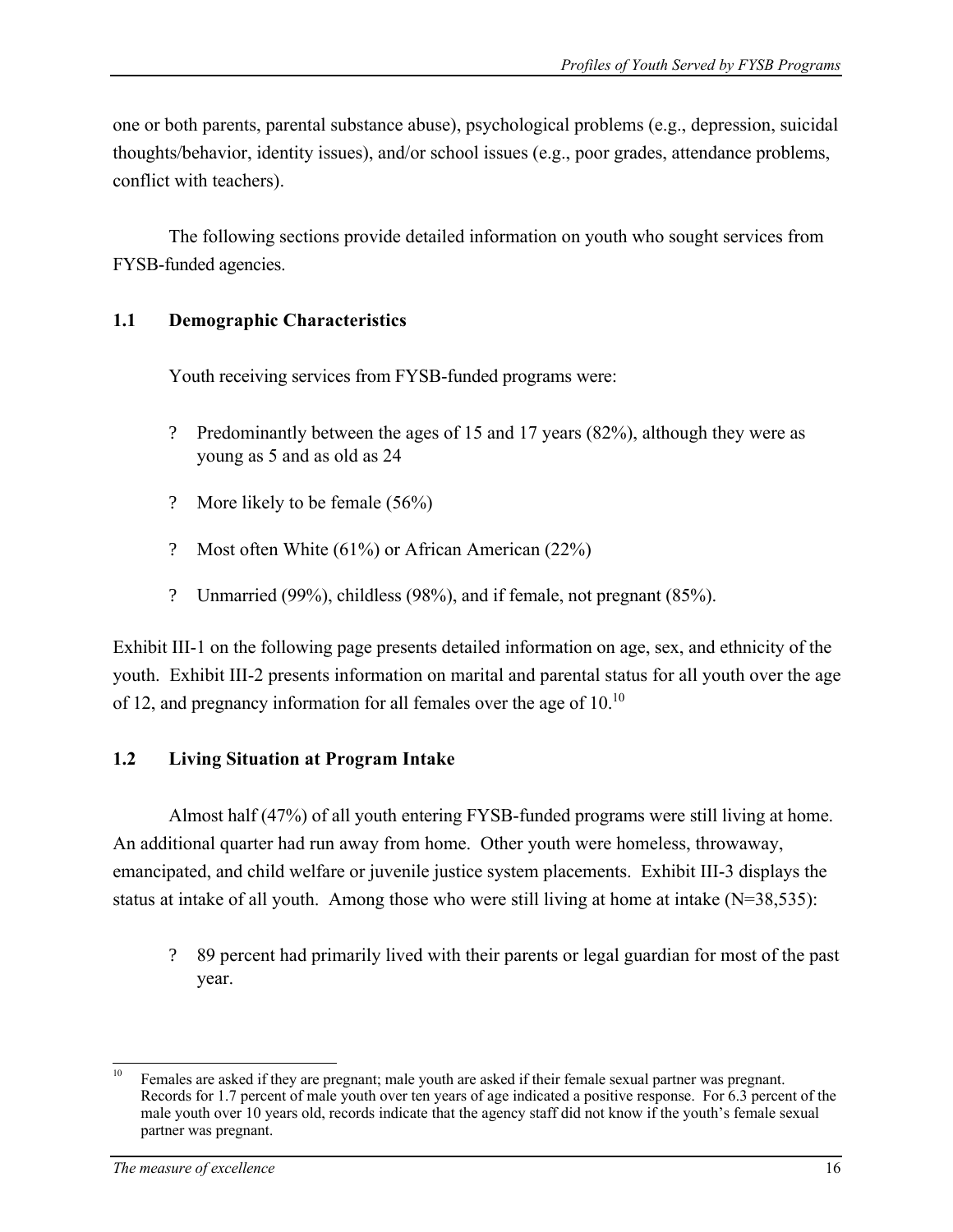one or both parents, parental substance abuse), psychological problems (e.g., depression, suicidal thoughts/behavior, identity issues), and/or school issues (e.g., poor grades, attendance problems, conflict with teachers).

The following sections provide detailed information on youth who sought services from FYSB-funded agencies.

### **1.1 Demographic Characteristics**

Youth receiving services from FYSB-funded programs were:

- ? Predominantly between the ages of 15 and 17 years (82%), although they were as young as 5 and as old as 24
- ? More likely to be female (56%)
- ? Most often White  $(61\%)$  or African American  $(22\%)$
- ? Unmarried (99%), childless (98%), and if female, not pregnant (85%).

Exhibit III-1 on the following page presents detailed information on age, sex, and ethnicity of the youth. Exhibit III-2 presents information on marital and parental status for all youth over the age of 12, and pregnancy information for all females over the age of 10.10

### **1.2 Living Situation at Program Intake**

Almost half (47%) of all youth entering FYSB-funded programs were still living at home. An additional quarter had run away from home. Other youth were homeless, throwaway, emancipated, and child welfare or juvenile justice system placements. Exhibit III-3 displays the status at intake of all youth. Among those who were still living at home at intake (N=38,535):

? 89 percent had primarily lived with their parents or legal guardian for most of the past year.

 $10\,$ Females are asked if they are pregnant; male youth are asked if their female sexual partner was pregnant. Records for 1.7 percent of male youth over ten years of age indicated a positive response. For 6.3 percent of the male youth over 10 years old, records indicate that the agency staff did not know if the youth's female sexual partner was pregnant.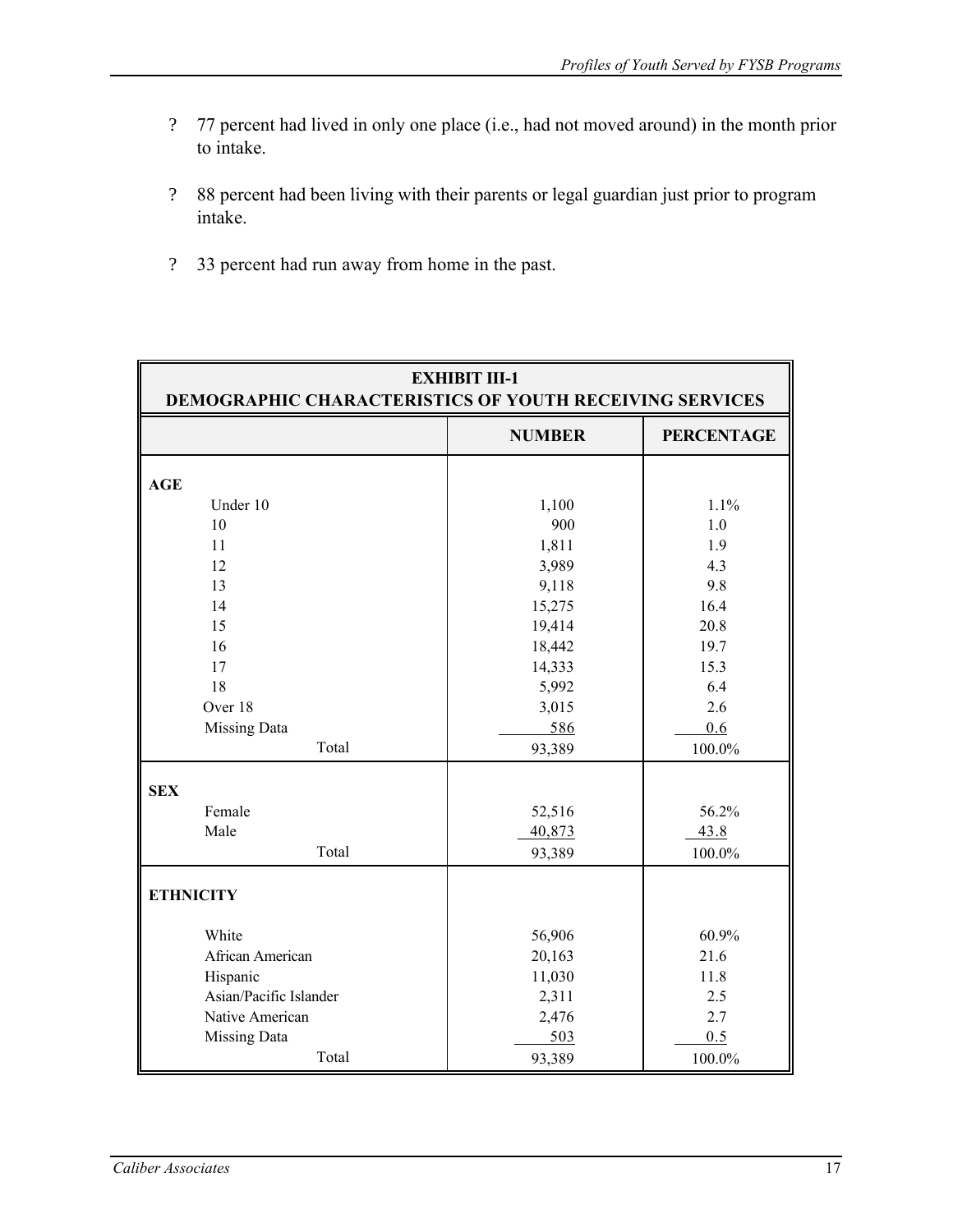- ? 77 percent had lived in only one place (i.e., had not moved around) in the month prior to intake.
- ? 88 percent had been living with their parents or legal guardian just prior to program intake.
- ? 33 percent had run away from home in the past.

| <b>EXHIBIT III-1</b><br><b>DEMOGRAPHIC CHARACTERISTICS OF YOUTH RECEIVING SERVICES</b> |               |                   |  |  |
|----------------------------------------------------------------------------------------|---------------|-------------------|--|--|
|                                                                                        | <b>NUMBER</b> | <b>PERCENTAGE</b> |  |  |
| <b>AGE</b>                                                                             |               |                   |  |  |
| Under 10                                                                               | 1,100         | 1.1%              |  |  |
| 10                                                                                     | 900           | 1.0               |  |  |
| 11                                                                                     | 1,811         | 1.9               |  |  |
| 12                                                                                     | 3,989         | 4.3               |  |  |
| 13                                                                                     | 9,118         | 9.8               |  |  |
| 14                                                                                     | 15,275        | 16.4              |  |  |
| 15                                                                                     | 19,414        | 20.8              |  |  |
| 16                                                                                     | 18,442        | 19.7              |  |  |
| 17                                                                                     | 14,333        | 15.3              |  |  |
| 18                                                                                     | 5,992         | 6.4               |  |  |
| Over 18                                                                                | 3,015         | 2.6               |  |  |
| <b>Missing Data</b>                                                                    | 586           | 0.6               |  |  |
| Total                                                                                  | 93,389        | 100.0%            |  |  |
| <b>SEX</b>                                                                             |               |                   |  |  |
| Female                                                                                 | 52,516        | 56.2%             |  |  |
| Male                                                                                   | 40,873        | 43.8              |  |  |
| Total                                                                                  | 93,389        | 100.0%            |  |  |
| <b>ETHNICITY</b>                                                                       |               |                   |  |  |
| White                                                                                  | 56,906        | 60.9%             |  |  |
| African American                                                                       | 20,163        | 21.6              |  |  |
| Hispanic                                                                               | 11,030        | 11.8              |  |  |
| Asian/Pacific Islander                                                                 | 2,311         | 2.5               |  |  |
| Native American                                                                        | 2,476         | 2.7               |  |  |
| <b>Missing Data</b>                                                                    | 503           | 0.5               |  |  |
| Total                                                                                  | 93,389        | 100.0%            |  |  |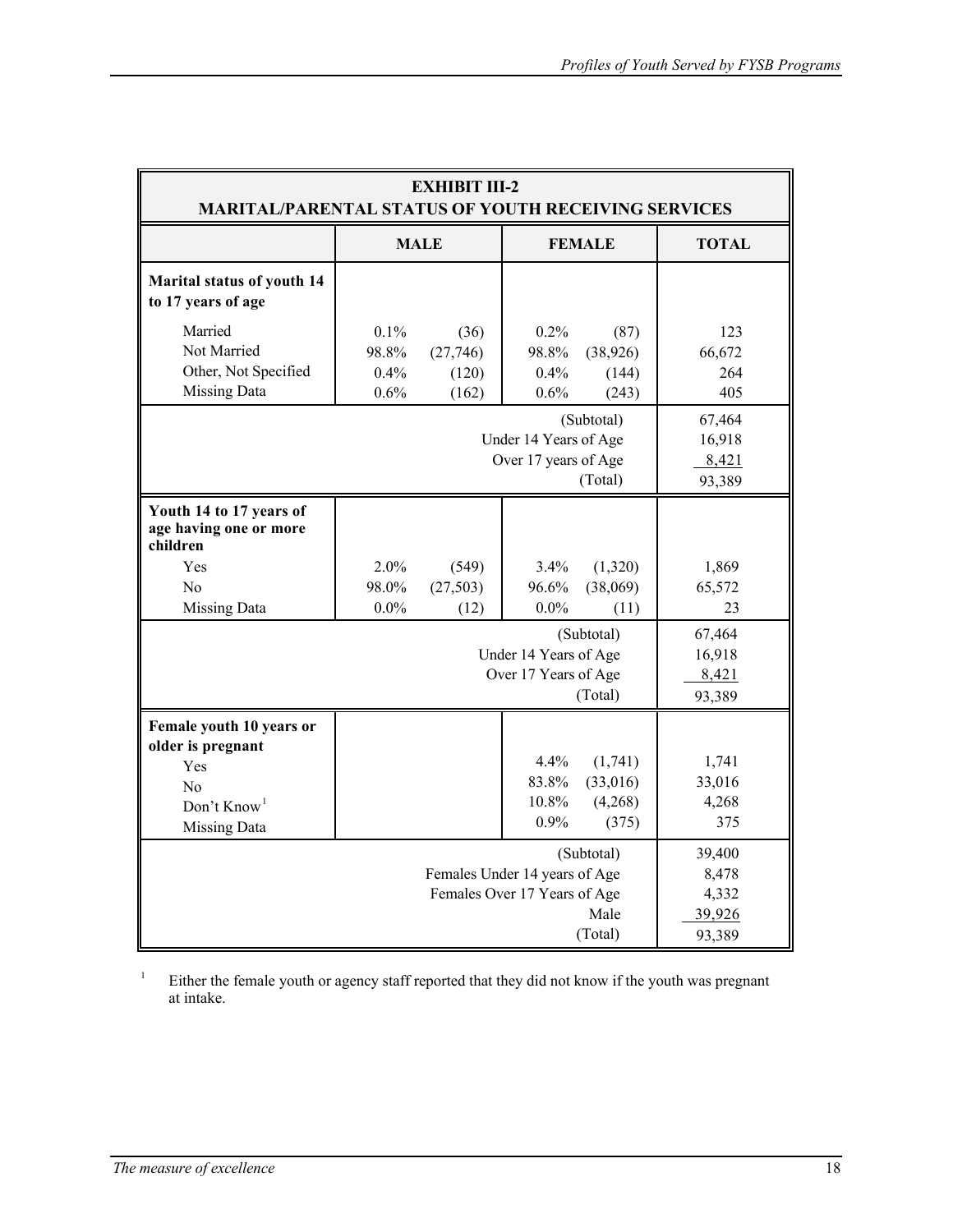| <b>EXHIBIT III-2</b><br><b>MARITAL/PARENTAL STATUS OF YOUTH RECEIVING SERVICES</b>                                                             |                                                                        |                                    |                                     |                                         |                                 |
|------------------------------------------------------------------------------------------------------------------------------------------------|------------------------------------------------------------------------|------------------------------------|-------------------------------------|-----------------------------------------|---------------------------------|
|                                                                                                                                                | <b>MALE</b>                                                            |                                    | <b>FEMALE</b>                       |                                         | <b>TOTAL</b>                    |
| Marital status of youth 14<br>to 17 years of age                                                                                               |                                                                        |                                    |                                     |                                         |                                 |
| Married<br>Not Married<br>Other, Not Specified<br>Missing Data                                                                                 | 0.1%<br>98.8%<br>$0.4\%$<br>0.6%                                       | (36)<br>(27,746)<br>(120)<br>(162) | $0.2\%$<br>98.8%<br>$0.4\%$<br>0.6% | (87)<br>(38, 926)<br>(144)<br>(243)     | 123<br>66,672<br>264<br>405     |
|                                                                                                                                                | (Subtotal)<br>Under 14 Years of Age<br>Over 17 years of Age<br>(Total) |                                    |                                     | 67,464<br>16,918<br>8,421<br>93,389     |                                 |
| Youth 14 to 17 years of<br>age having one or more<br>children                                                                                  |                                                                        |                                    |                                     |                                         |                                 |
| Yes<br>N <sub>o</sub><br><b>Missing Data</b>                                                                                                   | 2.0%<br>98.0%<br>$0.0\%$                                               | (549)<br>(27, 503)<br>(12)         | $3.4\%$<br>96.6%<br>$0.0\%$         | (1,320)<br>(38,069)<br>(11)             | 1,869<br>65,572<br>23           |
| (Subtotal)<br>Under 14 Years of Age<br>Over 17 Years of Age<br>(Total)                                                                         |                                                                        |                                    | 67,464<br>16,918<br>8,421<br>93,389 |                                         |                                 |
| Female youth 10 years or<br>older is pregnant<br>Yes<br>No<br>Don't $Know1$<br><b>Missing Data</b>                                             |                                                                        |                                    | $4.4\%$<br>83.8%<br>10.8%<br>0.9%   | (1,741)<br>(33,016)<br>(4,268)<br>(375) | 1,741<br>33,016<br>4,268<br>375 |
| (Subtotal)<br>39,400<br>Females Under 14 years of Age<br>8,478<br>Females Over 17 Years of Age<br>4,332<br>Male<br>39,926<br>(Total)<br>93,389 |                                                                        |                                    |                                     |                                         |                                 |

Either the female youth or agency staff reported that they did not know if the youth was pregnant at intake. 1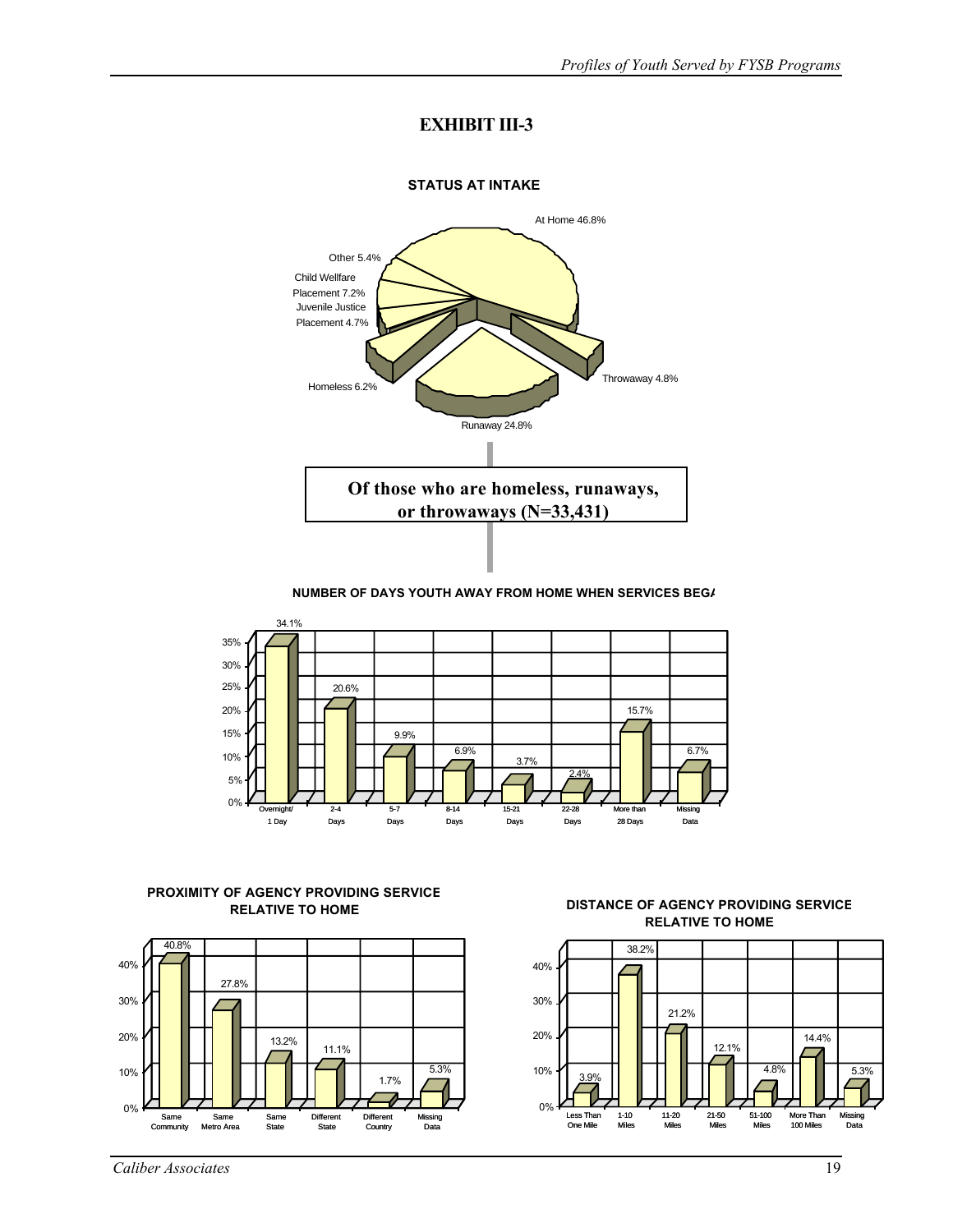### **EXHIBIT III-3**



#### **NUMBER OF DAYS YOUTH AWAY FROM HOME WHEN SERVICES BEG/**



# **PROXIMITY OF AGENCY PROVIDING SERVICE**



### **RELATIVE TO HOME CERTIFY AND SERVICE**<br>**DISTANCE OF AGENCY PROVIDING SERVICE RELATIVE TO HOME**

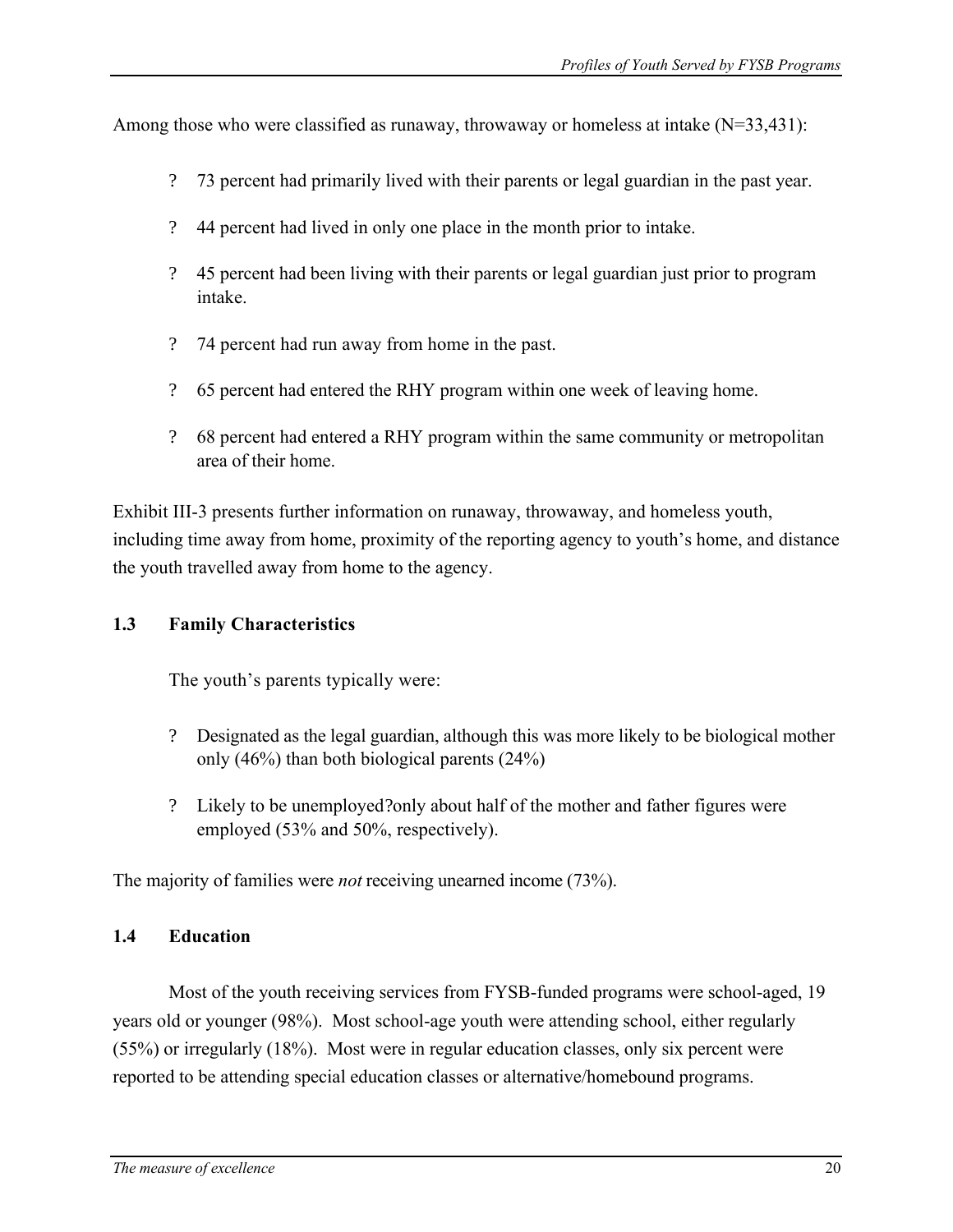Among those who were classified as runaway, throwaway or homeless at intake  $(N=33,431)$ :

- ? 73 percent had primarily lived with their parents or legal guardian in the past year.
- ? 44 percent had lived in only one place in the month prior to intake.
- ? 45 percent had been living with their parents or legal guardian just prior to program intake.
- ? 74 percent had run away from home in the past.
- ? 65 percent had entered the RHY program within one week of leaving home.
- ? 68 percent had entered a RHY program within the same community or metropolitan area of their home.

Exhibit III-3 presents further information on runaway, throwaway, and homeless youth, including time away from home, proximity of the reporting agency to youth's home, and distance the youth travelled away from home to the agency.

### **1.3 Family Characteristics**

The youth's parents typically were:

- ? Designated as the legal guardian, although this was more likely to be biological mother only (46%) than both biological parents (24%)
- ? Likely to be unemployed?only about half of the mother and father figures were employed (53% and 50%, respectively).

The majority of families were *not* receiving unearned income (73%).

### **1.4 Education**

Most of the youth receiving services from FYSB-funded programs were school-aged, 19 years old or younger (98%). Most school-age youth were attending school, either regularly (55%) or irregularly (18%). Most were in regular education classes, only six percent were reported to be attending special education classes or alternative/homebound programs.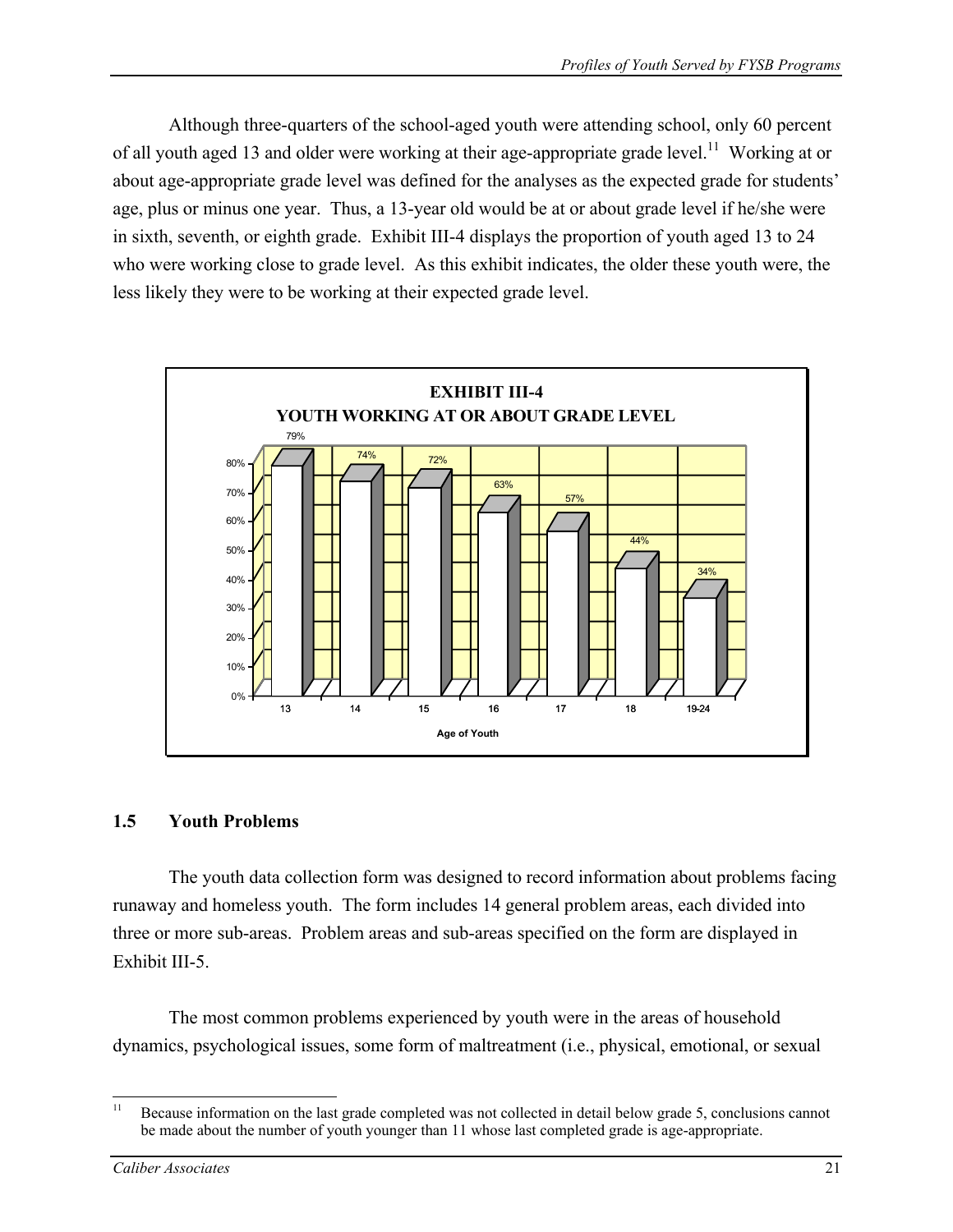Although three-quarters of the school-aged youth were attending school, only 60 percent of all youth aged 13 and older were working at their age-appropriate grade level.<sup>11</sup> Working at or about age-appropriate grade level was defined for the analyses as the expected grade for students' age, plus or minus one year. Thus, a 13-year old would be at or about grade level if he/she were in sixth, seventh, or eighth grade. Exhibit III-4 displays the proportion of youth aged 13 to 24 who were working close to grade level. As this exhibit indicates, the older these youth were, the less likely they were to be working at their expected grade level.



### **1.5 Youth Problems**

The youth data collection form was designed to record information about problems facing runaway and homeless youth. The form includes 14 general problem areas, each divided into three or more sub-areas. Problem areas and sub-areas specified on the form are displayed in Exhibit III-5.

The most common problems experienced by youth were in the areas of household dynamics, psychological issues, some form of maltreatment (i.e., physical, emotional, or sexual

 $11$ Because information on the last grade completed was not collected in detail below grade 5, conclusions cannot be made about the number of youth younger than 11 whose last completed grade is age-appropriate.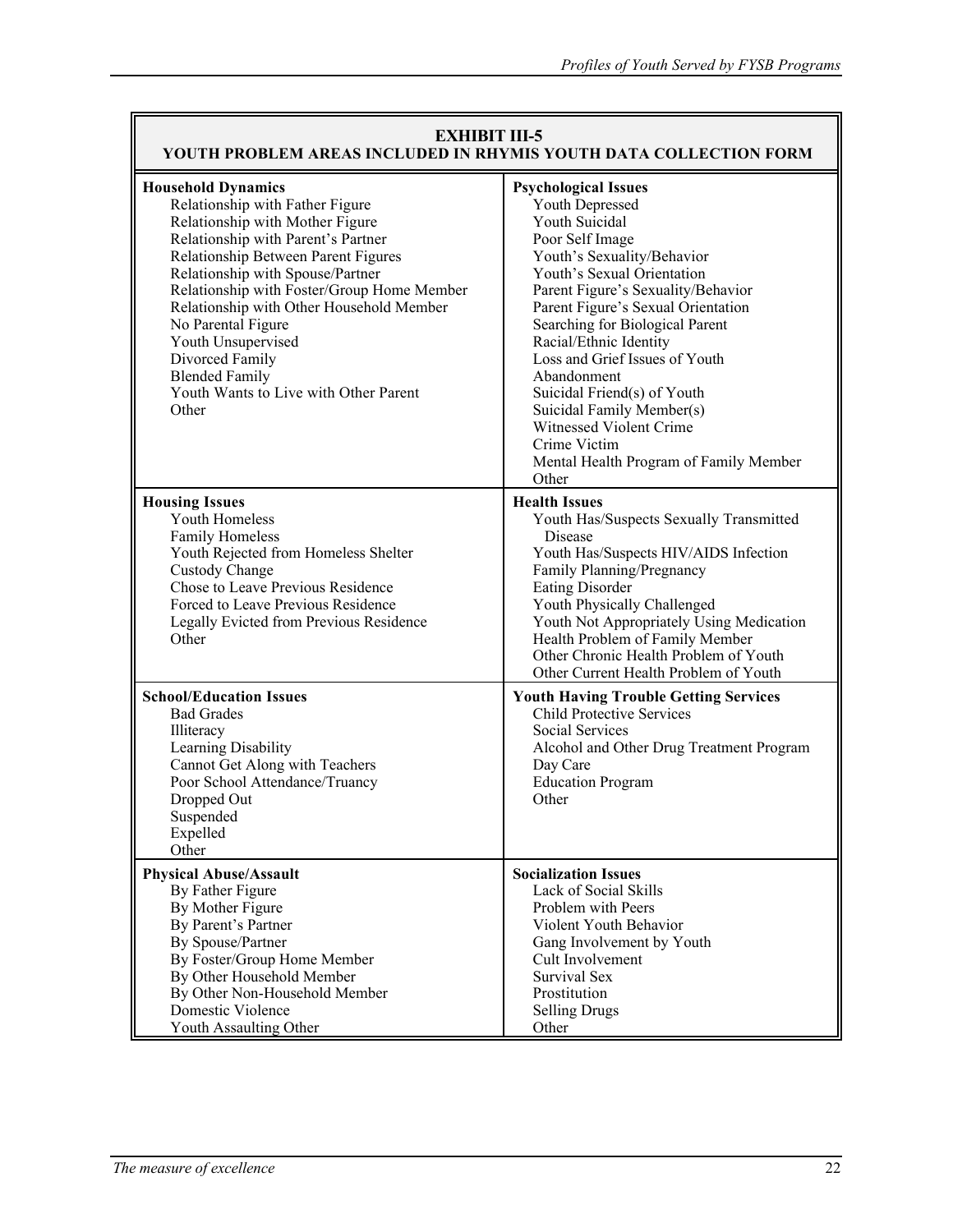| <b>EXHIBIT III-5</b><br>YOUTH PROBLEM AREAS INCLUDED IN RHYMIS YOUTH DATA COLLECTION FORM                                                                                                                                                                                                                                                                                                                                                            |                                                                                                                                                                                                                                                                                                                                                                                                                                                                                                            |  |  |  |
|------------------------------------------------------------------------------------------------------------------------------------------------------------------------------------------------------------------------------------------------------------------------------------------------------------------------------------------------------------------------------------------------------------------------------------------------------|------------------------------------------------------------------------------------------------------------------------------------------------------------------------------------------------------------------------------------------------------------------------------------------------------------------------------------------------------------------------------------------------------------------------------------------------------------------------------------------------------------|--|--|--|
| <b>Household Dynamics</b><br>Relationship with Father Figure<br>Relationship with Mother Figure<br>Relationship with Parent's Partner<br>Relationship Between Parent Figures<br>Relationship with Spouse/Partner<br>Relationship with Foster/Group Home Member<br>Relationship with Other Household Member<br>No Parental Figure<br>Youth Unsupervised<br>Divorced Family<br><b>Blended Family</b><br>Youth Wants to Live with Other Parent<br>Other | <b>Psychological Issues</b><br><b>Youth Depressed</b><br>Youth Suicidal<br>Poor Self Image<br>Youth's Sexuality/Behavior<br>Youth's Sexual Orientation<br>Parent Figure's Sexuality/Behavior<br>Parent Figure's Sexual Orientation<br>Searching for Biological Parent<br>Racial/Ethnic Identity<br>Loss and Grief Issues of Youth<br>Abandonment<br>Suicidal Friend(s) of Youth<br>Suicidal Family Member(s)<br>Witnessed Violent Crime<br>Crime Victim<br>Mental Health Program of Family Member<br>Other |  |  |  |
| <b>Housing Issues</b><br>Youth Homeless<br><b>Family Homeless</b><br>Youth Rejected from Homeless Shelter<br>Custody Change<br>Chose to Leave Previous Residence<br>Forced to Leave Previous Residence<br>Legally Evicted from Previous Residence<br>Other                                                                                                                                                                                           | <b>Health Issues</b><br>Youth Has/Suspects Sexually Transmitted<br>Disease<br>Youth Has/Suspects HIV/AIDS Infection<br>Family Planning/Pregnancy<br><b>Eating Disorder</b><br>Youth Physically Challenged<br>Youth Not Appropriately Using Medication<br>Health Problem of Family Member<br>Other Chronic Health Problem of Youth<br>Other Current Health Problem of Youth                                                                                                                                 |  |  |  |
| <b>School/Education Issues</b><br><b>Bad Grades</b><br>Illiteracy<br>Learning Disability<br>Cannot Get Along with Teachers<br>Poor School Attendance/Truancy<br>Dropped Out<br>Suspended<br>Expelled<br>Other                                                                                                                                                                                                                                        | <b>Youth Having Trouble Getting Services</b><br><b>Child Protective Services</b><br>Social Services<br>Alcohol and Other Drug Treatment Program<br>Day Care<br><b>Education Program</b><br>Other                                                                                                                                                                                                                                                                                                           |  |  |  |
| <b>Physical Abuse/Assault</b><br>By Father Figure<br>By Mother Figure<br>By Parent's Partner<br>By Spouse/Partner<br>By Foster/Group Home Member<br>By Other Household Member<br>By Other Non-Household Member<br>Domestic Violence<br>Youth Assaulting Other                                                                                                                                                                                        | <b>Socialization Issues</b><br>Lack of Social Skills<br>Problem with Peers<br>Violent Youth Behavior<br>Gang Involvement by Youth<br>Cult Involvement<br><b>Survival Sex</b><br>Prostitution<br><b>Selling Drugs</b><br>Other                                                                                                                                                                                                                                                                              |  |  |  |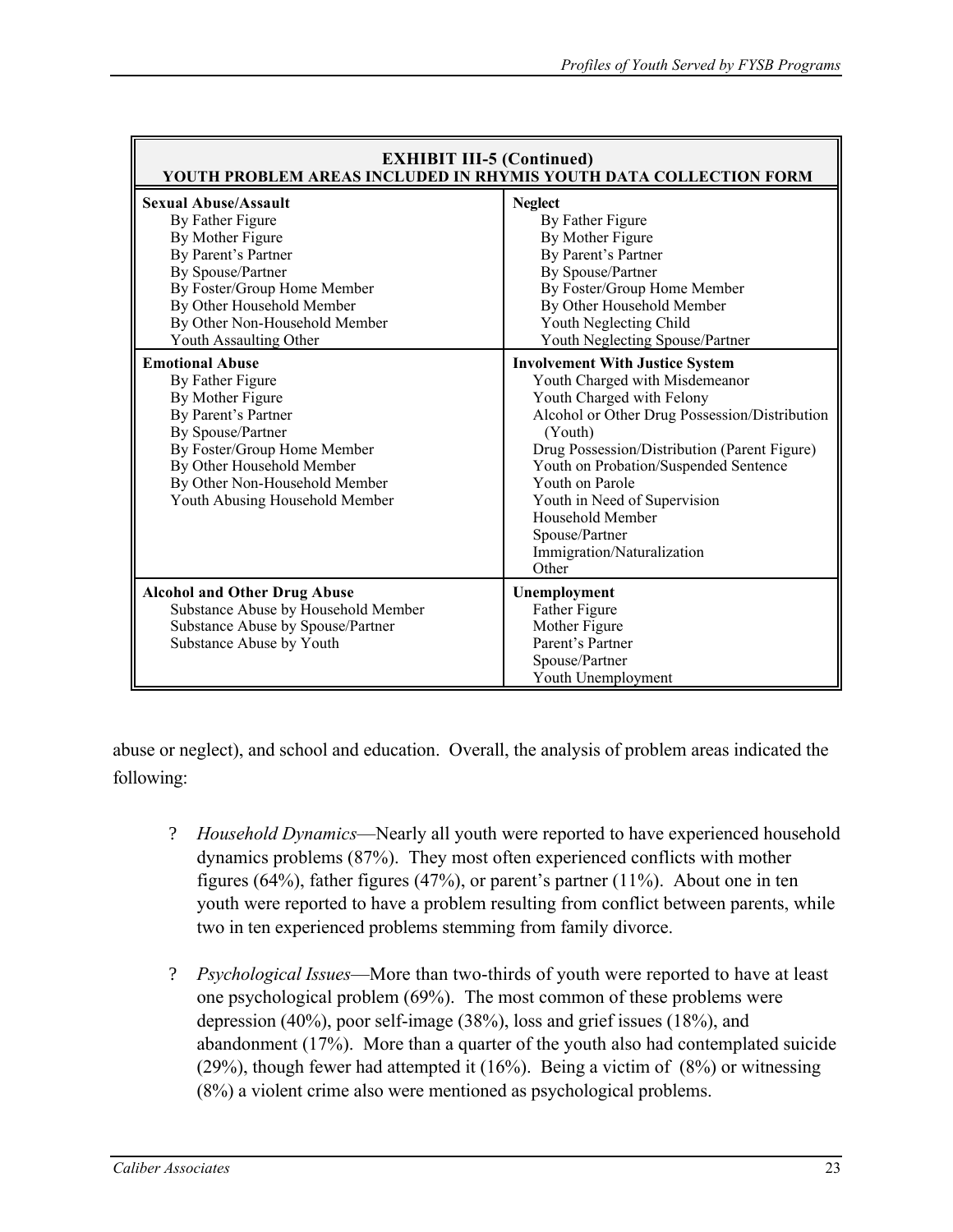| <b>EXHIBIT III-5 (Continued)</b><br>YOUTH PROBLEM AREAS INCLUDED IN RHYMIS YOUTH DATA COLLECTION FORM                                                                                                                                                            |                                                                                                                                                                                                                                                                                                                                                                                            |  |  |  |
|------------------------------------------------------------------------------------------------------------------------------------------------------------------------------------------------------------------------------------------------------------------|--------------------------------------------------------------------------------------------------------------------------------------------------------------------------------------------------------------------------------------------------------------------------------------------------------------------------------------------------------------------------------------------|--|--|--|
| <b>Sexual Abuse/Assault</b><br>By Father Figure<br>By Mother Figure<br>By Parent's Partner<br>By Spouse/Partner<br>By Foster/Group Home Member<br>By Other Household Member<br>By Other Non-Household Member<br>Youth Assaulting Other<br><b>Emotional Abuse</b> | <b>Neglect</b><br>By Father Figure<br>By Mother Figure<br>By Parent's Partner<br>By Spouse/Partner<br>By Foster/Group Home Member<br>By Other Household Member<br>Youth Neglecting Child<br>Youth Neglecting Spouse/Partner                                                                                                                                                                |  |  |  |
| By Father Figure<br>By Mother Figure<br>By Parent's Partner<br>By Spouse/Partner<br>By Foster/Group Home Member<br>By Other Household Member<br>By Other Non-Household Member<br>Youth Abusing Household Member                                                  | <b>Involvement With Justice System</b><br>Youth Charged with Misdemeanor<br>Youth Charged with Felony<br>Alcohol or Other Drug Possession/Distribution<br>(Youth)<br>Drug Possession/Distribution (Parent Figure)<br>Youth on Probation/Suspended Sentence<br>Youth on Parole<br>Youth in Need of Supervision<br>Household Member<br>Spouse/Partner<br>Immigration/Naturalization<br>Other |  |  |  |
| <b>Alcohol and Other Drug Abuse</b><br>Substance Abuse by Household Member<br>Substance Abuse by Spouse/Partner<br>Substance Abuse by Youth                                                                                                                      | Unemployment<br>Father Figure<br>Mother Figure<br>Parent's Partner<br>Spouse/Partner<br>Youth Unemployment                                                                                                                                                                                                                                                                                 |  |  |  |

abuse or neglect), and school and education. Overall, the analysis of problem areas indicated the following:

- ? *Household Dynamics*—Nearly all youth were reported to have experienced household dynamics problems (87%). They most often experienced conflicts with mother figures (64%), father figures (47%), or parent's partner (11%). About one in ten youth were reported to have a problem resulting from conflict between parents, while two in ten experienced problems stemming from family divorce.
- ? *Psychological Issues*—More than two-thirds of youth were reported to have at least one psychological problem (69%). The most common of these problems were depression (40%), poor self-image (38%), loss and grief issues (18%), and abandonment (17%). More than a quarter of the youth also had contemplated suicide (29%), though fewer had attempted it (16%). Being a victim of (8%) or witnessing (8%) a violent crime also were mentioned as psychological problems.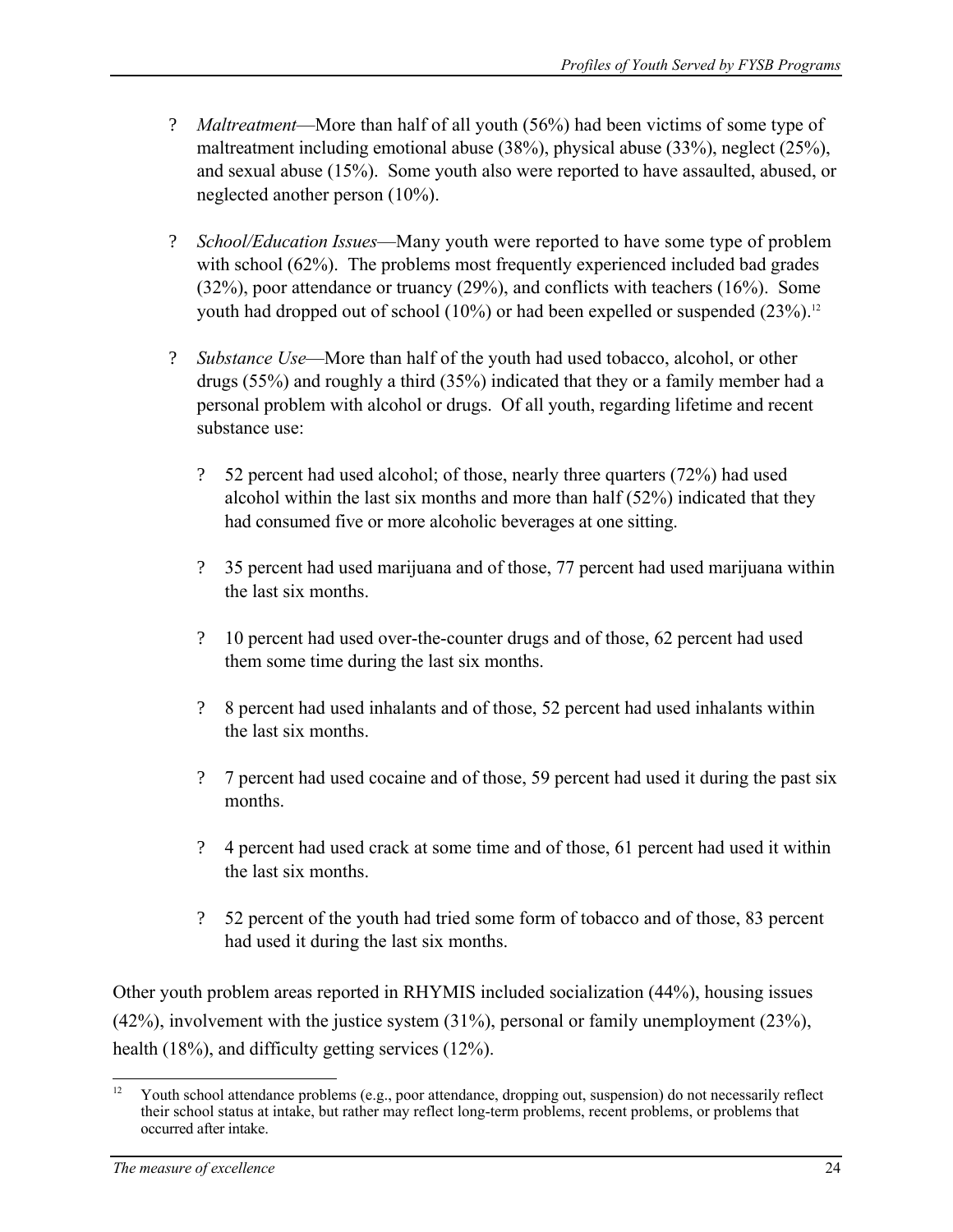- ? *Maltreatment*—More than half of all youth (56%) had been victims of some type of maltreatment including emotional abuse (38%), physical abuse (33%), neglect (25%), and sexual abuse (15%). Some youth also were reported to have assaulted, abused, or neglected another person (10%).
- ? *School/Education Issues*—Many youth were reported to have some type of problem with school (62%). The problems most frequently experienced included bad grades (32%), poor attendance or truancy (29%), and conflicts with teachers (16%). Some youth had dropped out of school (10%) or had been expelled or suspended (23%).<sup>12</sup>
- ? *Substance Use*—More than half of the youth had used tobacco, alcohol, or other drugs (55%) and roughly a third (35%) indicated that they or a family member had a personal problem with alcohol or drugs. Of all youth, regarding lifetime and recent substance use:
	- ? 52 percent had used alcohol; of those, nearly three quarters (72%) had used alcohol within the last six months and more than half (52%) indicated that they had consumed five or more alcoholic beverages at one sitting.
	- ? 35 percent had used marijuana and of those, 77 percent had used marijuana within the last six months.
	- ? 10 percent had used over-the-counter drugs and of those, 62 percent had used them some time during the last six months.
	- ? 8 percent had used inhalants and of those, 52 percent had used inhalants within the last six months.
	- ? 7 percent had used cocaine and of those, 59 percent had used it during the past six months.
	- ? 4 percent had used crack at some time and of those, 61 percent had used it within the last six months.
	- ? 52 percent of the youth had tried some form of tobacco and of those, 83 percent had used it during the last six months.

Other youth problem areas reported in RHYMIS included socialization (44%), housing issues (42%), involvement with the justice system (31%), personal or family unemployment (23%), health (18%), and difficulty getting services (12%).

 $12$ Youth school attendance problems (e.g., poor attendance, dropping out, suspension) do not necessarily reflect their school status at intake, but rather may reflect long-term problems, recent problems, or problems that occurred after intake.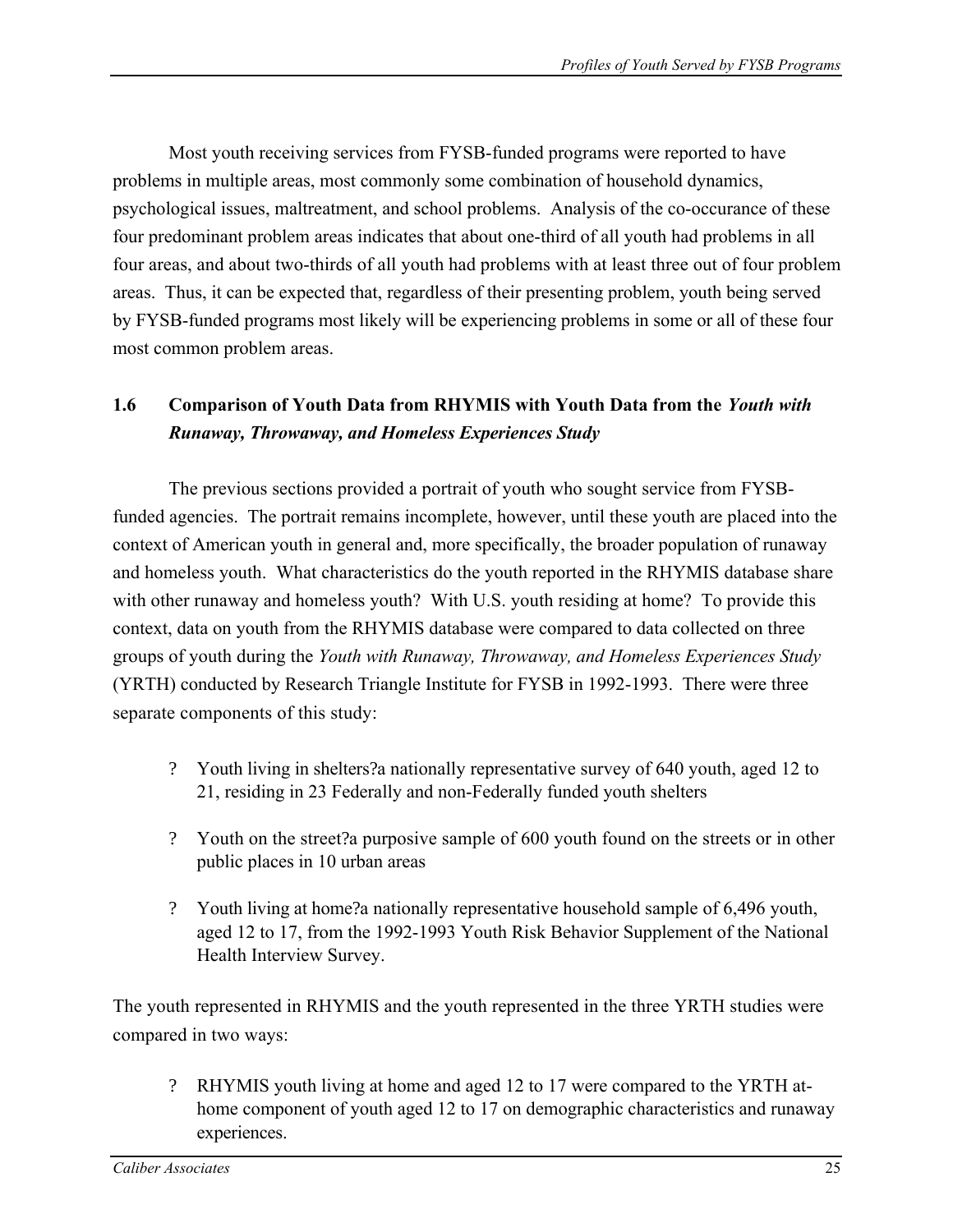Most youth receiving services from FYSB-funded programs were reported to have problems in multiple areas, most commonly some combination of household dynamics, psychological issues, maltreatment, and school problems. Analysis of the co-occurance of these four predominant problem areas indicates that about one-third of all youth had problems in all four areas, and about two-thirds of all youth had problems with at least three out of four problem areas. Thus, it can be expected that, regardless of their presenting problem, youth being served by FYSB-funded programs most likely will be experiencing problems in some or all of these four most common problem areas.

# **1.6 Comparison of Youth Data from RHYMIS with Youth Data from the** *Youth with Runaway, Throwaway, and Homeless Experiences Study*

The previous sections provided a portrait of youth who sought service from FYSBfunded agencies. The portrait remains incomplete, however, until these youth are placed into the context of American youth in general and, more specifically, the broader population of runaway and homeless youth. What characteristics do the youth reported in the RHYMIS database share with other runaway and homeless youth? With U.S. youth residing at home? To provide this context, data on youth from the RHYMIS database were compared to data collected on three groups of youth during the *Youth with Runaway, Throwaway, and Homeless Experiences Study*  (YRTH) conducted by Research Triangle Institute for FYSB in 1992-1993. There were three separate components of this study:

- ? Youth living in shelters?a nationally representative survey of 640 youth, aged 12 to 21, residing in 23 Federally and non-Federally funded youth shelters
- ? Youth on the street?a purposive sample of 600 youth found on the streets or in other public places in 10 urban areas
- ? Youth living at home?a nationally representative household sample of 6,496 youth, aged 12 to 17, from the 1992-1993 Youth Risk Behavior Supplement of the National Health Interview Survey.

The youth represented in RHYMIS and the youth represented in the three YRTH studies were compared in two ways:

? RHYMIS youth living at home and aged 12 to 17 were compared to the YRTH athome component of youth aged 12 to 17 on demographic characteristics and runaway experiences.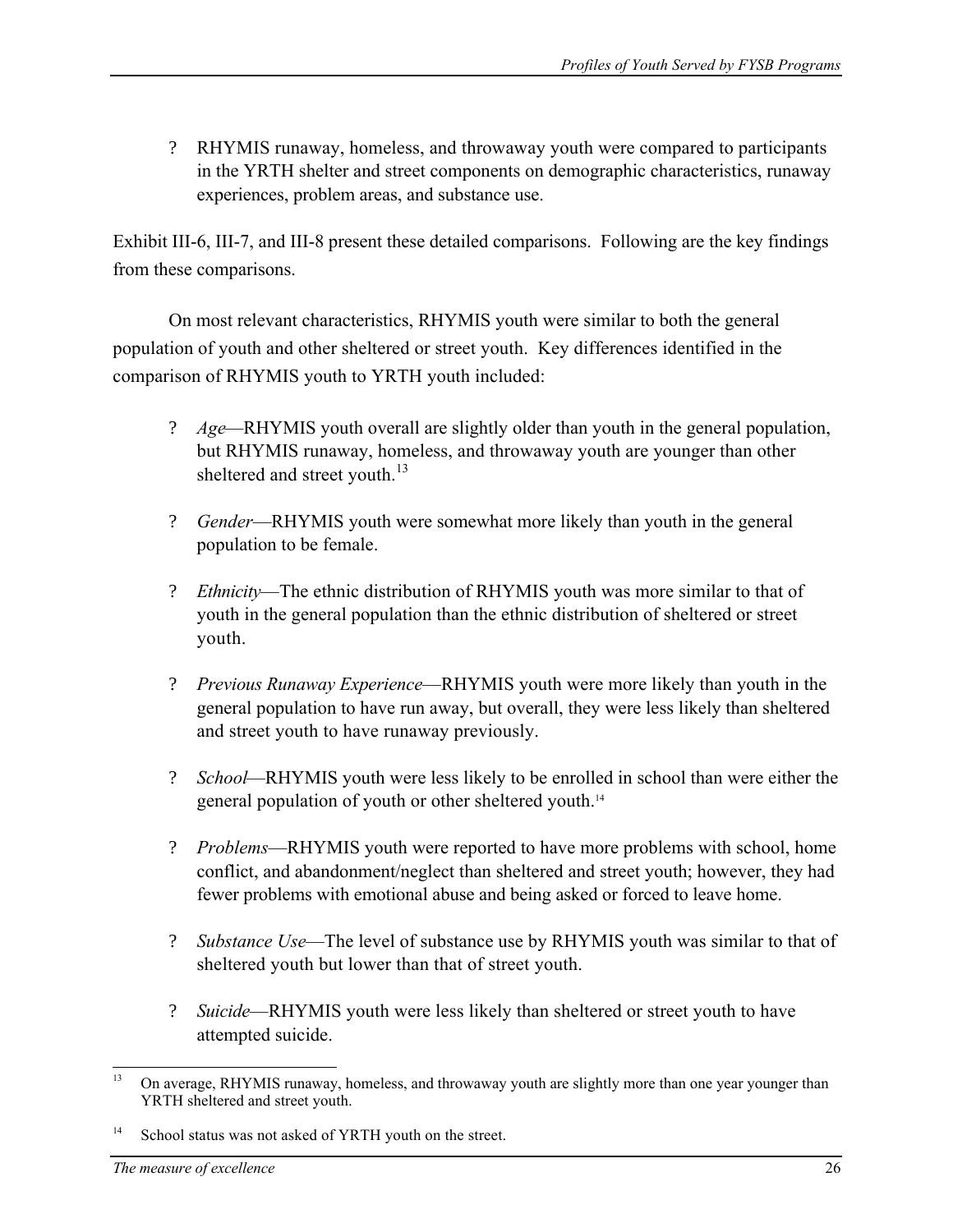? RHYMIS runaway, homeless, and throwaway youth were compared to participants in the YRTH shelter and street components on demographic characteristics, runaway experiences, problem areas, and substance use.

Exhibit III-6, III-7, and III-8 present these detailed comparisons. Following are the key findings from these comparisons.

On most relevant characteristics, RHYMIS youth were similar to both the general population of youth and other sheltered or street youth. Key differences identified in the comparison of RHYMIS youth to YRTH youth included:

- ? *Age*—RHYMIS youth overall are slightly older than youth in the general population, but RHYMIS runaway, homeless, and throwaway youth are younger than other sheltered and street youth.<sup>13</sup>
- ? *Gender*—RHYMIS youth were somewhat more likely than youth in the general population to be female.
- ? *Ethnicity*—The ethnic distribution of RHYMIS youth was more similar to that of youth in the general population than the ethnic distribution of sheltered or street youth.
- ? *Previous Runaway Experience*—RHYMIS youth were more likely than youth in the general population to have run away, but overall, they were less likely than sheltered and street youth to have runaway previously.
- ? *School*—RHYMIS youth were less likely to be enrolled in school than were either the general population of youth or other sheltered youth.14
- ? *Problems*—RHYMIS youth were reported to have more problems with school, home conflict, and abandonment/neglect than sheltered and street youth; however, they had fewer problems with emotional abuse and being asked or forced to leave home.
- ? *Substance Use*—The level of substance use by RHYMIS youth was similar to that of sheltered youth but lower than that of street youth.
- ? *Suicide*—RHYMIS youth were less likely than sheltered or street youth to have attempted suicide.

 $13$ On average, RHYMIS runaway, homeless, and throwaway youth are slightly more than one year younger than YRTH sheltered and street youth.

<sup>&</sup>lt;sup>14</sup> School status was not asked of YRTH youth on the street.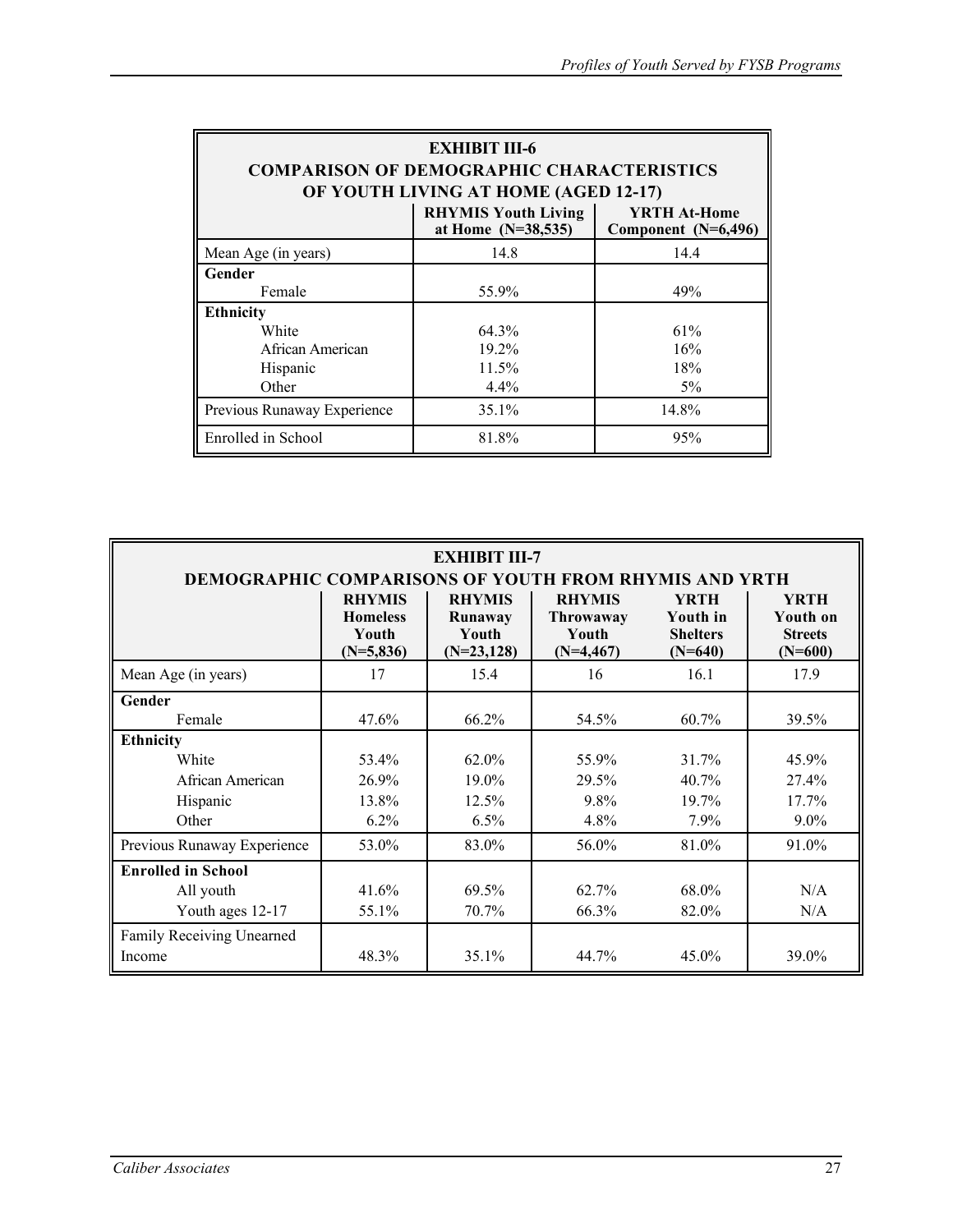| <b>EXHIBIT III-6</b><br><b>COMPARISON OF DEMOGRAPHIC CHARACTERISTICS</b><br>OF YOUTH LIVING AT HOME (AGED 12-17) |         |       |  |  |  |  |  |
|------------------------------------------------------------------------------------------------------------------|---------|-------|--|--|--|--|--|
| <b>RHYMIS Youth Living</b><br>YRTH At-Home<br>at Home $(N=38,535)$<br>Component (N=6,496)                        |         |       |  |  |  |  |  |
| Mean Age (in years)                                                                                              | 14.8    | 14.4  |  |  |  |  |  |
| Gender                                                                                                           |         |       |  |  |  |  |  |
| Female                                                                                                           | 55.9%   | 49%   |  |  |  |  |  |
| <b>Ethnicity</b>                                                                                                 |         |       |  |  |  |  |  |
| White                                                                                                            | 64.3%   | 61%   |  |  |  |  |  |
| African American                                                                                                 | 19.2%   | 16%   |  |  |  |  |  |
| Hispanic                                                                                                         | 11.5%   | 18%   |  |  |  |  |  |
| Other                                                                                                            | $4.4\%$ | $5\%$ |  |  |  |  |  |
| Previous Runaway Experience                                                                                      | 35.1%   | 14.8% |  |  |  |  |  |
| Enrolled in School                                                                                               | 81.8%   | 95%   |  |  |  |  |  |

| <b>EXHIBIT III-7</b><br><b>DEMOGRAPHIC COMPARISONS OF YOUTH FROM RHYMIS AND YRTH</b>    |                                                          |                                                    |                                                    |                                                                |                                                        |  |  |  |
|-----------------------------------------------------------------------------------------|----------------------------------------------------------|----------------------------------------------------|----------------------------------------------------|----------------------------------------------------------------|--------------------------------------------------------|--|--|--|
|                                                                                         | <b>RHYMIS</b><br><b>Homeless</b><br>Youth<br>$(N=5,836)$ | <b>RHYMIS</b><br>Runaway<br>Youth<br>$(N=23, 128)$ | <b>RHYMIS</b><br>Throwaway<br>Youth<br>$(N=4,467)$ | <b>YRTH</b><br><b>Youth in</b><br><b>Shelters</b><br>$(N=640)$ | <b>YRTH</b><br>Youth on<br><b>Streets</b><br>$(N=600)$ |  |  |  |
| Mean Age (in years)                                                                     | 17                                                       | 15.4                                               | 16                                                 | 16.1                                                           | 17.9                                                   |  |  |  |
| Gender<br>Female                                                                        | 47.6%                                                    | 66.2%                                              | 54.5%                                              | 60.7%                                                          | 39.5%                                                  |  |  |  |
| <b>Ethnicity</b><br>White<br>African American<br>Hispanic<br>Other                      | 53.4%<br>26.9%<br>13.8%<br>6.2%                          | 62.0%<br>19.0%<br>12.5%<br>6.5%                    | 55.9%<br>29.5%<br>$9.8\%$<br>4.8%                  | 31.7%<br>40.7%<br>19.7%<br>7.9%                                | 45.9%<br>27.4%<br>17.7%<br>$9.0\%$                     |  |  |  |
| Previous Runaway Experience                                                             | 53.0%                                                    | 83.0%                                              | 56.0%                                              | 81.0%                                                          | 91.0%                                                  |  |  |  |
| <b>Enrolled in School</b><br>All youth<br>Youth ages 12-17<br>Family Receiving Unearned | 41.6%<br>55.1%                                           | 69.5%<br>70.7%                                     | 62.7%<br>66.3%                                     | 68.0%<br>82.0%                                                 | N/A<br>N/A                                             |  |  |  |
| Income                                                                                  | 48.3%                                                    | 35.1%                                              | 44.7%                                              | 45.0%                                                          | 39.0%                                                  |  |  |  |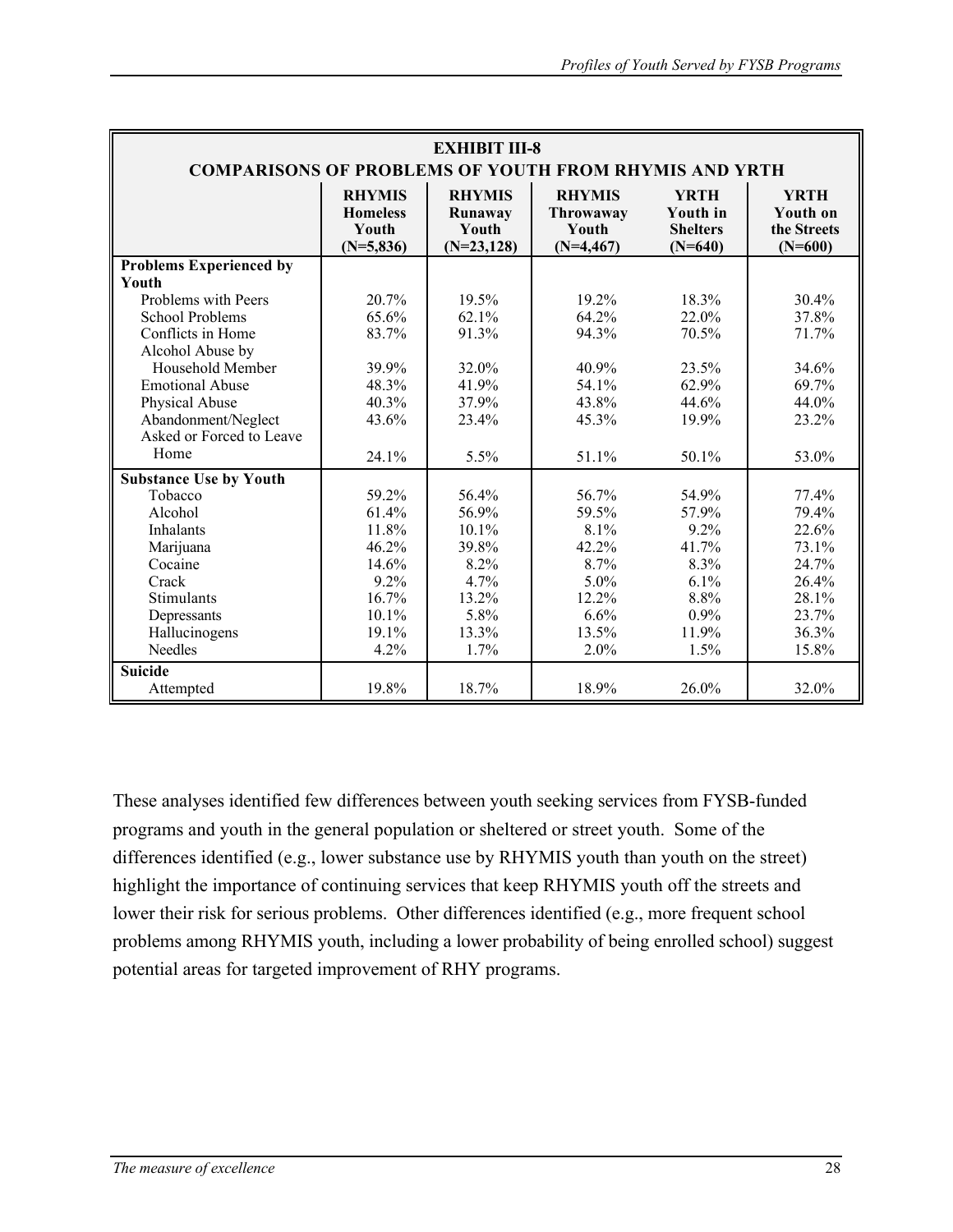| <b>EXHIBIT III-8</b><br><b>COMPARISONS OF PROBLEMS OF YOUTH FROM RHYMIS AND YRTH</b> |                                                          |                                                   |                                                    |                                                                |                                                     |  |  |  |
|--------------------------------------------------------------------------------------|----------------------------------------------------------|---------------------------------------------------|----------------------------------------------------|----------------------------------------------------------------|-----------------------------------------------------|--|--|--|
|                                                                                      | <b>RHYMIS</b><br><b>Homeless</b><br>Youth<br>$(N=5,836)$ | <b>RHYMIS</b><br>Runaway<br>Youth<br>$(N=23,128)$ | <b>RHYMIS</b><br>Throwaway<br>Youth<br>$(N=4,467)$ | <b>YRTH</b><br><b>Youth in</b><br><b>Shelters</b><br>$(N=640)$ | <b>YRTH</b><br>Youth on<br>the Streets<br>$(N=600)$ |  |  |  |
| <b>Problems Experienced by</b>                                                       |                                                          |                                                   |                                                    |                                                                |                                                     |  |  |  |
| Youth                                                                                |                                                          |                                                   |                                                    |                                                                |                                                     |  |  |  |
| Problems with Peers                                                                  | 20.7%                                                    | 19.5%                                             | 19.2%                                              | 18.3%                                                          | 30.4%                                               |  |  |  |
| <b>School Problems</b>                                                               | 65.6%                                                    | 62.1%                                             | 64.2%                                              | 22.0%                                                          | 37.8%                                               |  |  |  |
| Conflicts in Home                                                                    | 83.7%                                                    | 91.3%                                             | 94.3%                                              | 70.5%                                                          | 71.7%                                               |  |  |  |
| Alcohol Abuse by                                                                     |                                                          |                                                   |                                                    |                                                                |                                                     |  |  |  |
| Household Member                                                                     | 39.9%                                                    | 32.0%                                             | 40.9%                                              | 23.5%                                                          | 34.6%                                               |  |  |  |
| <b>Emotional Abuse</b>                                                               | 48.3%                                                    | 41.9%                                             | 54.1%                                              | 62.9%                                                          | 69.7%                                               |  |  |  |
| Physical Abuse                                                                       | 40.3%                                                    | 37.9%                                             | 43.8%                                              | 44.6%                                                          | 44.0%                                               |  |  |  |
| Abandonment/Neglect                                                                  | 43.6%                                                    | 23.4%                                             | 45.3%                                              | 19.9%                                                          | 23.2%                                               |  |  |  |
| Asked or Forced to Leave                                                             |                                                          |                                                   |                                                    |                                                                |                                                     |  |  |  |
| Home                                                                                 | 24.1%                                                    | 5.5%                                              | 51.1%                                              | 50.1%                                                          | 53.0%                                               |  |  |  |
| <b>Substance Use by Youth</b>                                                        |                                                          |                                                   |                                                    |                                                                |                                                     |  |  |  |
| Tobacco                                                                              | 59.2%                                                    | 56.4%                                             | 56.7%                                              | 54.9%                                                          | 77.4%                                               |  |  |  |
| Alcohol                                                                              | 61.4%                                                    | 56.9%                                             | 59.5%                                              | 57.9%                                                          | 79.4%                                               |  |  |  |
| Inhalants                                                                            | 11.8%                                                    | 10.1%                                             | $8.1\%$                                            | 9.2%                                                           | 22.6%                                               |  |  |  |
| Marijuana                                                                            | 46.2%                                                    | 39.8%                                             | 42.2%                                              | 41.7%                                                          | 73.1%                                               |  |  |  |
| Cocaine                                                                              | 14.6%                                                    | 8.2%                                              | 8.7%                                               | 8.3%                                                           | 24.7%                                               |  |  |  |
| Crack                                                                                | 9.2%                                                     | 4.7%                                              | 5.0%                                               | 6.1%                                                           | 26.4%                                               |  |  |  |
| Stimulants                                                                           | 16.7%                                                    | 13.2%                                             | 12.2%                                              | 8.8%                                                           | 28.1%                                               |  |  |  |
| Depressants                                                                          | 10.1%                                                    | 5.8%                                              | 6.6%                                               | $0.9\%$                                                        | 23.7%                                               |  |  |  |
| Hallucinogens                                                                        | 19.1%                                                    | 13.3%                                             | 13.5%                                              | 11.9%                                                          | 36.3%                                               |  |  |  |
| Needles                                                                              | 4.2%                                                     | 1.7%                                              | 2.0%                                               | 1.5%                                                           | 15.8%                                               |  |  |  |
| <b>Suicide</b>                                                                       |                                                          |                                                   |                                                    |                                                                |                                                     |  |  |  |
| Attempted                                                                            | 19.8%                                                    | 18.7%                                             | 18.9%                                              | 26.0%                                                          | 32.0%                                               |  |  |  |

These analyses identified few differences between youth seeking services from FYSB-funded programs and youth in the general population or sheltered or street youth. Some of the differences identified (e.g., lower substance use by RHYMIS youth than youth on the street) highlight the importance of continuing services that keep RHYMIS youth off the streets and lower their risk for serious problems. Other differences identified (e.g., more frequent school problems among RHYMIS youth, including a lower probability of being enrolled school) suggest potential areas for targeted improvement of RHY programs.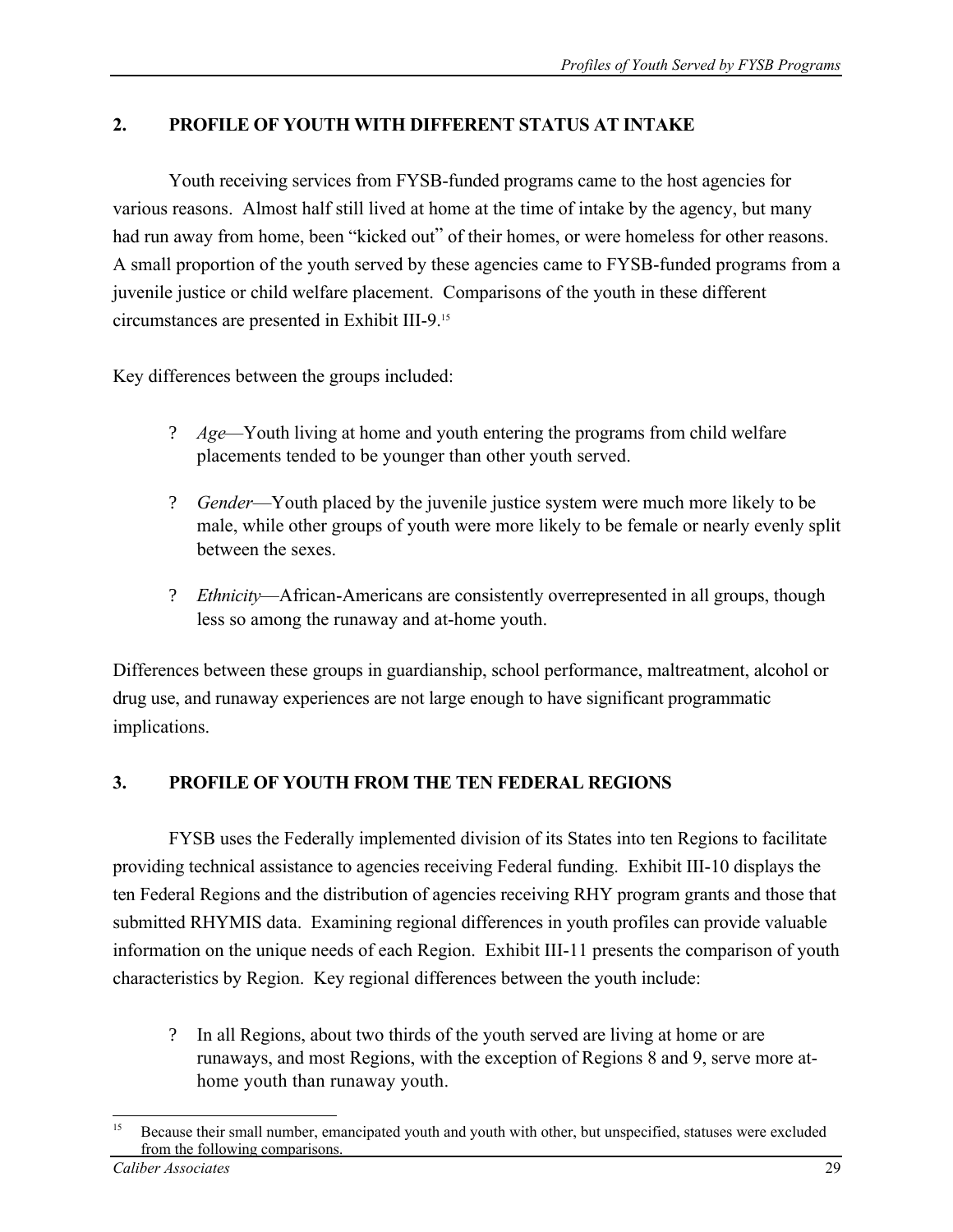# **2. PROFILE OF YOUTH WITH DIFFERENT STATUS AT INTAKE**

Youth receiving services from FYSB-funded programs came to the host agencies for various reasons. Almost half still lived at home at the time of intake by the agency, but many had run away from home, been "kicked out" of their homes, or were homeless for other reasons. A small proportion of the youth served by these agencies came to FYSB-funded programs from a juvenile justice or child welfare placement. Comparisons of the youth in these different circumstances are presented in Exhibit III-9.15

Key differences between the groups included:

- ? *Age*—Youth living at home and youth entering the programs from child welfare placements tended to be younger than other youth served.
- ? *Gender*—Youth placed by the juvenile justice system were much more likely to be male, while other groups of youth were more likely to be female or nearly evenly split between the sexes.
- ? *Ethnicity*—African-Americans are consistently overrepresented in all groups, though less so among the runaway and at-home youth.

Differences between these groups in guardianship, school performance, maltreatment, alcohol or drug use, and runaway experiences are not large enough to have significant programmatic implications.

# **3. PROFILE OF YOUTH FROM THE TEN FEDERAL REGIONS**

FYSB uses the Federally implemented division of its States into ten Regions to facilitate providing technical assistance to agencies receiving Federal funding. Exhibit III-10 displays the ten Federal Regions and the distribution of agencies receiving RHY program grants and those that submitted RHYMIS data. Examining regional differences in youth profiles can provide valuable information on the unique needs of each Region. Exhibit III-11 presents the comparison of youth characteristics by Region. Key regional differences between the youth include:

? In all Regions, about two thirds of the youth served are living at home or are runaways, and most Regions, with the exception of Regions 8 and 9, serve more athome youth than runaway youth.

 $15$ Because their small number, emancipated youth and youth with other, but unspecified, statuses were excluded from the following comparisons. *Caliber Associates* 29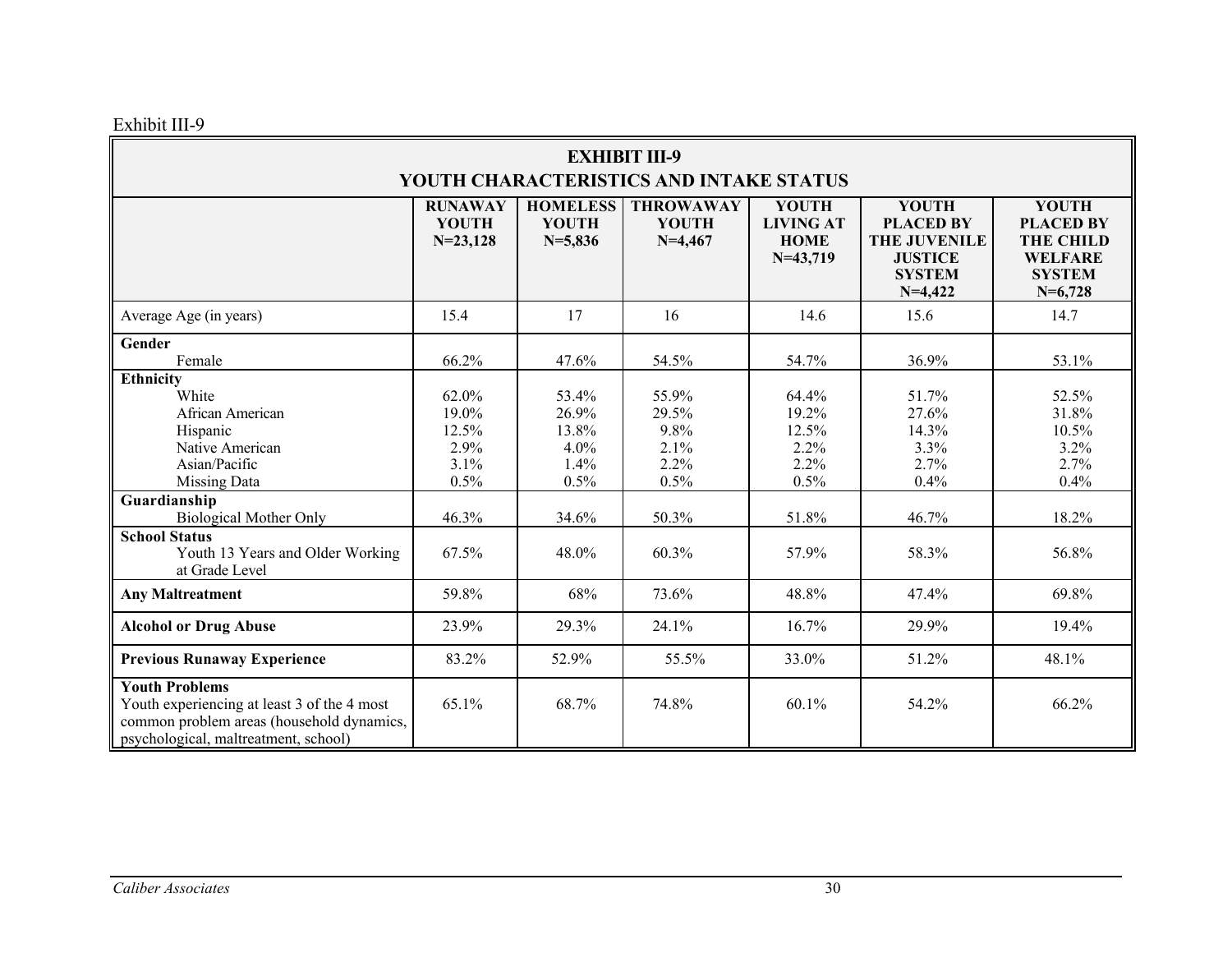Exhibit III-9

| <b>EXHIBIT III-9</b><br>YOUTH CHARACTERISTICS AND INTAKE STATUS                                                                                                                                                                              |                                                                   |                                                                   |                                                                  |                                                                   |                                                                                                         |                                                                                                      |  |
|----------------------------------------------------------------------------------------------------------------------------------------------------------------------------------------------------------------------------------------------|-------------------------------------------------------------------|-------------------------------------------------------------------|------------------------------------------------------------------|-------------------------------------------------------------------|---------------------------------------------------------------------------------------------------------|------------------------------------------------------------------------------------------------------|--|
|                                                                                                                                                                                                                                              | <b>RUNAWAY</b><br><b>YOUTH</b><br>$N=23,128$                      | <b>HOMELESS</b><br><b>YOUTH</b><br>$N = 5,836$                    | <b>THROWAWAY</b><br><b>YOUTH</b><br>$N=4,467$                    | <b>YOUTH</b><br><b>LIVING AT</b><br><b>HOME</b><br>$N=43,719$     | <b>YOUTH</b><br><b>PLACED BY</b><br><b>THE JUVENILE</b><br><b>JUSTICE</b><br><b>SYSTEM</b><br>$N=4,422$ | <b>YOUTH</b><br><b>PLACED BY</b><br><b>THE CHILD</b><br><b>WELFARE</b><br><b>SYSTEM</b><br>$N=6,728$ |  |
| Average Age (in years)                                                                                                                                                                                                                       | 15.4                                                              | 17                                                                | 16                                                               | 14.6                                                              | 15.6                                                                                                    | 14.7                                                                                                 |  |
| Gender<br>Female                                                                                                                                                                                                                             | 66.2%                                                             | 47.6%                                                             | 54.5%                                                            | 54.7%                                                             | 36.9%                                                                                                   | 53.1%                                                                                                |  |
| Ethnicity<br>White<br>African American<br>Hispanic<br>Native American<br>Asian/Pacific<br><b>Missing Data</b><br>Guardianship<br><b>Biological Mother Only</b><br><b>School Status</b><br>Youth 13 Years and Older Working<br>at Grade Level | 62.0%<br>19.0%<br>12.5%<br>2.9%<br>3.1%<br>0.5%<br>46.3%<br>67.5% | 53.4%<br>26.9%<br>13.8%<br>4.0%<br>1.4%<br>0.5%<br>34.6%<br>48.0% | 55.9%<br>29.5%<br>9.8%<br>2.1%<br>2.2%<br>0.5%<br>50.3%<br>60.3% | 64.4%<br>19.2%<br>12.5%<br>2.2%<br>2.2%<br>0.5%<br>51.8%<br>57.9% | 51.7%<br>27.6%<br>14.3%<br>3.3%<br>2.7%<br>0.4%<br>46.7%<br>58.3%                                       | 52.5%<br>31.8%<br>10.5%<br>3.2%<br>2.7%<br>0.4%<br>18.2%<br>56.8%                                    |  |
| <b>Any Maltreatment</b>                                                                                                                                                                                                                      | 59.8%                                                             | 68%                                                               | 73.6%                                                            | 48.8%                                                             | 47.4%                                                                                                   | 69.8%                                                                                                |  |
| <b>Alcohol or Drug Abuse</b>                                                                                                                                                                                                                 | 23.9%                                                             | 29.3%                                                             | 24.1%                                                            | 16.7%                                                             | 29.9%                                                                                                   | 19.4%                                                                                                |  |
| <b>Previous Runaway Experience</b>                                                                                                                                                                                                           | 83.2%                                                             | 52.9%                                                             | 55.5%                                                            | 33.0%                                                             | 51.2%                                                                                                   | 48.1%                                                                                                |  |
| <b>Youth Problems</b><br>Youth experiencing at least 3 of the 4 most<br>common problem areas (household dynamics,<br>psychological, maltreatment, school)                                                                                    | 65.1%                                                             | 68.7%                                                             | 74.8%                                                            | $60.1\%$                                                          | 54.2%                                                                                                   | 66.2%                                                                                                |  |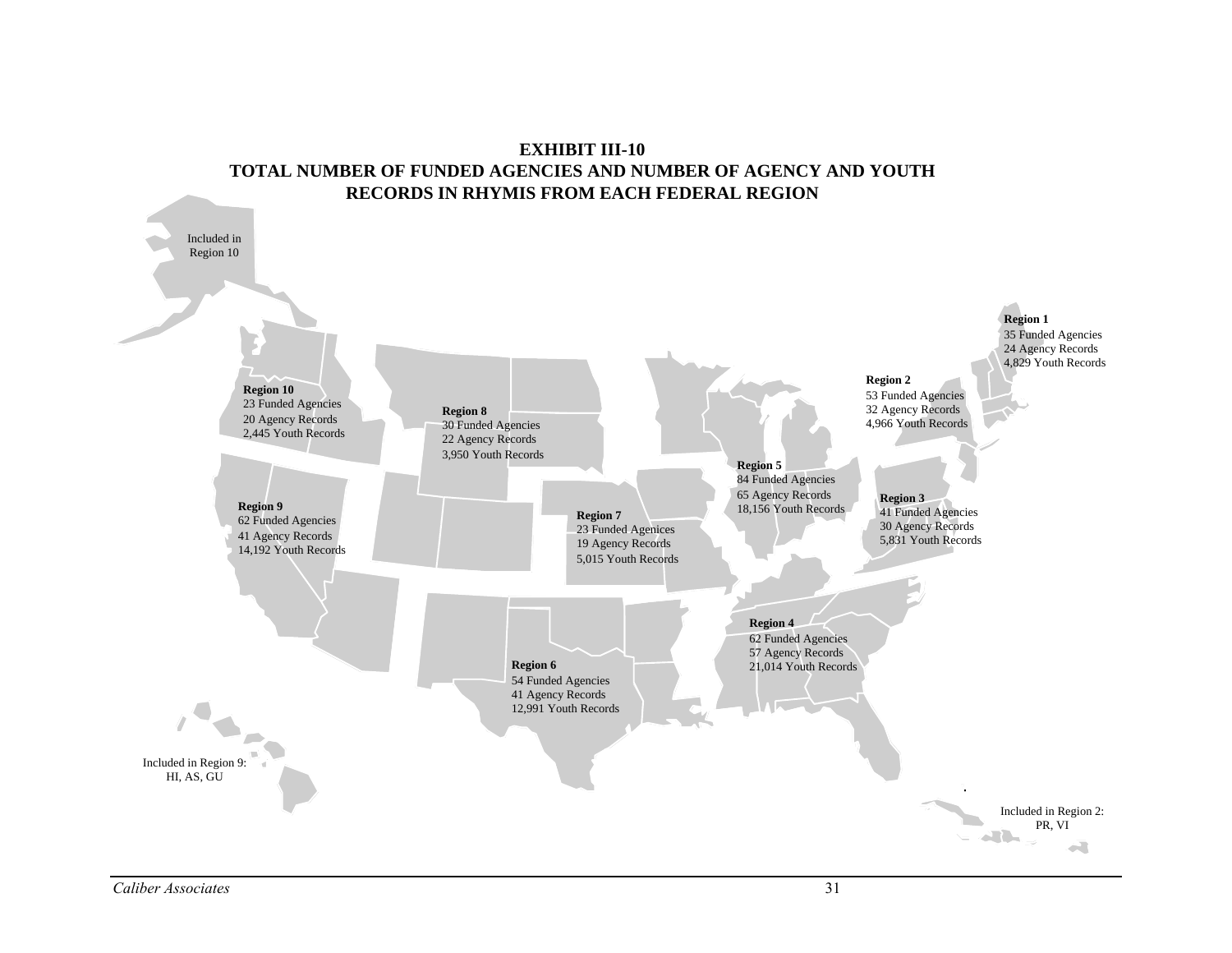### **EXHIBIT III-10 TOTAL NUMBER OF FUNDED AGENCIES AND NUMBER OF AGENCY AND YOUTH RECORDS IN RHYMIS FROM EACH FEDERAL REGION**

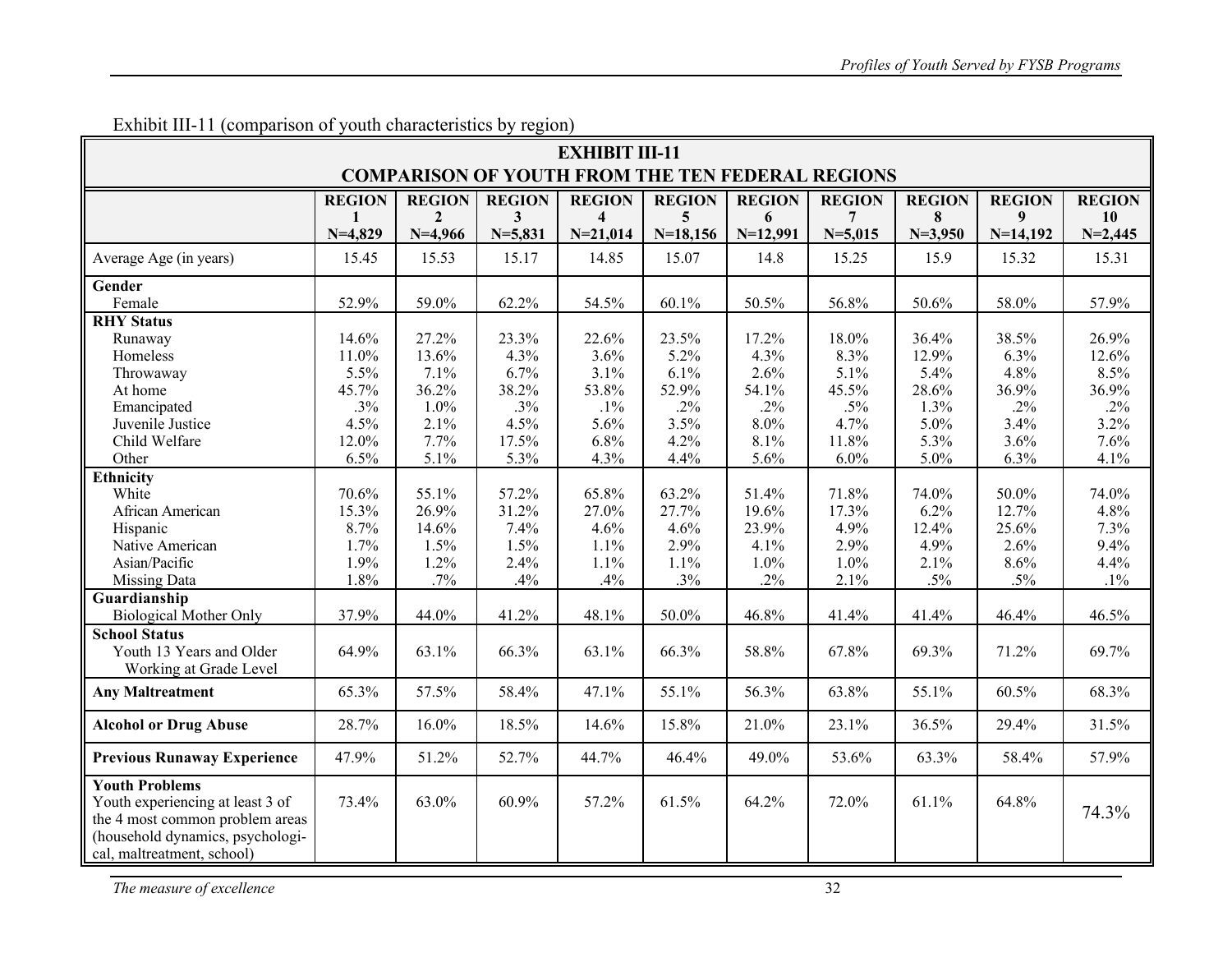| <b>EXHIBIT III-11</b>                                                                                                                                          |               |                |               |                         |               |               |               |               |               |               |
|----------------------------------------------------------------------------------------------------------------------------------------------------------------|---------------|----------------|---------------|-------------------------|---------------|---------------|---------------|---------------|---------------|---------------|
| <b>COMPARISON OF YOUTH FROM THE TEN FEDERAL REGIONS</b>                                                                                                        |               |                |               |                         |               |               |               |               |               |               |
|                                                                                                                                                                | <b>REGION</b> | <b>REGION</b>  | <b>REGION</b> | <b>REGION</b>           | <b>REGION</b> | <b>REGION</b> | <b>REGION</b> | <b>REGION</b> | <b>REGION</b> | <b>REGION</b> |
|                                                                                                                                                                | 1             | $\overline{2}$ | 3             | $\overline{\mathbf{4}}$ | 5             | 6             | 7             | 8             | 9             | <b>10</b>     |
|                                                                                                                                                                | $N=4,829$     | $N=4,966$      | $N = 5,831$   | $N = 21,014$            | $N=18,156$    | $N=12,991$    | $N = 5,015$   | $N=3,950$     | $N=14,192$    | $N=2,445$     |
| Average Age (in years)                                                                                                                                         | 15.45         | 15.53          | 15.17         | 14.85                   | 15.07         | 14.8          | 15.25         | 15.9          | 15.32         | 15.31         |
| Gender                                                                                                                                                         |               |                |               |                         |               |               |               |               |               |               |
| Female                                                                                                                                                         | 52.9%         | 59.0%          | 62.2%         | 54.5%                   | 60.1%         | 50.5%         | 56.8%         | 50.6%         | 58.0%         | 57.9%         |
| <b>RHY Status</b>                                                                                                                                              |               |                |               |                         |               |               |               |               |               |               |
| Runaway                                                                                                                                                        | 14.6%         | 27.2%          | 23.3%         | 22.6%                   | 23.5%         | 17.2%         | 18.0%         | 36.4%         | 38.5%         | 26.9%         |
| Homeless                                                                                                                                                       | 11.0%         | 13.6%          | 4.3%          | 3.6%                    | 5.2%          | 4.3%          | 8.3%          | 12.9%         | 6.3%          | 12.6%         |
| Throwaway                                                                                                                                                      | 5.5%          | 7.1%           | 6.7%          | 3.1%                    | 6.1%          | 2.6%          | 5.1%          | 5.4%          | 4.8%          | 8.5%          |
| At home                                                                                                                                                        | 45.7%         | 36.2%          | 38.2%         | 53.8%                   | 52.9%         | 54.1%         | 45.5%         | 28.6%         | 36.9%         | 36.9%         |
| Emancipated                                                                                                                                                    | .3%           | 1.0%           | .3%           | $.1\%$                  | $.2\%$        | $.2\%$        | $.5\%$        | 1.3%          | $.2\%$        | $.2\%$        |
| Juvenile Justice                                                                                                                                               | 4.5%          | 2.1%           | 4.5%          | 5.6%                    | 3.5%          | 8.0%          | 4.7%          | 5.0%          | 3.4%          | 3.2%          |
| Child Welfare                                                                                                                                                  | 12.0%         | 7.7%           | 17.5%         | 6.8%                    | 4.2%          | 8.1%          | 11.8%         | 5.3%          | 3.6%          | 7.6%          |
| Other                                                                                                                                                          | 6.5%          | 5.1%           | 5.3%          | 4.3%                    | 4.4%          | 5.6%          | 6.0%          | 5.0%          | 6.3%          | 4.1%          |
| Ethnicity                                                                                                                                                      |               |                |               |                         |               |               |               |               |               |               |
| White                                                                                                                                                          | 70.6%         | 55.1%          | 57.2%         | 65.8%                   | 63.2%         | 51.4%         | 71.8%         | 74.0%         | 50.0%         | 74.0%         |
| African American                                                                                                                                               | 15.3%         | 26.9%          | 31.2%         | 27.0%                   | 27.7%         | 19.6%         | 17.3%         | 6.2%          | 12.7%         | 4.8%          |
| Hispanic                                                                                                                                                       | 8.7%          | 14.6%          | 7.4%          | 4.6%                    | 4.6%          | 23.9%         | 4.9%          | 12.4%         | 25.6%         | 7.3%          |
| Native American                                                                                                                                                | 1.7%          | 1.5%           | 1.5%          | 1.1%                    | 2.9%          | 4.1%          | 2.9%          | 4.9%          | 2.6%          | 9.4%          |
| Asian/Pacific                                                                                                                                                  | 1.9%          | 1.2%           | 2.4%          | 1.1%                    | 1.1%          | 1.0%          | 1.0%          | 2.1%          | 8.6%          | 4.4%          |
| <b>Missing Data</b>                                                                                                                                            | 1.8%          | .7%            | .4%           | .4%                     | .3%           | $.2\%$        | 2.1%          | $.5\%$        | $.5\%$        | $.1\%$        |
| Guardianship                                                                                                                                                   |               |                |               |                         |               |               |               |               |               |               |
| <b>Biological Mother Only</b>                                                                                                                                  | 37.9%         | 44.0%          | 41.2%         | 48.1%                   | 50.0%         | 46.8%         | 41.4%         | 41.4%         | 46.4%         | 46.5%         |
| <b>School Status</b>                                                                                                                                           |               |                |               |                         |               |               |               |               |               |               |
| Youth 13 Years and Older                                                                                                                                       | 64.9%         | 63.1%          | 66.3%         | 63.1%                   | 66.3%         | 58.8%         | 67.8%         | 69.3%         | 71.2%         | 69.7%         |
| Working at Grade Level                                                                                                                                         |               |                |               |                         |               |               |               |               |               |               |
| <b>Any Maltreatment</b>                                                                                                                                        | 65.3%         | 57.5%          | 58.4%         | 47.1%                   | 55.1%         | 56.3%         | 63.8%         | 55.1%         | 60.5%         | 68.3%         |
| <b>Alcohol or Drug Abuse</b>                                                                                                                                   | 28.7%         | 16.0%          | 18.5%         | 14.6%                   | 15.8%         | 21.0%         | 23.1%         | 36.5%         | 29.4%         | 31.5%         |
| <b>Previous Runaway Experience</b>                                                                                                                             | 47.9%         | 51.2%          | 52.7%         | 44.7%                   | 46.4%         | 49.0%         | 53.6%         | 63.3%         | 58.4%         | 57.9%         |
| <b>Youth Problems</b><br>Youth experiencing at least 3 of<br>the 4 most common problem areas<br>(household dynamics, psychologi-<br>cal, maltreatment, school) | 73.4%         | 63.0%          | 60.9%         | 57.2%                   | 61.5%         | 64.2%         | 72.0%         | 61.1%         | 64.8%         | 74.3%         |

Exhibit III-11 (comparison of youth characteristics by region)

*The measure of excellence* 32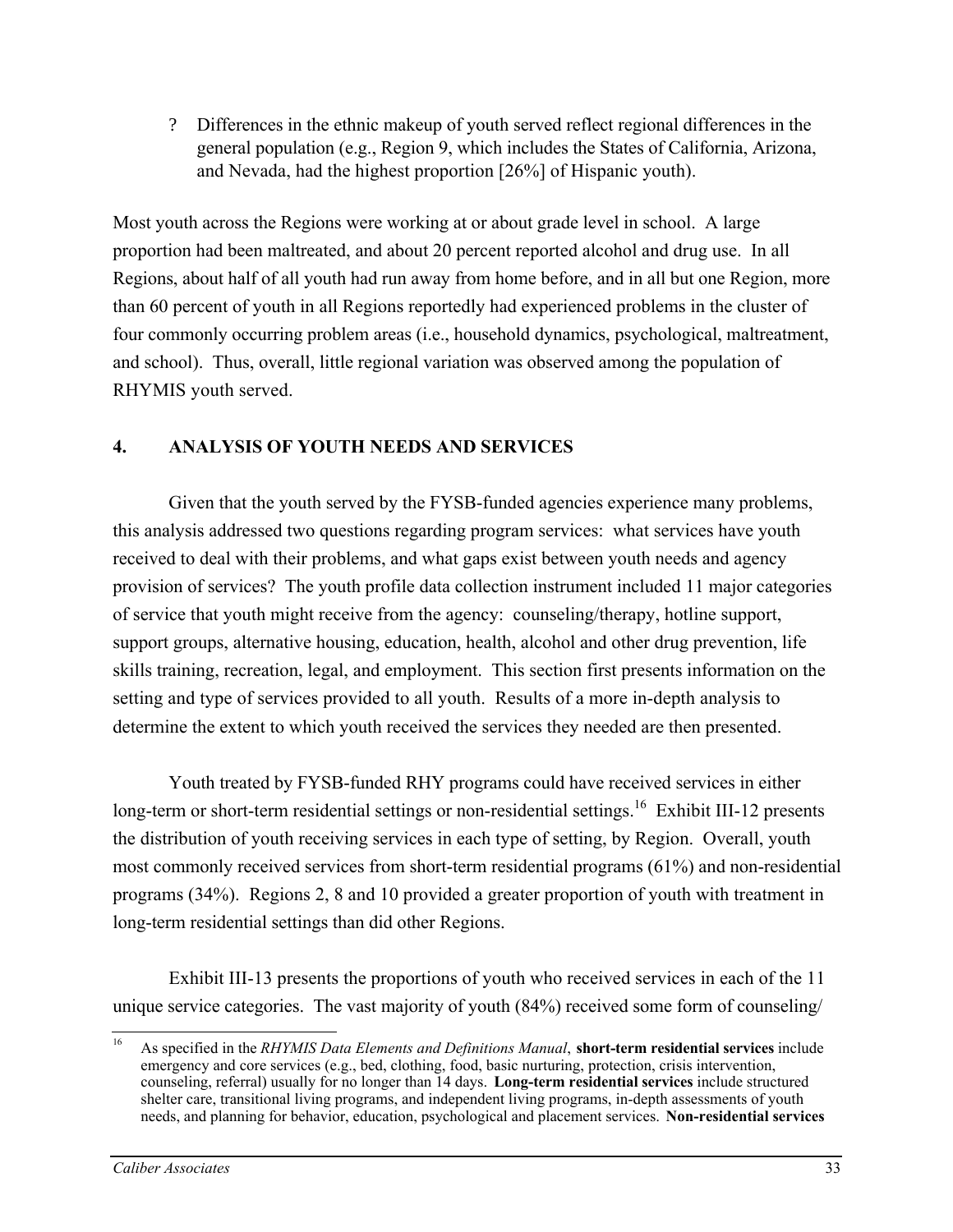? Differences in the ethnic makeup of youth served reflect regional differences in the general population (e.g., Region 9, which includes the States of California, Arizona, and Nevada, had the highest proportion [26%] of Hispanic youth).

Most youth across the Regions were working at or about grade level in school. A large proportion had been maltreated, and about 20 percent reported alcohol and drug use. In all Regions, about half of all youth had run away from home before, and in all but one Region, more than 60 percent of youth in all Regions reportedly had experienced problems in the cluster of four commonly occurring problem areas (i.e., household dynamics, psychological, maltreatment, and school). Thus, overall, little regional variation was observed among the population of RHYMIS youth served.

## **4. ANALYSIS OF YOUTH NEEDS AND SERVICES**

Given that the youth served by the FYSB-funded agencies experience many problems, this analysis addressed two questions regarding program services: what services have youth received to deal with their problems, and what gaps exist between youth needs and agency provision of services? The youth profile data collection instrument included 11 major categories of service that youth might receive from the agency: counseling/therapy, hotline support, support groups, alternative housing, education, health, alcohol and other drug prevention, life skills training, recreation, legal, and employment. This section first presents information on the setting and type of services provided to all youth. Results of a more in-depth analysis to determine the extent to which youth received the services they needed are then presented.

Youth treated by FYSB-funded RHY programs could have received services in either long-term or short-term residential settings or non-residential settings.<sup>16</sup> Exhibit III-12 presents the distribution of youth receiving services in each type of setting, by Region. Overall, youth most commonly received services from short-term residential programs (61%) and non-residential programs (34%). Regions 2, 8 and 10 provided a greater proportion of youth with treatment in long-term residential settings than did other Regions.

Exhibit III-13 presents the proportions of youth who received services in each of the 11 unique service categories. The vast majority of youth (84%) received some form of counseling/

 $16^{1}$ 16 As specified in the *RHYMIS Data Elements and Definitions Manual*, **short-term residential services** include emergency and core services (e.g., bed, clothing, food, basic nurturing, protection, crisis intervention, counseling, referral) usually for no longer than 14 days. **Long-term residential services** include structured shelter care, transitional living programs, and independent living programs, in-depth assessments of youth needs, and planning for behavior, education, psychological and placement services. **Non-residential services**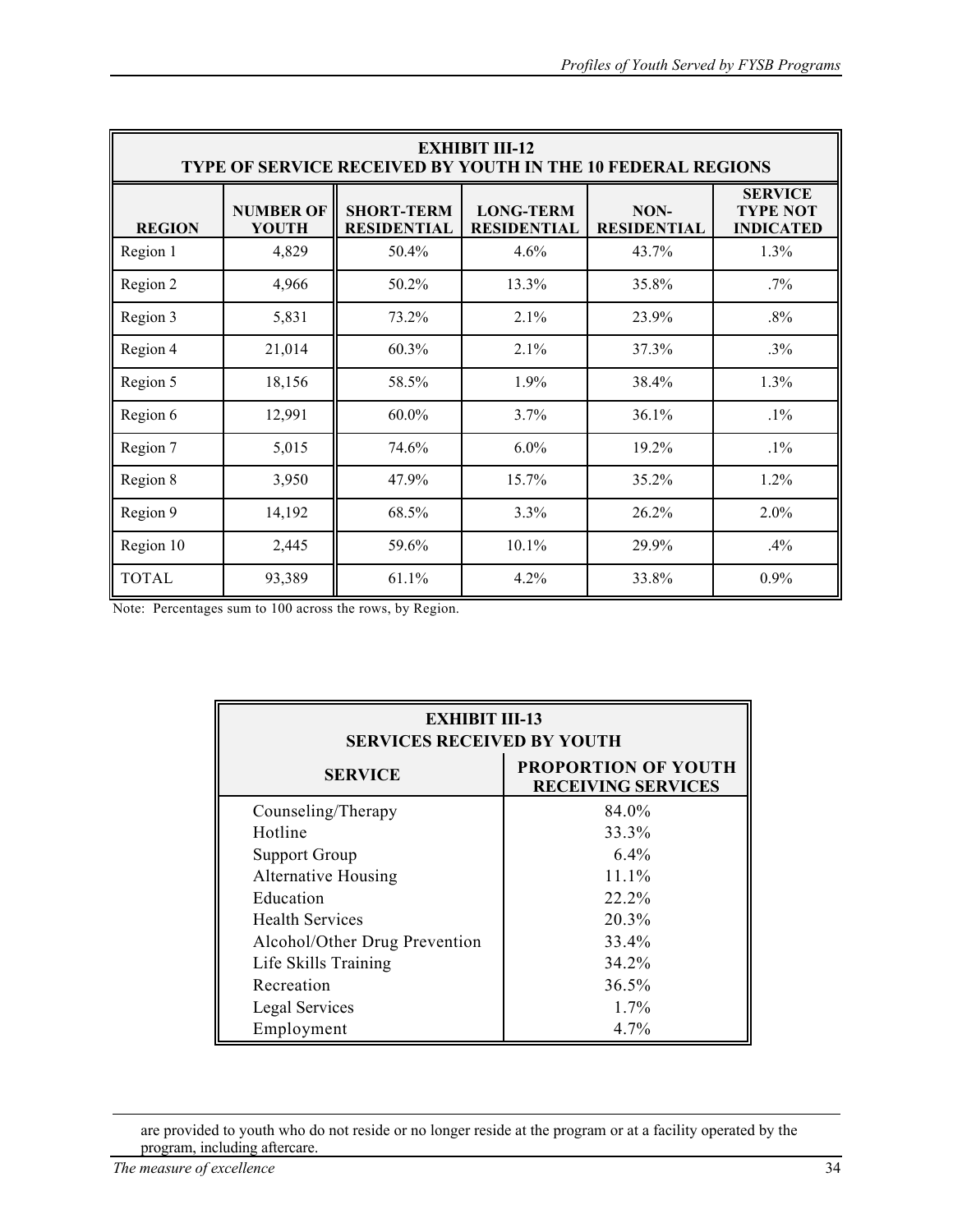| <b>EXHIBIT III-12</b><br><b>TYPE OF SERVICE RECEIVED BY YOUTH IN THE 10 FEDERAL REGIONS</b> |                                  |                                         |                                        |                            |                                                       |  |  |  |
|---------------------------------------------------------------------------------------------|----------------------------------|-----------------------------------------|----------------------------------------|----------------------------|-------------------------------------------------------|--|--|--|
| <b>REGION</b>                                                                               | <b>NUMBER OF</b><br><b>YOUTH</b> | <b>SHORT-TERM</b><br><b>RESIDENTIAL</b> | <b>LONG-TERM</b><br><b>RESIDENTIAL</b> | NON-<br><b>RESIDENTIAL</b> | <b>SERVICE</b><br><b>TYPE NOT</b><br><b>INDICATED</b> |  |  |  |
| Region 1                                                                                    | 4,829                            | 50.4%                                   | 4.6%                                   | 43.7%                      | 1.3%                                                  |  |  |  |
| Region 2                                                                                    | 4,966                            | 50.2%                                   | 13.3%                                  | 35.8%                      | $.7\%$                                                |  |  |  |
| Region 3                                                                                    | 5,831                            | 73.2%                                   | 2.1%                                   | 23.9%                      | $.8\%$                                                |  |  |  |
| Region 4                                                                                    | 21,014                           | 60.3%                                   | 2.1%                                   | 37.3%                      | $.3\%$                                                |  |  |  |
| Region 5                                                                                    | 18,156                           | 58.5%                                   | 1.9%                                   | 38.4%                      | 1.3%                                                  |  |  |  |
| Region 6                                                                                    | 12,991                           | $60.0\%$                                | 3.7%                                   | 36.1%                      | $.1\%$                                                |  |  |  |
| Region 7                                                                                    | 5,015                            | 74.6%                                   | $6.0\%$                                | 19.2%                      | $.1\%$                                                |  |  |  |
| Region 8                                                                                    | 3,950                            | 47.9%                                   | 15.7%                                  | 35.2%                      | 1.2%                                                  |  |  |  |
| Region 9                                                                                    | 14,192                           | 68.5%                                   | 3.3%                                   | 26.2%                      | 2.0%                                                  |  |  |  |
| Region 10                                                                                   | 2,445                            | 59.6%                                   | 10.1%                                  | 29.9%                      | .4%                                                   |  |  |  |
| <b>TOTAL</b>                                                                                | 93,389                           | 61.1%                                   | 4.2%                                   | 33.8%                      | 0.9%                                                  |  |  |  |

Note: Percentages sum to 100 across the rows, by Region.

| <b>EXHIBIT III-13</b><br><b>SERVICES RECEIVED BY YOUTH</b> |                                                         |  |  |  |  |  |
|------------------------------------------------------------|---------------------------------------------------------|--|--|--|--|--|
| <b>SERVICE</b>                                             | <b>PROPORTION OF YOUTH</b><br><b>RECEIVING SERVICES</b> |  |  |  |  |  |
| Counseling/Therapy                                         | 84.0%                                                   |  |  |  |  |  |
| Hotline                                                    | 33.3%                                                   |  |  |  |  |  |
| <b>Support Group</b>                                       | $6.4\%$                                                 |  |  |  |  |  |
| <b>Alternative Housing</b>                                 | 11.1%                                                   |  |  |  |  |  |
| Education                                                  | 22.2%                                                   |  |  |  |  |  |
| <b>Health Services</b>                                     | 20.3%                                                   |  |  |  |  |  |
| Alcohol/Other Drug Prevention                              | 33.4%                                                   |  |  |  |  |  |
| Life Skills Training                                       | 34.2%                                                   |  |  |  |  |  |
| Recreation                                                 | 36.5%                                                   |  |  |  |  |  |
| Legal Services                                             | $1.7\%$                                                 |  |  |  |  |  |
| Employment                                                 | $4.7\%$                                                 |  |  |  |  |  |

 $\overline{a}$ 

are provided to youth who do not reside or no longer reside at the program or at a facility operated by the program, including aftercare.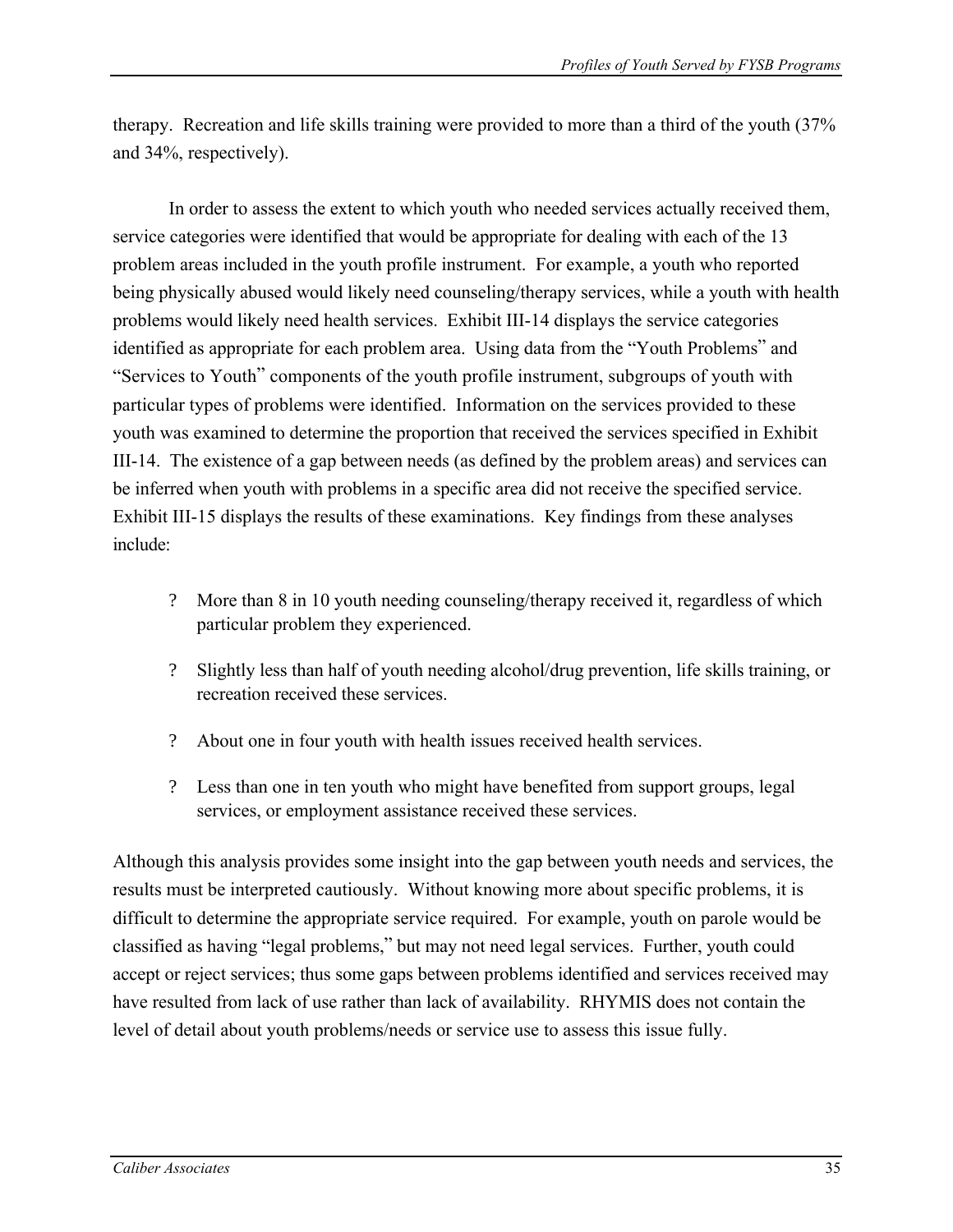therapy. Recreation and life skills training were provided to more than a third of the youth (37% and 34%, respectively).

In order to assess the extent to which youth who needed services actually received them, service categories were identified that would be appropriate for dealing with each of the 13 problem areas included in the youth profile instrument. For example, a youth who reported being physically abused would likely need counseling/therapy services, while a youth with health problems would likely need health services. Exhibit III-14 displays the service categories identified as appropriate for each problem area. Using data from the "Youth Problems" and "Services to Youth" components of the youth profile instrument, subgroups of youth with particular types of problems were identified. Information on the services provided to these youth was examined to determine the proportion that received the services specified in Exhibit III-14. The existence of a gap between needs (as defined by the problem areas) and services can be inferred when youth with problems in a specific area did not receive the specified service. Exhibit III-15 displays the results of these examinations. Key findings from these analyses include:

- ? More than 8 in 10 youth needing counseling/therapy received it, regardless of which particular problem they experienced.
- ? Slightly less than half of youth needing alcohol/drug prevention, life skills training, or recreation received these services.
- ? About one in four youth with health issues received health services.
- ? Less than one in ten youth who might have benefited from support groups, legal services, or employment assistance received these services.

Although this analysis provides some insight into the gap between youth needs and services, the results must be interpreted cautiously. Without knowing more about specific problems, it is difficult to determine the appropriate service required. For example, youth on parole would be classified as having "legal problems," but may not need legal services. Further, youth could accept or reject services; thus some gaps between problems identified and services received may have resulted from lack of use rather than lack of availability. RHYMIS does not contain the level of detail about youth problems/needs or service use to assess this issue fully.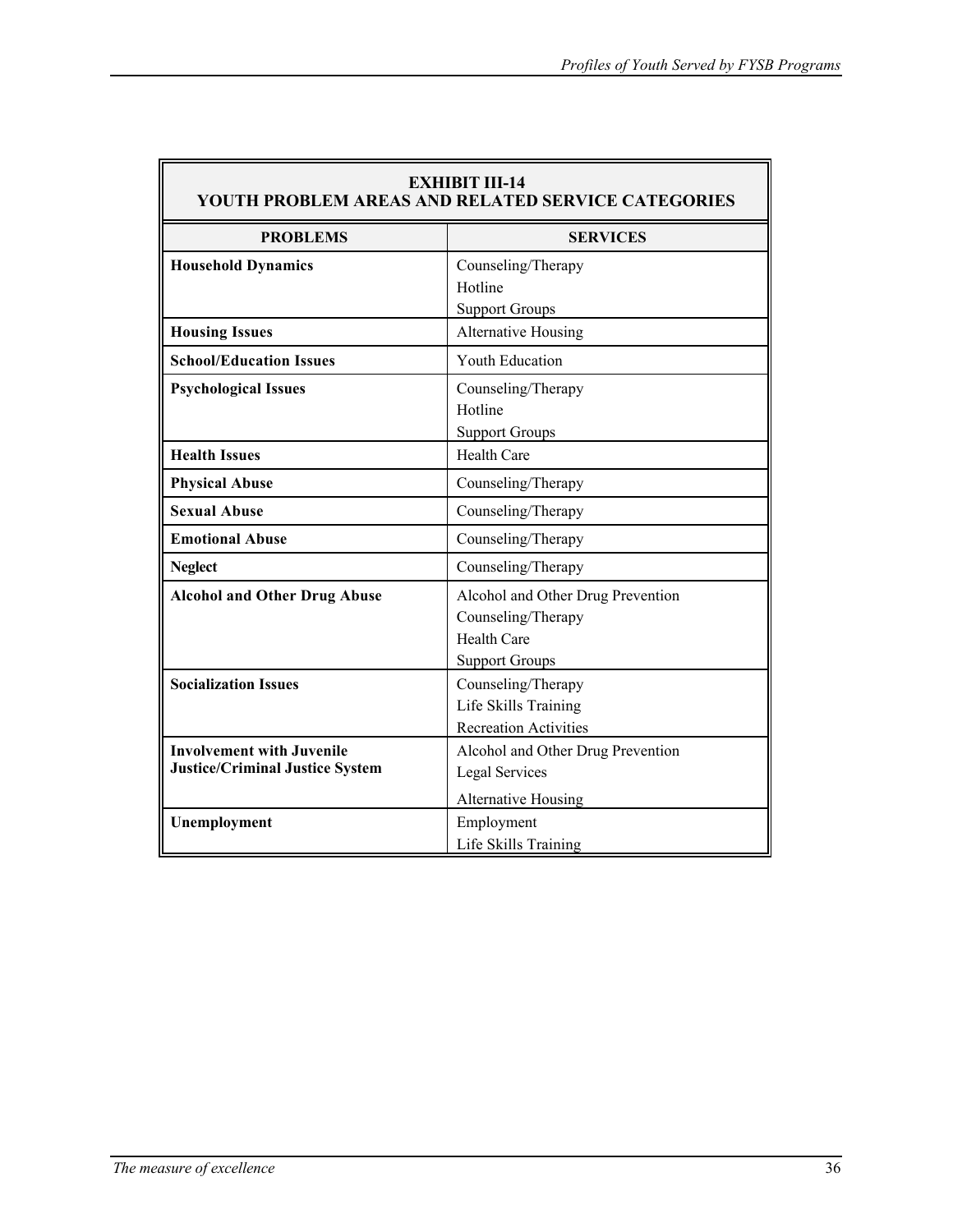| <b>EXHIBIT III-14</b><br>YOUTH PROBLEM AREAS AND RELATED SERVICE CATEGORIES |                                                                                                 |  |  |  |  |  |
|-----------------------------------------------------------------------------|-------------------------------------------------------------------------------------------------|--|--|--|--|--|
| <b>PROBLEMS</b>                                                             | <b>SERVICES</b>                                                                                 |  |  |  |  |  |
| <b>Household Dynamics</b>                                                   | Counseling/Therapy<br>Hotline<br><b>Support Groups</b>                                          |  |  |  |  |  |
| <b>Housing Issues</b>                                                       | <b>Alternative Housing</b>                                                                      |  |  |  |  |  |
| <b>School/Education Issues</b>                                              | <b>Youth Education</b>                                                                          |  |  |  |  |  |
| <b>Psychological Issues</b>                                                 | Counseling/Therapy<br>Hotline<br><b>Support Groups</b>                                          |  |  |  |  |  |
| <b>Health Issues</b>                                                        | <b>Health Care</b>                                                                              |  |  |  |  |  |
| <b>Physical Abuse</b>                                                       | Counseling/Therapy                                                                              |  |  |  |  |  |
| <b>Sexual Abuse</b>                                                         | Counseling/Therapy                                                                              |  |  |  |  |  |
| <b>Emotional Abuse</b>                                                      | Counseling/Therapy                                                                              |  |  |  |  |  |
| <b>Neglect</b>                                                              | Counseling/Therapy                                                                              |  |  |  |  |  |
| <b>Alcohol and Other Drug Abuse</b>                                         | Alcohol and Other Drug Prevention<br>Counseling/Therapy<br>Health Care<br><b>Support Groups</b> |  |  |  |  |  |
| <b>Socialization Issues</b>                                                 | Counseling/Therapy<br>Life Skills Training<br><b>Recreation Activities</b>                      |  |  |  |  |  |
| <b>Involvement with Juvenile</b><br><b>Justice/Criminal Justice System</b>  | Alcohol and Other Drug Prevention<br>Legal Services<br><b>Alternative Housing</b>               |  |  |  |  |  |
| Unemployment                                                                | Employment<br>Life Skills Training                                                              |  |  |  |  |  |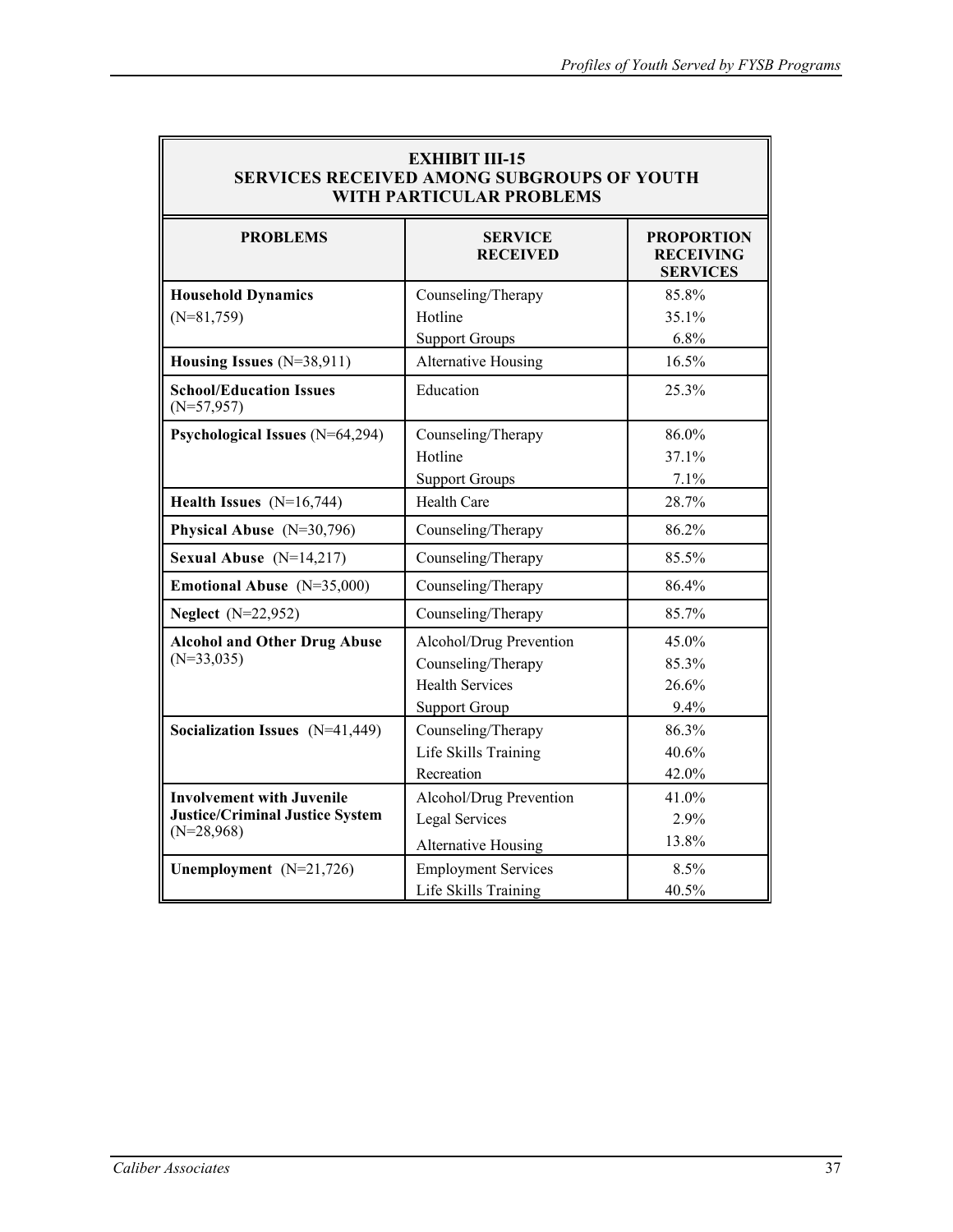| <b>EXHIBIT III-15</b><br><b>SERVICES RECEIVED AMONG SUBGROUPS OF YOUTH</b><br><b>WITH PARTICULAR PROBLEMS</b> |                                   |                                                          |  |  |  |  |  |
|---------------------------------------------------------------------------------------------------------------|-----------------------------------|----------------------------------------------------------|--|--|--|--|--|
| <b>PROBLEMS</b>                                                                                               | <b>SERVICE</b><br><b>RECEIVED</b> | <b>PROPORTION</b><br><b>RECEIVING</b><br><b>SERVICES</b> |  |  |  |  |  |
| <b>Household Dynamics</b>                                                                                     | Counseling/Therapy                | 85.8%                                                    |  |  |  |  |  |
| $(N=81,759)$                                                                                                  | Hotline                           | 35.1%                                                    |  |  |  |  |  |
|                                                                                                               | <b>Support Groups</b>             | 6.8%                                                     |  |  |  |  |  |
| Housing Issues (N=38,911)                                                                                     | Alternative Housing               | 16.5%                                                    |  |  |  |  |  |
| <b>School/Education Issues</b><br>$(N=57,957)$                                                                | Education                         | 25.3%                                                    |  |  |  |  |  |
| Psychological Issues (N=64,294)                                                                               | Counseling/Therapy                | 86.0%                                                    |  |  |  |  |  |
|                                                                                                               | Hotline                           | 37.1%                                                    |  |  |  |  |  |
|                                                                                                               | <b>Support Groups</b>             | 7.1%                                                     |  |  |  |  |  |
| Health Issues $(N=16,744)$                                                                                    | <b>Health Care</b>                | 28.7%                                                    |  |  |  |  |  |
| Physical Abuse $(N=30,796)$                                                                                   | Counseling/Therapy                | 86.2%                                                    |  |  |  |  |  |
| Sexual Abuse $(N=14,217)$                                                                                     | Counseling/Therapy                | 85.5%                                                    |  |  |  |  |  |
| Emotional Abuse (N=35,000)                                                                                    | Counseling/Therapy                | 86.4%                                                    |  |  |  |  |  |
| <b>Neglect</b> (N=22,952)                                                                                     | Counseling/Therapy                | 85.7%                                                    |  |  |  |  |  |
| <b>Alcohol and Other Drug Abuse</b>                                                                           | Alcohol/Drug Prevention           | 45.0%                                                    |  |  |  |  |  |
| $(N=33,035)$                                                                                                  | Counseling/Therapy                | 85.3%                                                    |  |  |  |  |  |
|                                                                                                               | <b>Health Services</b>            | 26.6%                                                    |  |  |  |  |  |
|                                                                                                               | <b>Support Group</b>              | 9.4%                                                     |  |  |  |  |  |
| Socialization Issues (N=41,449)                                                                               | Counseling/Therapy                | 86.3%                                                    |  |  |  |  |  |
|                                                                                                               | Life Skills Training              | 40.6%                                                    |  |  |  |  |  |
|                                                                                                               | Recreation                        | 42.0%                                                    |  |  |  |  |  |
| <b>Involvement with Juvenile</b>                                                                              | Alcohol/Drug Prevention           | 41.0%                                                    |  |  |  |  |  |
| <b>Justice/Criminal Justice System</b><br>$(N=28,968)$                                                        | <b>Legal Services</b>             | 2.9%                                                     |  |  |  |  |  |
|                                                                                                               | <b>Alternative Housing</b>        | 13.8%                                                    |  |  |  |  |  |
| Unemployment $(N=21,726)$                                                                                     | <b>Employment Services</b>        | 8.5%                                                     |  |  |  |  |  |
|                                                                                                               | Life Skills Training              | 40.5%                                                    |  |  |  |  |  |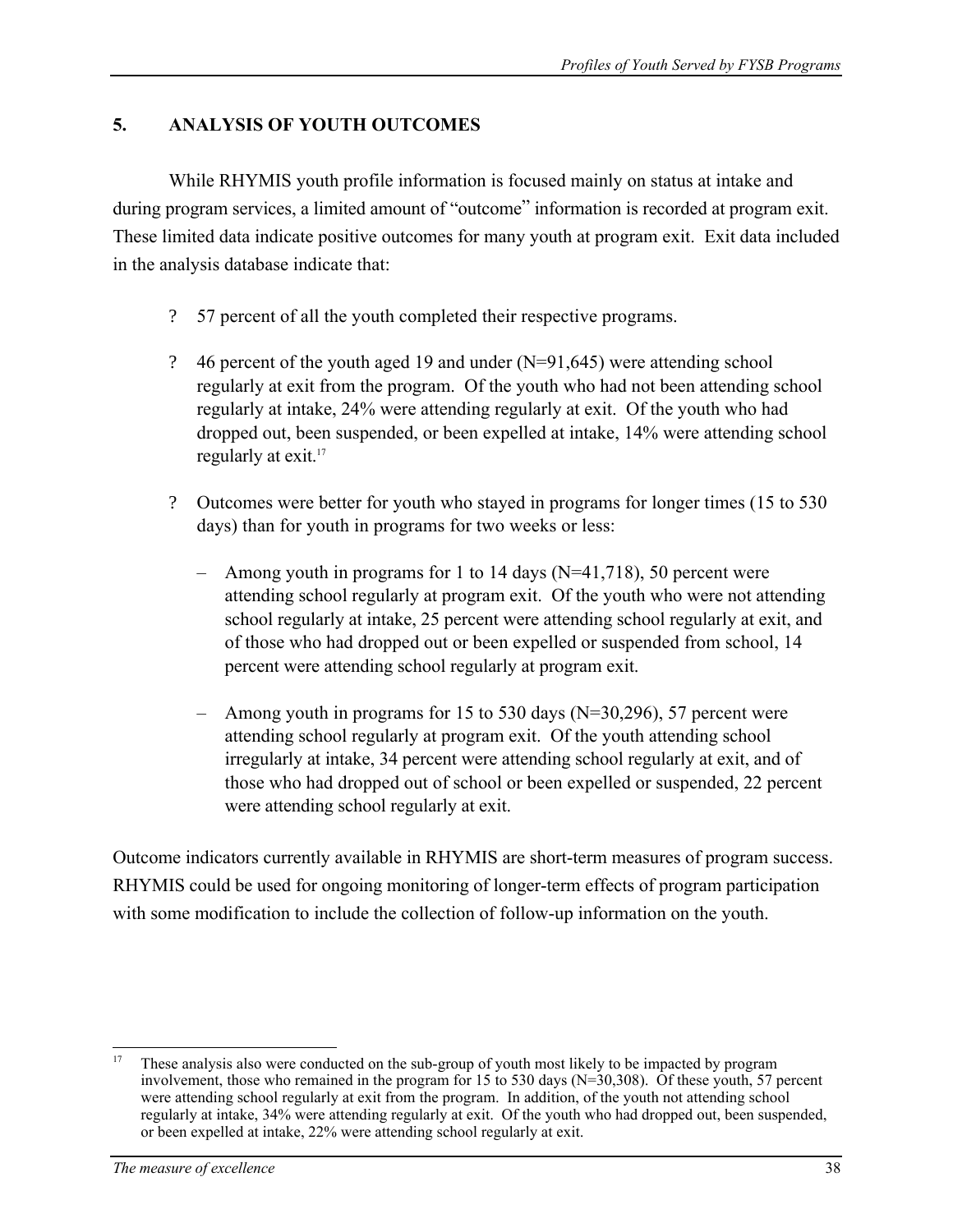# **5. ANALYSIS OF YOUTH OUTCOMES**

While RHYMIS youth profile information is focused mainly on status at intake and during program services, a limited amount of "outcome" information is recorded at program exit. These limited data indicate positive outcomes for many youth at program exit. Exit data included in the analysis database indicate that:

- ? 57 percent of all the youth completed their respective programs.
- ? 46 percent of the youth aged 19 and under (N=91,645) were attending school regularly at exit from the program. Of the youth who had not been attending school regularly at intake, 24% were attending regularly at exit. Of the youth who had dropped out, been suspended, or been expelled at intake, 14% were attending school regularly at exit.<sup>17</sup>
- ? Outcomes were better for youth who stayed in programs for longer times (15 to 530 days) than for youth in programs for two weeks or less:
	- Among youth in programs for 1 to 14 days ( $N=41,718$ ), 50 percent were attending school regularly at program exit. Of the youth who were not attending school regularly at intake, 25 percent were attending school regularly at exit, and of those who had dropped out or been expelled or suspended from school, 14 percent were attending school regularly at program exit.
	- Among youth in programs for 15 to 530 days  $(N=30,296)$ , 57 percent were attending school regularly at program exit. Of the youth attending school irregularly at intake, 34 percent were attending school regularly at exit, and of those who had dropped out of school or been expelled or suspended, 22 percent were attending school regularly at exit.

Outcome indicators currently available in RHYMIS are short-term measures of program success. RHYMIS could be used for ongoing monitoring of longer-term effects of program participation with some modification to include the collection of follow-up information on the youth.

 $\overline{a}$ These analysis also were conducted on the sub-group of youth most likely to be impacted by program involvement, those who remained in the program for 15 to 530 days (N=30,308). Of these youth, 57 percent were attending school regularly at exit from the program. In addition, of the youth not attending school regularly at intake, 34% were attending regularly at exit. Of the youth who had dropped out, been suspended, or been expelled at intake, 22% were attending school regularly at exit.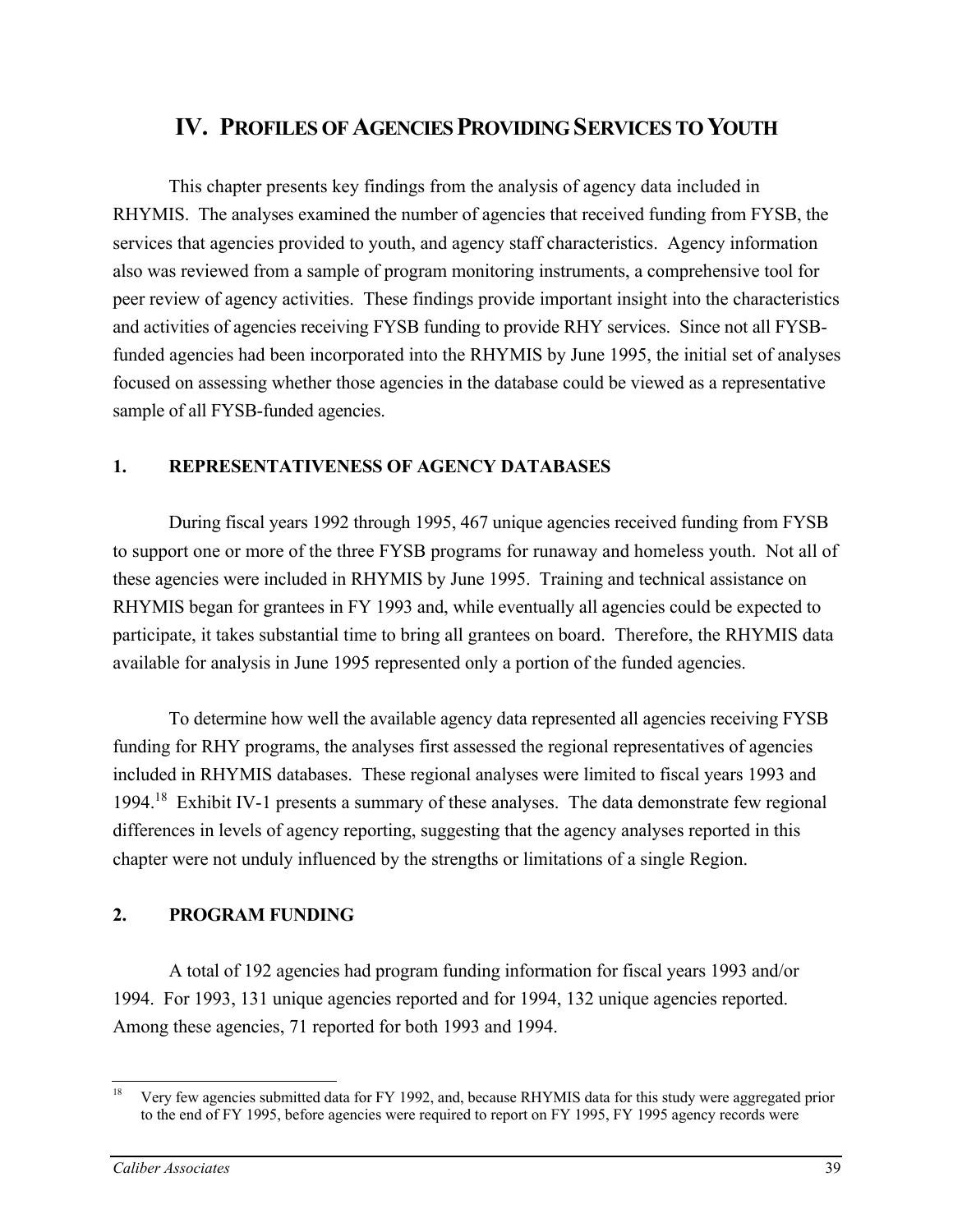# **IV. PROFILES OF AGENCIES PROVIDING SERVICES TO YOUTH**

This chapter presents key findings from the analysis of agency data included in RHYMIS. The analyses examined the number of agencies that received funding from FYSB, the services that agencies provided to youth, and agency staff characteristics. Agency information also was reviewed from a sample of program monitoring instruments, a comprehensive tool for peer review of agency activities. These findings provide important insight into the characteristics and activities of agencies receiving FYSB funding to provide RHY services. Since not all FYSBfunded agencies had been incorporated into the RHYMIS by June 1995, the initial set of analyses focused on assessing whether those agencies in the database could be viewed as a representative sample of all FYSB-funded agencies.

### **1. REPRESENTATIVENESS OF AGENCY DATABASES**

During fiscal years 1992 through 1995, 467 unique agencies received funding from FYSB to support one or more of the three FYSB programs for runaway and homeless youth. Not all of these agencies were included in RHYMIS by June 1995. Training and technical assistance on RHYMIS began for grantees in FY 1993 and, while eventually all agencies could be expected to participate, it takes substantial time to bring all grantees on board. Therefore, the RHYMIS data available for analysis in June 1995 represented only a portion of the funded agencies.

To determine how well the available agency data represented all agencies receiving FYSB funding for RHY programs, the analyses first assessed the regional representatives of agencies included in RHYMIS databases. These regional analyses were limited to fiscal years 1993 and 1994.<sup>18</sup> Exhibit IV-1 presents a summary of these analyses. The data demonstrate few regional differences in levels of agency reporting, suggesting that the agency analyses reported in this chapter were not unduly influenced by the strengths or limitations of a single Region.

### **2. PROGRAM FUNDING**

A total of 192 agencies had program funding information for fiscal years 1993 and/or 1994. For 1993, 131 unique agencies reported and for 1994, 132 unique agencies reported. Among these agencies, 71 reported for both 1993 and 1994.

<sup>18</sup> Very few agencies submitted data for FY 1992, and, because RHYMIS data for this study were aggregated prior to the end of FY 1995, before agencies were required to report on FY 1995, FY 1995 agency records were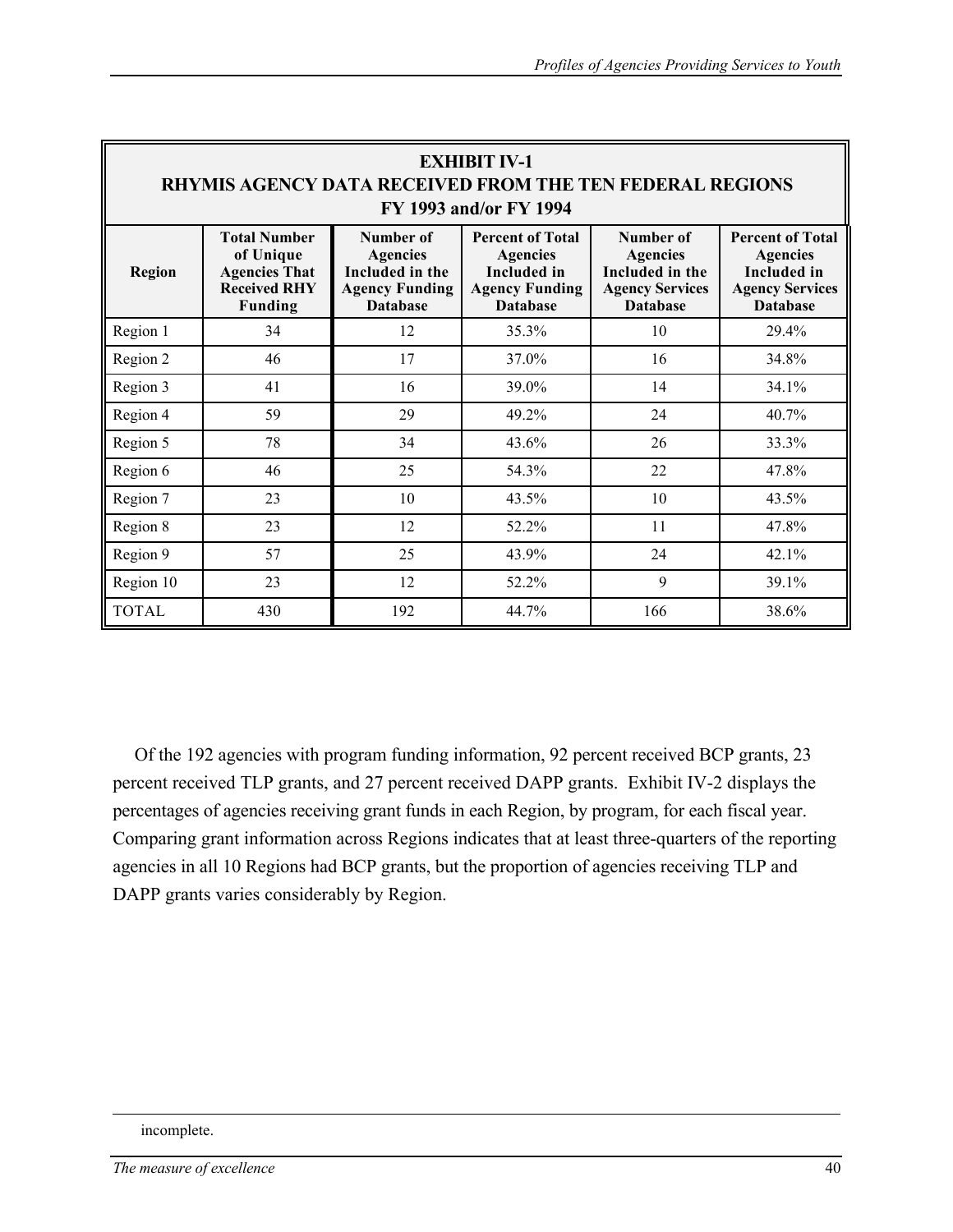| <b>EXHIBIT IV-1</b><br>RHYMIS AGENCY DATA RECEIVED FROM THE TEN FEDERAL REGIONS<br><b>FY 1993 and/or FY 1994</b> |                                                                                                   |                                                                                             |                                                                                                              |                                                                                              |                                                                                                               |  |  |  |
|------------------------------------------------------------------------------------------------------------------|---------------------------------------------------------------------------------------------------|---------------------------------------------------------------------------------------------|--------------------------------------------------------------------------------------------------------------|----------------------------------------------------------------------------------------------|---------------------------------------------------------------------------------------------------------------|--|--|--|
| <b>Region</b>                                                                                                    | <b>Total Number</b><br>of Unique<br><b>Agencies That</b><br><b>Received RHY</b><br><b>Funding</b> | Number of<br><b>Agencies</b><br>Included in the<br><b>Agency Funding</b><br><b>Database</b> | <b>Percent of Total</b><br><b>Agencies</b><br><b>Included</b> in<br><b>Agency Funding</b><br><b>Database</b> | Number of<br><b>Agencies</b><br>Included in the<br><b>Agency Services</b><br><b>Database</b> | <b>Percent of Total</b><br><b>Agencies</b><br><b>Included</b> in<br><b>Agency Services</b><br><b>Database</b> |  |  |  |
| Region 1                                                                                                         | 34                                                                                                | 12                                                                                          | 35.3%                                                                                                        | 10                                                                                           | 29.4%                                                                                                         |  |  |  |
| Region 2                                                                                                         | 46                                                                                                | 17                                                                                          | 37.0%                                                                                                        | 16                                                                                           | 34.8%                                                                                                         |  |  |  |
| Region 3                                                                                                         | 41                                                                                                | 16                                                                                          | 39.0%                                                                                                        | 14                                                                                           | 34.1%                                                                                                         |  |  |  |
| Region 4                                                                                                         | 59                                                                                                | 29                                                                                          | 49.2%                                                                                                        | 24                                                                                           | 40.7%                                                                                                         |  |  |  |
| Region 5                                                                                                         | 78                                                                                                | 34                                                                                          | 43.6%                                                                                                        | 26                                                                                           | 33.3%                                                                                                         |  |  |  |
| Region 6                                                                                                         | 46                                                                                                | 25                                                                                          | 54.3%                                                                                                        | 22                                                                                           | 47.8%                                                                                                         |  |  |  |
| Region 7                                                                                                         | 23                                                                                                | 10                                                                                          | 43.5%                                                                                                        | 10                                                                                           | 43.5%                                                                                                         |  |  |  |
| Region 8                                                                                                         | 23                                                                                                | 12                                                                                          | 52.2%                                                                                                        | 11                                                                                           | 47.8%                                                                                                         |  |  |  |
| Region 9                                                                                                         | 57                                                                                                | 25                                                                                          | 43.9%                                                                                                        | 24                                                                                           | 42.1%                                                                                                         |  |  |  |
| Region 10                                                                                                        | 23                                                                                                | 12                                                                                          | 52.2%                                                                                                        | 9                                                                                            | 39.1%                                                                                                         |  |  |  |
| <b>TOTAL</b>                                                                                                     | 430                                                                                               | 192                                                                                         | 44.7%                                                                                                        | 166                                                                                          | 38.6%                                                                                                         |  |  |  |

Of the 192 agencies with program funding information, 92 percent received BCP grants, 23 percent received TLP grants, and 27 percent received DAPP grants. Exhibit IV-2 displays the percentages of agencies receiving grant funds in each Region, by program, for each fiscal year. Comparing grant information across Regions indicates that at least three-quarters of the reporting agencies in all 10 Regions had BCP grants, but the proportion of agencies receiving TLP and DAPP grants varies considerably by Region.

### incomplete.

 $\overline{a}$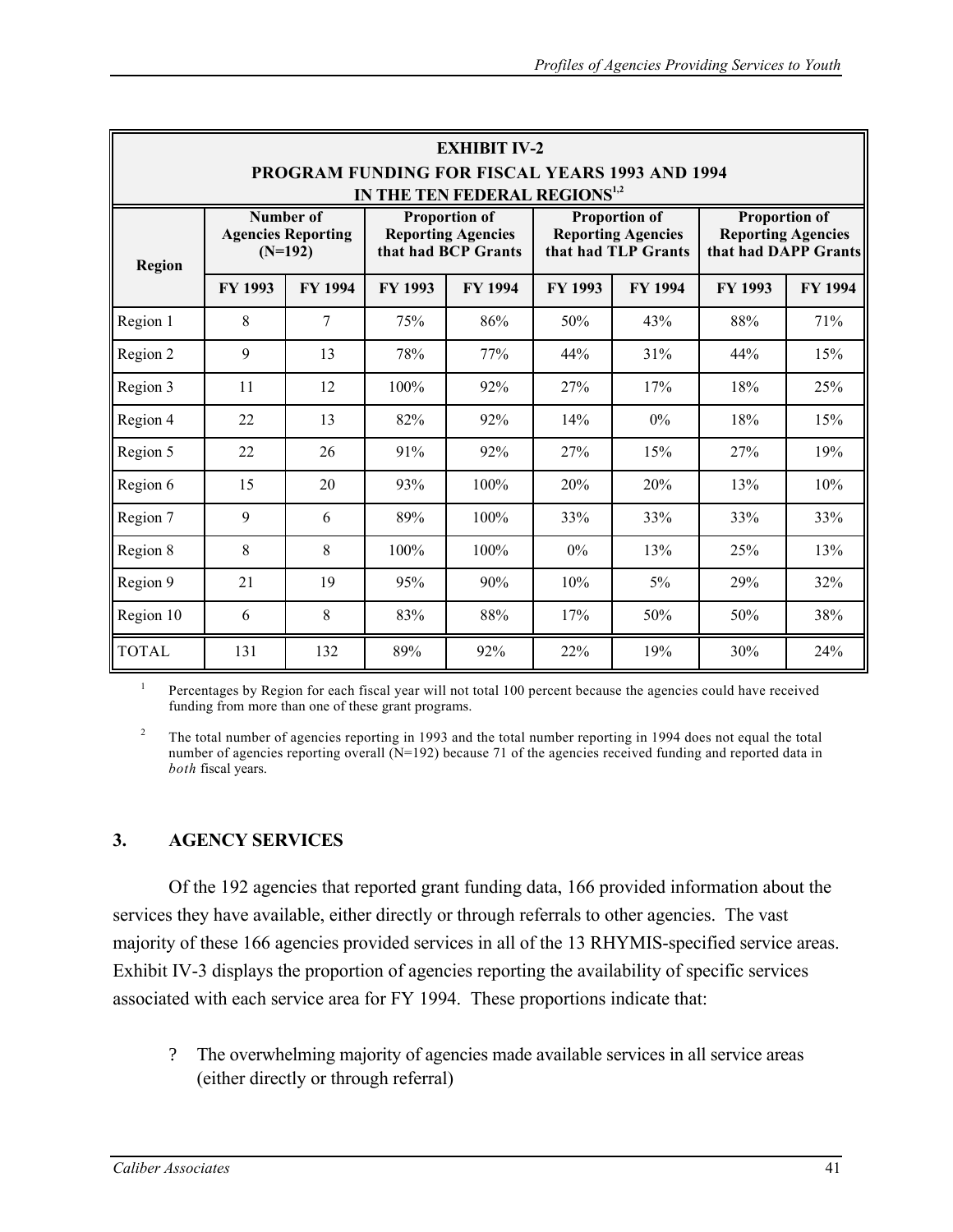|                                                                                                    | <b>EXHIBIT IV-2</b>                                 |                |                                                                          |         |                                                                          |                |                                                                           |         |  |
|----------------------------------------------------------------------------------------------------|-----------------------------------------------------|----------------|--------------------------------------------------------------------------|---------|--------------------------------------------------------------------------|----------------|---------------------------------------------------------------------------|---------|--|
| <b>PROGRAM FUNDING FOR FISCAL YEARS 1993 AND 1994</b><br>IN THE TEN FEDERAL REGIONS <sup>1,2</sup> |                                                     |                |                                                                          |         |                                                                          |                |                                                                           |         |  |
| <b>Region</b>                                                                                      | Number of<br><b>Agencies Reporting</b><br>$(N=192)$ |                | <b>Proportion of</b><br><b>Reporting Agencies</b><br>that had BCP Grants |         | <b>Proportion of</b><br><b>Reporting Agencies</b><br>that had TLP Grants |                | <b>Proportion of</b><br><b>Reporting Agencies</b><br>that had DAPP Grants |         |  |
|                                                                                                    | FY 1993                                             | <b>FY 1994</b> | FY 1993                                                                  | FY 1994 | FY 1993                                                                  | <b>FY 1994</b> | <b>FY 1993</b>                                                            | FY 1994 |  |
| Region 1                                                                                           | 8                                                   | 7              | 75%                                                                      | 86%     | 50%                                                                      | 43%            | 88%                                                                       | 71%     |  |
| Region 2                                                                                           | 9                                                   | 13             | 78%                                                                      | 77%     | 44%                                                                      | 31%            | 44%                                                                       | 15%     |  |
| Region 3                                                                                           | 11                                                  | 12             | 100%                                                                     | 92%     | 27%                                                                      | 17%            | 18%                                                                       | 25%     |  |
| Region 4                                                                                           | 22                                                  | 13             | 82%                                                                      | 92%     | 14%                                                                      | $0\%$          | 18%                                                                       | 15%     |  |
| Region 5                                                                                           | 22                                                  | 26             | 91%                                                                      | 92%     | 27%                                                                      | 15%            | 27%                                                                       | 19%     |  |
| Region 6                                                                                           | 15                                                  | 20             | 93%                                                                      | $100\%$ | 20%                                                                      | 20%            | 13%                                                                       | 10%     |  |
| Region 7                                                                                           | 9                                                   | 6              | 89%                                                                      | 100%    | 33%                                                                      | 33%            | 33%                                                                       | 33%     |  |
| Region 8                                                                                           | 8                                                   | 8              | 100%                                                                     | 100%    | 0%                                                                       | 13%            | 25%                                                                       | 13%     |  |
| Region 9                                                                                           | 21                                                  | 19             | 95%                                                                      | 90%     | 10%                                                                      | 5%             | 29%                                                                       | 32%     |  |
| Region 10                                                                                          | 6                                                   | 8              | 83%                                                                      | 88%     | 17%                                                                      | 50%            | 50%                                                                       | 38%     |  |
| <b>TOTAL</b>                                                                                       | 131                                                 | 132            | 89%                                                                      | 92%     | 22%                                                                      | 19%            | 30%                                                                       | 24%     |  |

<sup>1</sup> Percentages by Region for each fiscal year will not total 100 percent because the agencies could have received funding from more than one of these grant programs.

<sup>2</sup> The total number of agencies reporting in 1993 and the total number reporting in 1994 does not equal the total number of agencies reporting overall (N=192) because 71 of the agencies received funding and reported data in *both* fiscal years.

# **3. AGENCY SERVICES**

Of the 192 agencies that reported grant funding data, 166 provided information about the services they have available, either directly or through referrals to other agencies. The vast majority of these 166 agencies provided services in all of the 13 RHYMIS-specified service areas. Exhibit IV-3 displays the proportion of agencies reporting the availability of specific services associated with each service area for FY 1994. These proportions indicate that:

? The overwhelming majority of agencies made available services in all service areas (either directly or through referral)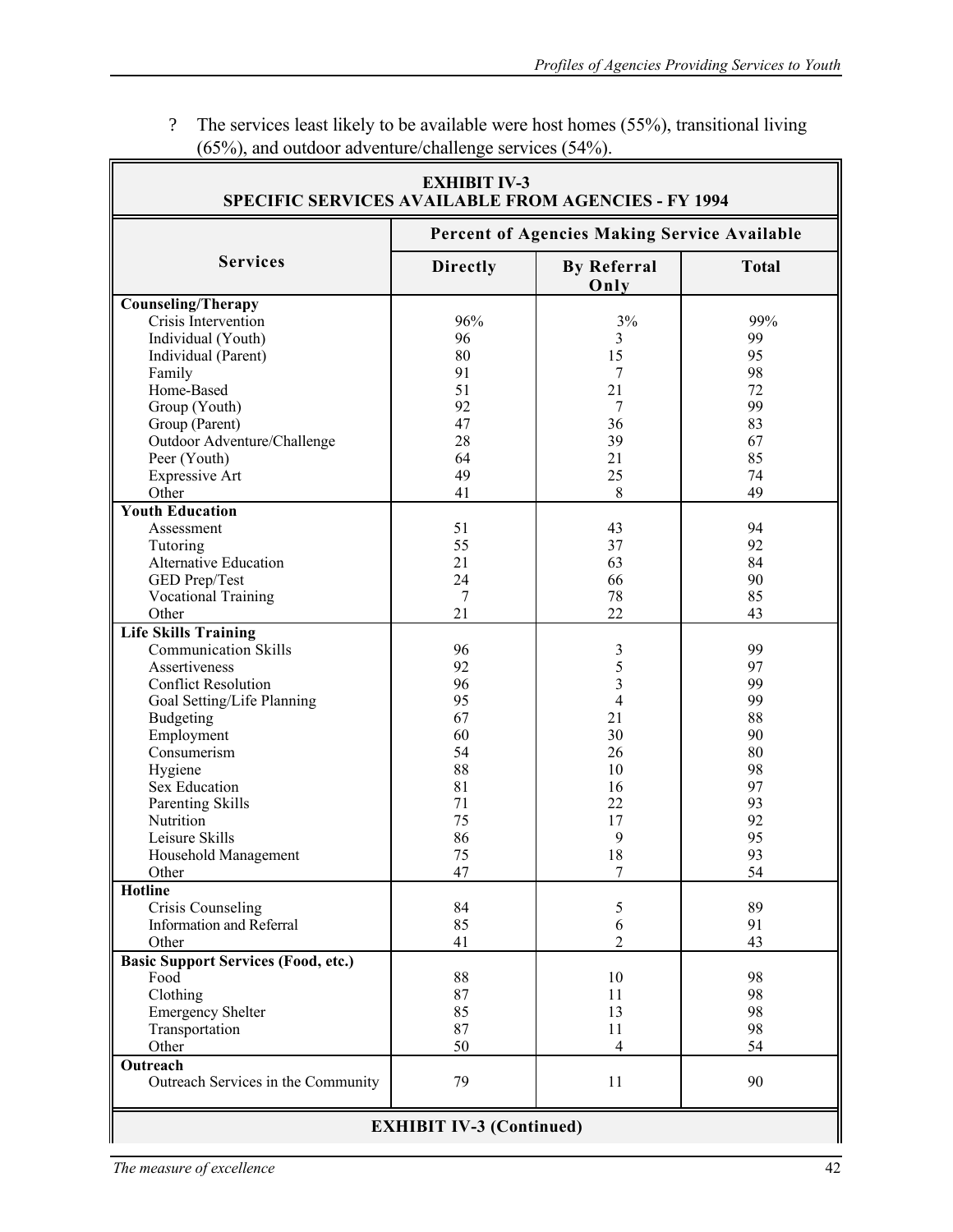| <b>EXHIBIT IV-3</b><br><b>SPECIFIC SERVICES AVAILABLE FROM AGENCIES - FY 1994</b> |                                              |                            |              |  |  |  |  |
|-----------------------------------------------------------------------------------|----------------------------------------------|----------------------------|--------------|--|--|--|--|
|                                                                                   | Percent of Agencies Making Service Available |                            |              |  |  |  |  |
| <b>Services</b>                                                                   | <b>Directly</b>                              | <b>By Referral</b><br>Only | <b>Total</b> |  |  |  |  |
| <b>Counseling/Therapy</b>                                                         |                                              |                            |              |  |  |  |  |
| Crisis Intervention                                                               | 96%                                          | 3%                         | 99%          |  |  |  |  |
| Individual (Youth)                                                                | 96                                           | 3                          | 99           |  |  |  |  |
| Individual (Parent)                                                               | 80                                           | 15                         | 95           |  |  |  |  |
| Family                                                                            | 91                                           | 7                          | 98           |  |  |  |  |
| Home-Based                                                                        | 51                                           | 21                         | 72           |  |  |  |  |
| Group (Youth)                                                                     | 92                                           | 7                          | 99           |  |  |  |  |
| Group (Parent)                                                                    | 47                                           | 36                         | 83           |  |  |  |  |
| Outdoor Adventure/Challenge                                                       | 28                                           | 39                         | 67           |  |  |  |  |
| Peer (Youth)                                                                      | 64                                           | 21                         | 85           |  |  |  |  |
|                                                                                   | 49                                           | 25                         | 74           |  |  |  |  |
| <b>Expressive Art</b>                                                             |                                              |                            |              |  |  |  |  |
| Other                                                                             | 41                                           | 8                          | 49           |  |  |  |  |
| <b>Youth Education</b>                                                            |                                              |                            |              |  |  |  |  |
| Assessment                                                                        | 51                                           | 43                         | 94           |  |  |  |  |
| Tutoring                                                                          | 55                                           | 37                         | 92           |  |  |  |  |
| Alternative Education                                                             | 21                                           | 63                         | 84           |  |  |  |  |
| GED Prep/Test                                                                     | 24                                           | 66                         | 90           |  |  |  |  |
| <b>Vocational Training</b>                                                        | 7                                            | 78                         | 85           |  |  |  |  |
| Other                                                                             | 21                                           | 22                         | 43           |  |  |  |  |
| <b>Life Skills Training</b>                                                       |                                              |                            |              |  |  |  |  |
| <b>Communication Skills</b>                                                       | 96                                           | 3                          | 99           |  |  |  |  |
| Assertiveness                                                                     | 92                                           |                            | 97           |  |  |  |  |
| <b>Conflict Resolution</b>                                                        | 96                                           | $\frac{5}{3}$              | 99           |  |  |  |  |
| Goal Setting/Life Planning                                                        | 95                                           | $\overline{4}$             | 99           |  |  |  |  |
| <b>Budgeting</b>                                                                  | 67                                           | 21                         | 88           |  |  |  |  |
| Employment                                                                        | 60                                           | 30                         | 90           |  |  |  |  |
| Consumerism                                                                       | 54                                           | 26                         | 80           |  |  |  |  |
|                                                                                   | 88                                           | 10                         | 98           |  |  |  |  |
| Hygiene                                                                           | 81                                           |                            | 97           |  |  |  |  |
| Sex Education                                                                     |                                              | 16                         |              |  |  |  |  |
| Parenting Skills                                                                  | 71                                           | 22                         | 93           |  |  |  |  |
| Nutrition                                                                         | 75                                           | 17                         | 92           |  |  |  |  |
| Leisure Skills                                                                    | 86                                           | 9                          | 95           |  |  |  |  |
| Household Management                                                              | 75                                           | 18                         | 93           |  |  |  |  |
| Other                                                                             | 47                                           | 7                          | 54           |  |  |  |  |
| <b>Hotline</b>                                                                    |                                              |                            |              |  |  |  |  |
| Crisis Counseling                                                                 | 84                                           | 5                          | 89           |  |  |  |  |
| <b>Information and Referral</b>                                                   | 85                                           | 6                          | 91           |  |  |  |  |
| Other                                                                             | 41                                           | 2                          | 43           |  |  |  |  |
| <b>Basic Support Services (Food, etc.)</b>                                        |                                              |                            |              |  |  |  |  |
| Food                                                                              | 88                                           | 10                         | 98           |  |  |  |  |
| Clothing                                                                          | 87                                           | 11                         | 98           |  |  |  |  |
| <b>Emergency Shelter</b>                                                          | 85                                           | 13                         | 98           |  |  |  |  |
| Transportation                                                                    | 87                                           | 11                         | 98           |  |  |  |  |
| Other                                                                             | 50                                           | $\overline{4}$             | 54           |  |  |  |  |
| Outreach                                                                          |                                              |                            |              |  |  |  |  |
| Outreach Services in the Community                                                | 79                                           | 11                         | 90           |  |  |  |  |
| <b>EXHIBIT IV-3 (Continued)</b>                                                   |                                              |                            |              |  |  |  |  |

? The services least likely to be available were host homes (55%), transitional living (65%), and outdoor adventure/challenge services (54%).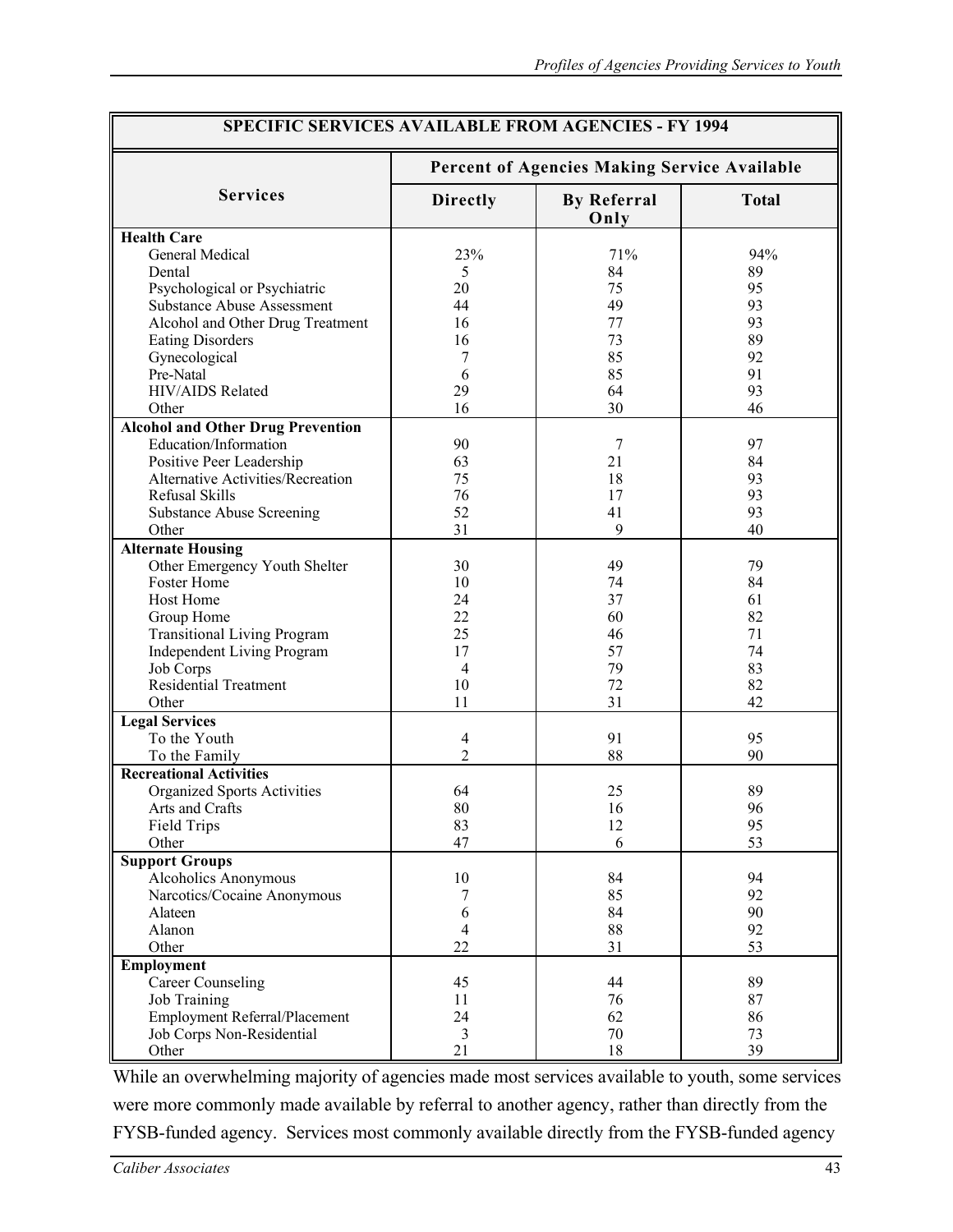| <b>SPECIFIC SERVICES AVAILABLE FROM AGENCIES - FY 1994</b> |                 |                                              |              |  |  |  |
|------------------------------------------------------------|-----------------|----------------------------------------------|--------------|--|--|--|
|                                                            |                 | Percent of Agencies Making Service Available |              |  |  |  |
| <b>Services</b>                                            | <b>Directly</b> | <b>By Referral</b><br>Only                   | <b>Total</b> |  |  |  |
| <b>Health Care</b>                                         |                 |                                              |              |  |  |  |
| General Medical                                            | 23%             | 71%                                          | 94%          |  |  |  |
| Dental                                                     | 5               | 84                                           | 89           |  |  |  |
| Psychological or Psychiatric                               | 20              | 75                                           | 95           |  |  |  |
| <b>Substance Abuse Assessment</b>                          | 44              | 49                                           | 93           |  |  |  |
| Alcohol and Other Drug Treatment                           | 16              | 77                                           | 93           |  |  |  |
| <b>Eating Disorders</b>                                    | 16              | 73                                           | 89           |  |  |  |
| Gynecological                                              | 7               | 85                                           | 92           |  |  |  |
| Pre-Natal                                                  | 6               | 85                                           | 91           |  |  |  |
| HIV/AIDS Related                                           | 29              | 64                                           | 93           |  |  |  |
| Other                                                      | 16              | 30                                           | 46           |  |  |  |
| <b>Alcohol and Other Drug Prevention</b>                   |                 |                                              |              |  |  |  |
| Education/Information                                      | 90              | 7                                            | 97           |  |  |  |
| Positive Peer Leadership                                   | 63              | 21                                           | 84           |  |  |  |
| <b>Alternative Activities/Recreation</b>                   | 75              | 18                                           | 93           |  |  |  |
| Refusal Skills                                             | 76              | 17                                           | 93           |  |  |  |
| <b>Substance Abuse Screening</b>                           | 52              | 41                                           | 93           |  |  |  |
| Other                                                      | 31              | 9                                            | 40           |  |  |  |
| <b>Alternate Housing</b>                                   |                 |                                              |              |  |  |  |
| Other Emergency Youth Shelter                              | 30              | 49                                           | 79           |  |  |  |
| Foster Home                                                | 10              | 74                                           | 84           |  |  |  |
| Host Home                                                  | 24              | 37                                           | 61           |  |  |  |
| Group Home                                                 | 22              | 60                                           | 82           |  |  |  |
| <b>Transitional Living Program</b>                         | 25              | 46                                           | 71           |  |  |  |
| <b>Independent Living Program</b>                          | 17              | 57                                           | 74           |  |  |  |
|                                                            | $\overline{4}$  | 79                                           | 83           |  |  |  |
| Job Corps<br><b>Residential Treatment</b>                  | 10              | 72                                           | 82           |  |  |  |
| Other                                                      | 11              | 31                                           | 42           |  |  |  |
|                                                            |                 |                                              |              |  |  |  |
| <b>Legal Services</b>                                      |                 |                                              |              |  |  |  |
| To the Youth                                               | $\overline{4}$  | 91                                           | 95           |  |  |  |
| To the Family                                              | $\overline{2}$  | 88                                           | 90           |  |  |  |
| <b>Recreational Activities</b>                             |                 |                                              |              |  |  |  |
| Organized Sports Activities                                | 64              | 25                                           | 89           |  |  |  |
| Arts and Crafts                                            | 80              | 16                                           | 96           |  |  |  |
| Field Trips                                                | 83              | 12                                           | 95           |  |  |  |
| Other                                                      | 47              | 6                                            | 53           |  |  |  |
| <b>Support Groups</b>                                      |                 |                                              |              |  |  |  |
| <b>Alcoholics Anonymous</b>                                | 10              | 84                                           | 94           |  |  |  |
| Narcotics/Cocaine Anonymous                                | 7               | 85                                           | 92           |  |  |  |
| Alateen                                                    | 6               | 84                                           | 90           |  |  |  |
| Alanon                                                     | $\overline{4}$  | 88                                           | 92           |  |  |  |
| Other                                                      | 22              | 31                                           | 53           |  |  |  |
| Employment                                                 |                 |                                              |              |  |  |  |
| <b>Career Counseling</b>                                   | 45              | 44                                           | 89           |  |  |  |
| <b>Job Training</b>                                        | 11              | 76                                           | 87           |  |  |  |
| Employment Referral/Placement                              | 24              | 62                                           | 86           |  |  |  |
| Job Corps Non-Residential                                  | 3               | $70\,$                                       | 73           |  |  |  |
| Other                                                      | 21              | 18                                           | 39           |  |  |  |
|                                                            |                 |                                              |              |  |  |  |

While an overwhelming majority of agencies made most services available to youth, some services were more commonly made available by referral to another agency, rather than directly from the FYSB-funded agency. Services most commonly available directly from the FYSB-funded agency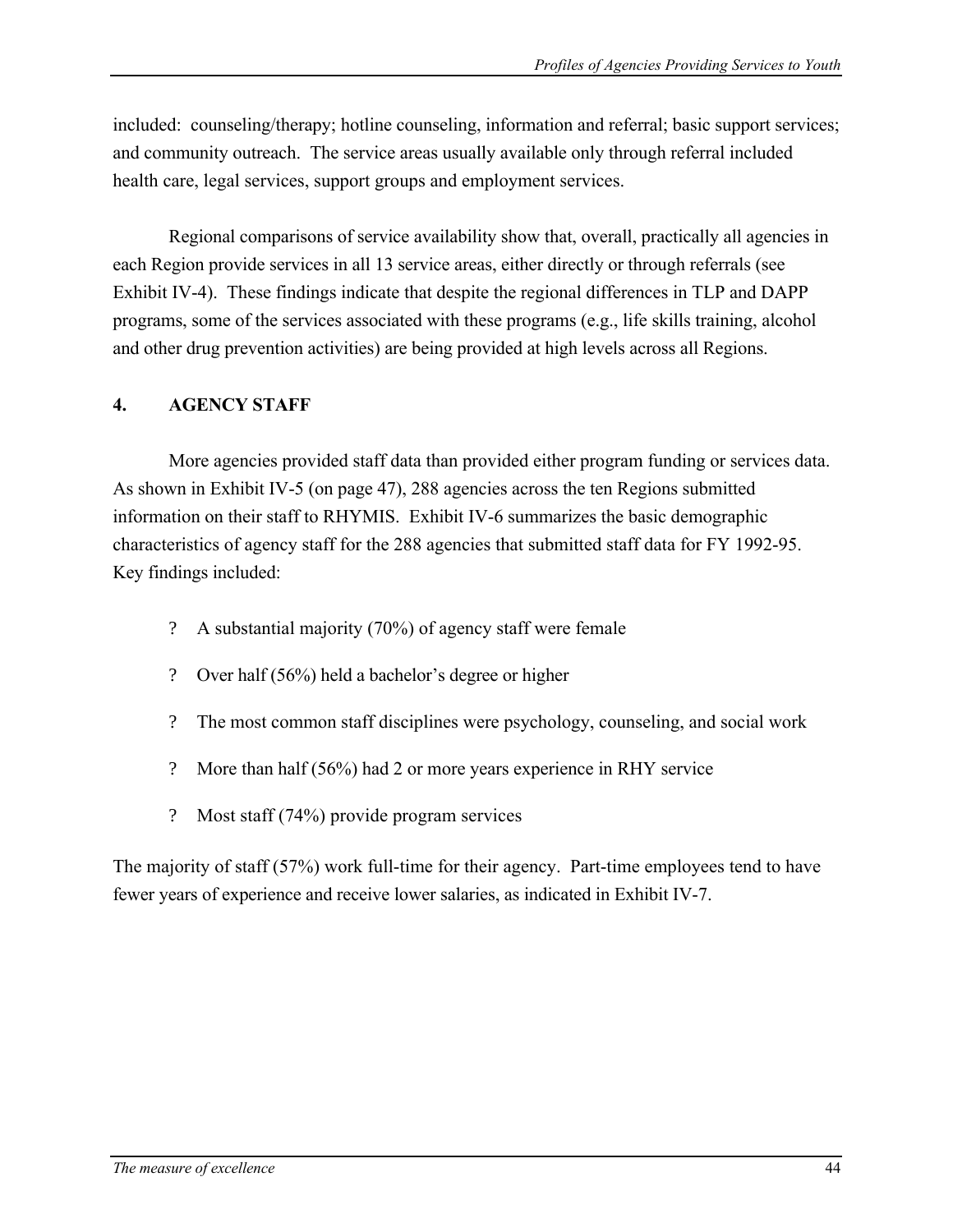included: counseling/therapy; hotline counseling, information and referral; basic support services; and community outreach. The service areas usually available only through referral included health care, legal services, support groups and employment services.

Regional comparisons of service availability show that, overall, practically all agencies in each Region provide services in all 13 service areas, either directly or through referrals (see Exhibit IV-4). These findings indicate that despite the regional differences in TLP and DAPP programs, some of the services associated with these programs (e.g., life skills training, alcohol and other drug prevention activities) are being provided at high levels across all Regions.

## **4. AGENCY STAFF**

More agencies provided staff data than provided either program funding or services data. As shown in Exhibit IV-5 (on page 47), 288 agencies across the ten Regions submitted information on their staff to RHYMIS. Exhibit IV-6 summarizes the basic demographic characteristics of agency staff for the 288 agencies that submitted staff data for FY 1992-95. Key findings included:

- ? A substantial majority (70%) of agency staff were female
- ? Over half (56%) held a bachelor's degree or higher
- ? The most common staff disciplines were psychology, counseling, and social work
- ? More than half (56%) had 2 or more years experience in RHY service
- ? Most staff (74%) provide program services

The majority of staff (57%) work full-time for their agency. Part-time employees tend to have fewer years of experience and receive lower salaries, as indicated in Exhibit IV-7.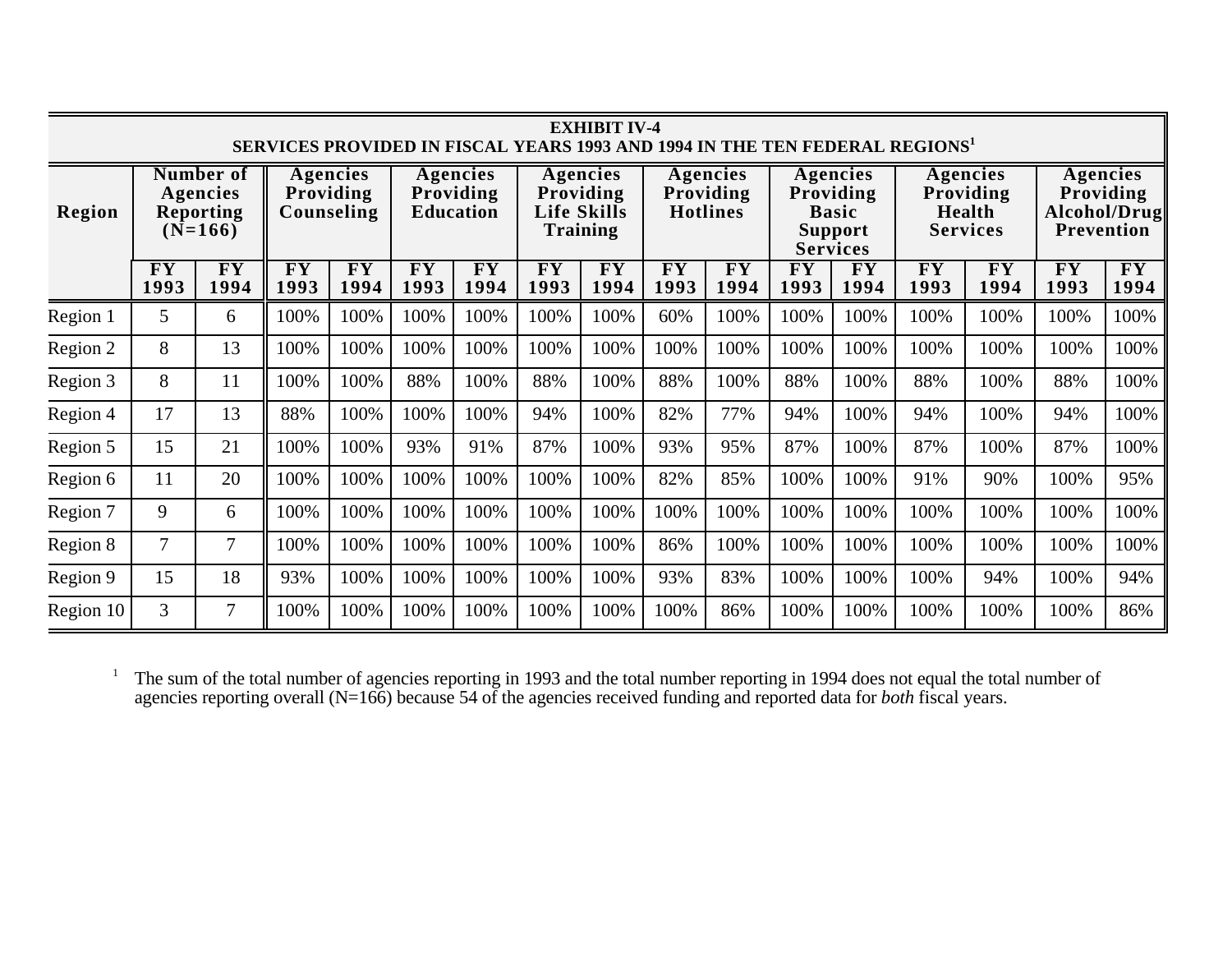| <b>EXHIBIT IV-4</b><br><b>SERVICES PROVIDED IN FISCAL YEARS 1993 AND 1994 IN THE TEN FEDERAL REGIONS'</b> |                                                                                                      |                                           |                   |                                                                                                             |            |                                                 |                                           |                                                                            |                                           |                                                           |                                           |                                                            |                                           |                                           |                                           |                                           |
|-----------------------------------------------------------------------------------------------------------|------------------------------------------------------------------------------------------------------|-------------------------------------------|-------------------|-------------------------------------------------------------------------------------------------------------|------------|-------------------------------------------------|-------------------------------------------|----------------------------------------------------------------------------|-------------------------------------------|-----------------------------------------------------------|-------------------------------------------|------------------------------------------------------------|-------------------------------------------|-------------------------------------------|-------------------------------------------|-------------------------------------------|
| Region                                                                                                    | <b>Number of</b><br>Agencies<br>Providing<br>Agencies<br>Counseling<br><b>Reporting</b><br>$(N=166)$ |                                           |                   | Agencies<br>Agencies<br>Providing<br>Providing<br><b>Life Skills</b><br><b>Education</b><br><b>Training</b> |            | <b>Agencies</b><br>Providing<br><b>Hotlines</b> |                                           | Agencies<br>Providing<br><b>Basic</b><br><b>Support</b><br><b>Services</b> |                                           | Agencies<br>Providing<br><b>Health</b><br><b>Services</b> |                                           | Agencies<br>Providing<br>Alcohol/Drug<br><b>Prevention</b> |                                           |                                           |                                           |                                           |
|                                                                                                           | $\overline{\mathbf{F}}\mathbf{Y}$<br>1993                                                            | $\overline{\mathbf{F}\mathbf{Y}}$<br>1994 | <b>FY</b><br>1993 | FY<br>1994                                                                                                  | FY<br>1993 | <b>FY</b><br>1994                               | $\overline{\textbf{F}\textbf{Y}}$<br>1993 | $\overline{\mathbf{F}}\mathbf{Y}$<br>1994                                  | $\overline{\mathbf{F}}\mathbf{Y}$<br>1993 | $\overline{\mathbf{F}}\mathbf{Y}$<br>1994                 | $\overline{\textbf{F}\textbf{Y}}$<br>1993 | $\overline{\mathbf{F}}\mathbf{Y}$<br>1994                  | $\overline{\mathbf{F}}\mathbf{Y}$<br>1993 | $\overline{\mathbf{F}}\mathbf{Y}$<br>1994 | $\overline{\mathbf{F}}\mathbf{Y}$<br>1993 | $\overline{\mathbf{F}\mathbf{Y}}$<br>1994 |
| Region 1                                                                                                  | 5                                                                                                    | 6                                         | 100%              | 100%                                                                                                        | 100%       | 100%                                            | 100%                                      | 100%                                                                       | 60%                                       | 100%                                                      | 100%                                      | 100%                                                       | 100%                                      | 100%                                      | 100%                                      | 100%                                      |
| Region 2                                                                                                  | 8                                                                                                    | 13                                        | 100%              | 100%                                                                                                        | 100%       | 100%                                            | 100%                                      | 100%                                                                       | 100%                                      | 100%                                                      | 100%                                      | 100%                                                       | 100%                                      | 100%                                      | 100%                                      | 100%                                      |
| Region 3                                                                                                  | 8                                                                                                    | 11                                        | 100%              | 100%                                                                                                        | 88%        | 100%                                            | 88%                                       | 100%                                                                       | 88%                                       | 100%                                                      | 88%                                       | 100%                                                       | 88%                                       | 100%                                      | 88%                                       | 100%                                      |
| Region 4                                                                                                  | 17                                                                                                   | 13                                        | 88%               | 100%                                                                                                        | 100%       | 100%                                            | 94%                                       | 100%                                                                       | 82%                                       | 77%                                                       | 94%                                       | 100%                                                       | 94%                                       | 100%                                      | 94%                                       | 100%                                      |
| Region 5                                                                                                  | 15                                                                                                   | 21                                        | 100%              | 100%                                                                                                        | 93%        | 91%                                             | 87%                                       | 100%                                                                       | 93%                                       | 95%                                                       | 87%                                       | 100%                                                       | 87%                                       | 100%                                      | 87%                                       | 100%                                      |
| Region 6                                                                                                  | 11                                                                                                   | 20                                        | 100%              | 100%                                                                                                        | 100%       | 100%                                            | 100%                                      | 100%                                                                       | 82%                                       | 85%                                                       | 100%                                      | 100%                                                       | 91%                                       | 90%                                       | 100%                                      | 95%                                       |
| Region 7                                                                                                  | 9                                                                                                    | 6                                         | 100%              | 100%                                                                                                        | 100%       | 100%                                            | 100%                                      | 100%                                                                       | 100%                                      | 100%                                                      | 100%                                      | 100%                                                       | 100%                                      | 100%                                      | 100%                                      | 100%                                      |
| Region 8                                                                                                  |                                                                                                      | 7                                         | 100%              | 100%                                                                                                        | 100%       | 100%                                            | 100%                                      | 100%                                                                       | 86%                                       | 100%                                                      | 100%                                      | 100%                                                       | 100%                                      | 100%                                      | 100%                                      | 100%                                      |
| Region 9                                                                                                  | 15                                                                                                   | 18                                        | 93%               | 100%                                                                                                        | 100%       | 100%                                            | 100%                                      | 100%                                                                       | 93%                                       | 83%                                                       | 100%                                      | 100%                                                       | 100%                                      | 94%                                       | 100%                                      | 94%                                       |
| Region 10                                                                                                 | 3                                                                                                    | 7                                         | 100%              | 100%                                                                                                        | 100%       | 100%                                            | 100%                                      | 100%                                                                       | 100%                                      | 86%                                                       | 100%                                      | 100%                                                       | 100%                                      | 100%                                      | 100%                                      | 86%                                       |

1 The sum of the total number of agencies reporting in 1993 and the total number reporting in 1994 does not equal the total number of agencies reporting overall (N=166) because 54 of the agencies received funding and reported data for *both* fiscal years.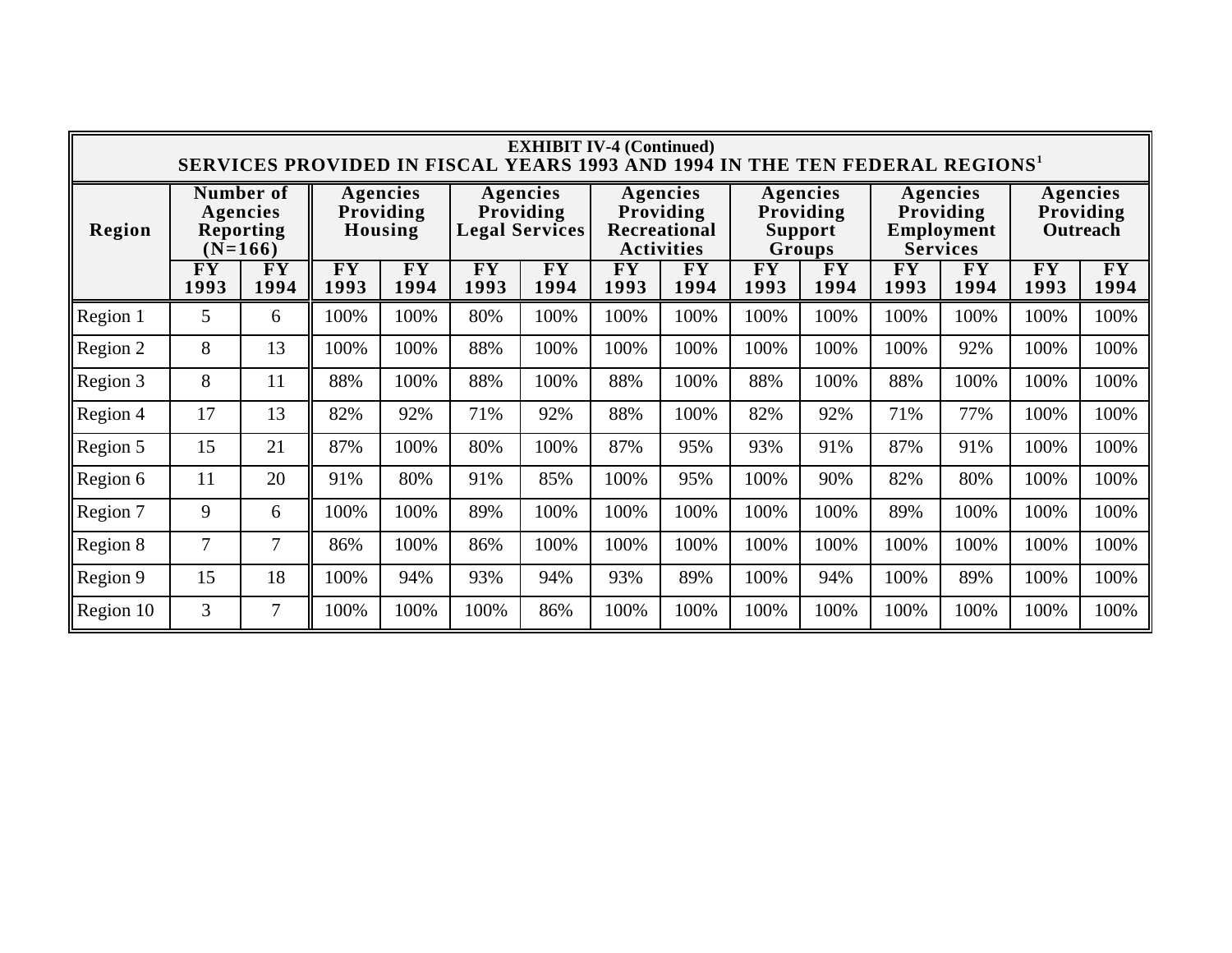|           | <b>EXHIBIT IV-4 (Continued)</b><br>SERVICES PROVIDED IN FISCAL YEARS 1993 AND 1994 IN THE TEN FEDERAL REGIONS <sup>1</sup> |                                      |            |                                                |                   |                                                                   |                                      |                                                   |                                           |                                                        |                                           |                                           |                                           |                                           |
|-----------|----------------------------------------------------------------------------------------------------------------------------|--------------------------------------|------------|------------------------------------------------|-------------------|-------------------------------------------------------------------|--------------------------------------|---------------------------------------------------|-------------------------------------------|--------------------------------------------------------|-------------------------------------------|-------------------------------------------|-------------------------------------------|-------------------------------------------|
| Region    | Number of<br>Agencies<br><b>Agencies</b><br>Providing<br><b>Reporting</b><br>Housing<br>$(N=166)$                          |                                      |            | Agencies<br>Providing<br><b>Legal Services</b> |                   | Agencies<br>Providing<br><b>Recreational</b><br><b>Activities</b> |                                      | Agencies<br>Providing<br><b>Support</b><br>Groups |                                           | Agencies<br>Providing<br>Employment<br><b>Services</b> |                                           | Agencies<br>Providing<br>Outreach         |                                           |                                           |
|           | $\overline{\mathbf{F}}\mathbf{Y}$<br>1993                                                                                  | ${\bf \overline{F}} {\bf Y}$<br>1994 | FY<br>1993 | $\overline{\mathbf{F}}\mathbf{Y}$<br>1994      | <b>FY</b><br>1993 | $\overline{\mathbf{F}}\mathbf{Y}$<br>1994                         | ${\bf \overline{F}} {\bf Y}$<br>1993 | $\overline{\mathbf{F}\mathbf{Y}}$<br>1994         | $\overline{\mathbf{F}}\mathbf{Y}$<br>1993 | ${\bf \overline{F}} {\bf \overline{Y}}$<br>1994        | $\overline{\mathbf{F}}\mathbf{Y}$<br>1993 | $\overline{\mathbf{F}}\mathbf{Y}$<br>1994 | $\overline{\mathbf{F}}\mathbf{Y}$<br>1993 | $\overline{\mathbf{F}}\mathbf{Y}$<br>1994 |
| Region 1  | 5                                                                                                                          | 6                                    | 100%       | 100%                                           | 80%               | 100%                                                              | 100%                                 | 100%                                              | 100%                                      | 100%                                                   | 100%                                      | 100%                                      | 100%                                      | 100%                                      |
| Region 2  | 8                                                                                                                          | 13                                   | 100%       | 100%                                           | 88%               | 100%                                                              | 100%                                 | 100%                                              | 100%                                      | 100%                                                   | 100%                                      | 92%                                       | 100%                                      | 100%                                      |
| Region 3  | 8                                                                                                                          | 11                                   | 88%        | 100%                                           | 88%               | 100%                                                              | 88%                                  | 100%                                              | 88%                                       | 100%                                                   | 88%                                       | 100%                                      | 100%                                      | 100%                                      |
| Region 4  | 17                                                                                                                         | 13                                   | 82%        | 92%                                            | 71%               | 92%                                                               | 88%                                  | 100%                                              | 82%                                       | 92%                                                    | 71%                                       | 77%                                       | 100%                                      | 100%                                      |
| Region 5  | 15                                                                                                                         | 21                                   | 87%        | 100%                                           | 80%               | 100%                                                              | 87%                                  | 95%                                               | 93%                                       | 91%                                                    | 87%                                       | 91%                                       | 100%                                      | 100%                                      |
| Region 6  | 11                                                                                                                         | 20                                   | 91%        | 80%                                            | 91%               | 85%                                                               | 100%                                 | 95%                                               | 100%                                      | 90%                                                    | 82%                                       | 80%                                       | 100%                                      | 100%                                      |
| Region 7  | 9                                                                                                                          | 6                                    | 100%       | 100%                                           | 89%               | 100%                                                              | 100%                                 | 100%                                              | 100%                                      | 100%                                                   | 89%                                       | 100%                                      | 100%                                      | 100%                                      |
| Region 8  | $\overline{7}$                                                                                                             | 7                                    | 86%        | 100%                                           | 86%               | 100%                                                              | 100%                                 | 100%                                              | 100%                                      | 100%                                                   | 100%                                      | 100%                                      | 100%                                      | 100%                                      |
| Region 9  | 15                                                                                                                         | 18                                   | 100%       | 94%                                            | 93%               | 94%                                                               | 93%                                  | 89%                                               | 100%                                      | 94%                                                    | 100%                                      | 89%                                       | 100%                                      | 100%                                      |
| Region 10 | 3                                                                                                                          | 7                                    | 100%       | 100%                                           | 100%              | 86%                                                               | 100%                                 | 100%                                              | 100%                                      | 100%                                                   | 100%                                      | 100%                                      | 100%                                      | 100%                                      |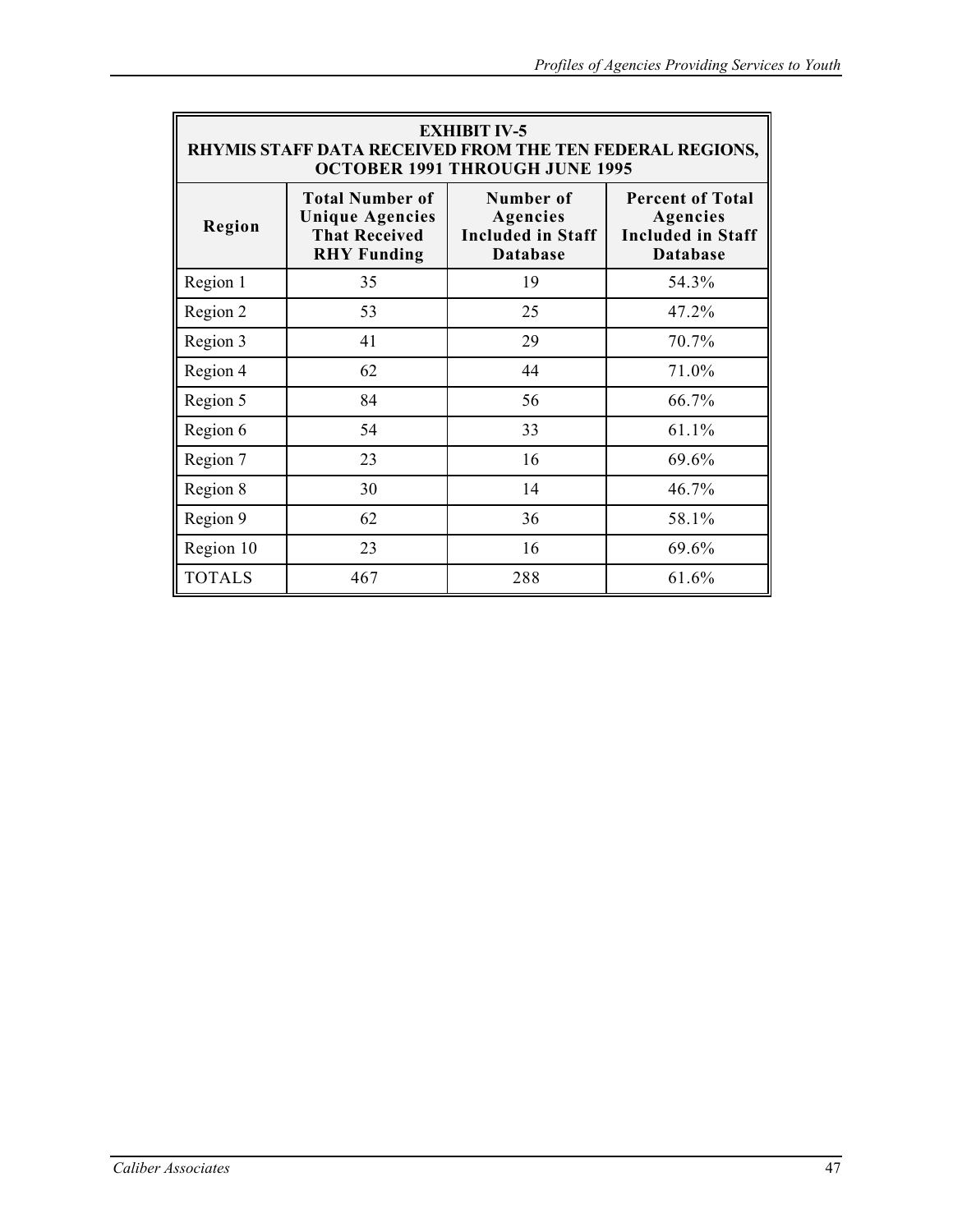| <b>EXHIBIT IV-5</b><br><b>RHYMIS STAFF DATA RECEIVED FROM THE TEN FEDERAL REGIONS,</b><br><b>OCTOBER 1991 THROUGH JUNE 1995</b> |                                                                                                |                                                                      |                                                                                    |  |  |  |  |
|---------------------------------------------------------------------------------------------------------------------------------|------------------------------------------------------------------------------------------------|----------------------------------------------------------------------|------------------------------------------------------------------------------------|--|--|--|--|
| Region                                                                                                                          | <b>Total Number of</b><br><b>Unique Agencies</b><br><b>That Received</b><br><b>RHY Funding</b> | Number of<br>Agencies<br><b>Included in Staff</b><br><b>Database</b> | <b>Percent of Total</b><br>Agencies<br><b>Included in Staff</b><br><b>Database</b> |  |  |  |  |
| Region 1                                                                                                                        | 35                                                                                             | 19                                                                   | 54.3%                                                                              |  |  |  |  |
| Region 2                                                                                                                        | 53                                                                                             | 25                                                                   | 47.2%                                                                              |  |  |  |  |
| Region 3                                                                                                                        | 41                                                                                             | 29                                                                   | 70.7%                                                                              |  |  |  |  |
| Region 4                                                                                                                        | 62                                                                                             | 44                                                                   | 71.0%                                                                              |  |  |  |  |
| Region 5                                                                                                                        | 84                                                                                             | 56                                                                   | 66.7%                                                                              |  |  |  |  |
| Region 6                                                                                                                        | 54                                                                                             | 33                                                                   | 61.1%                                                                              |  |  |  |  |
| Region 7                                                                                                                        | 23                                                                                             | 16                                                                   | 69.6%                                                                              |  |  |  |  |
| Region 8                                                                                                                        | 30                                                                                             | 14                                                                   | 46.7%                                                                              |  |  |  |  |
| Region 9                                                                                                                        | 62                                                                                             | 36                                                                   | 58.1%                                                                              |  |  |  |  |
| Region 10                                                                                                                       | 23                                                                                             | 16                                                                   | 69.6%                                                                              |  |  |  |  |
| <b>TOTALS</b>                                                                                                                   | 467                                                                                            | 288                                                                  | 61.6%                                                                              |  |  |  |  |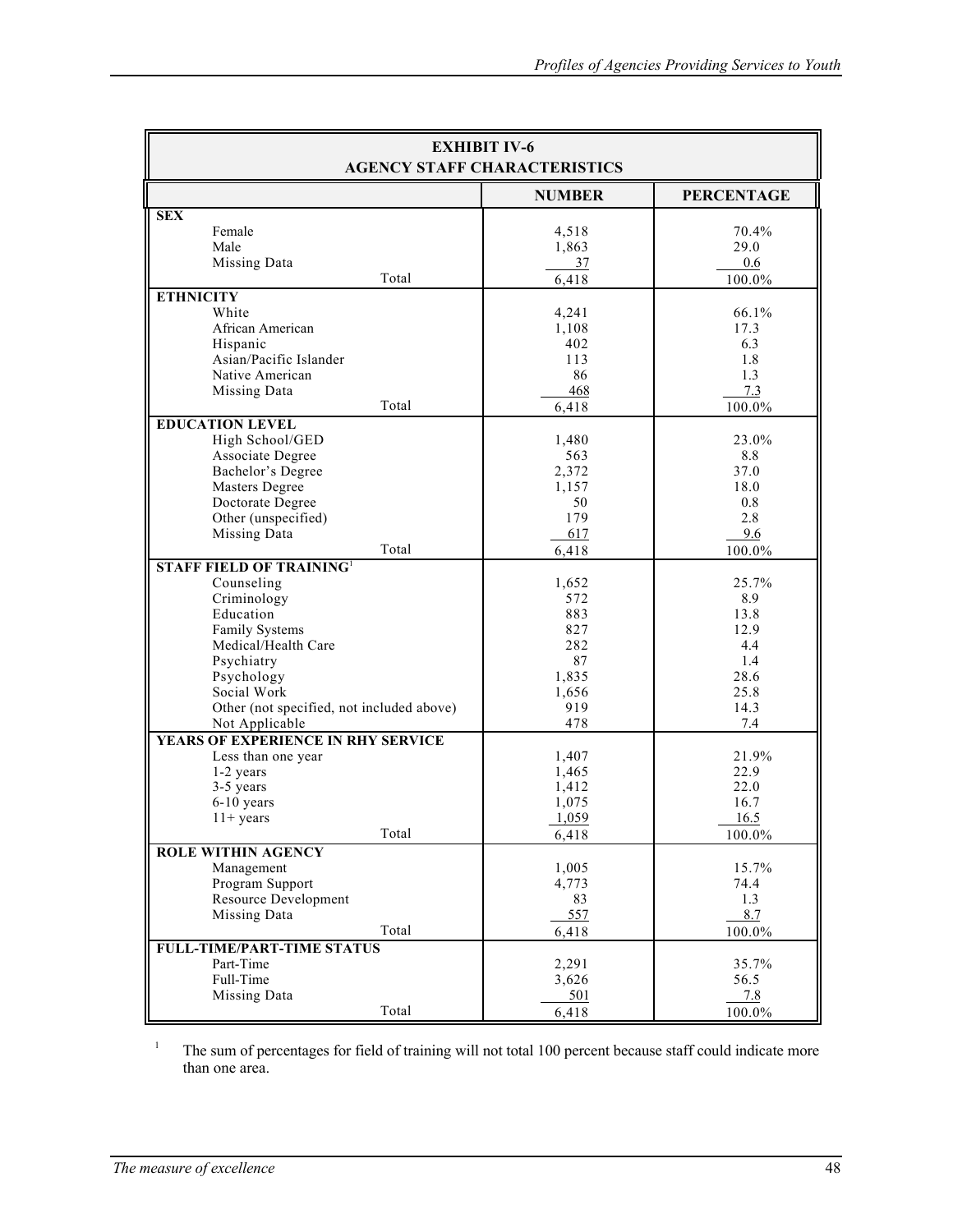| <b>EXHIBIT IV-6</b><br><b>AGENCY STAFF CHARACTERISTICS</b>                                                                                                                                                                      |                                                                         |                                                                           |  |  |  |  |
|---------------------------------------------------------------------------------------------------------------------------------------------------------------------------------------------------------------------------------|-------------------------------------------------------------------------|---------------------------------------------------------------------------|--|--|--|--|
|                                                                                                                                                                                                                                 | <b>NUMBER</b>                                                           | <b>PERCENTAGE</b>                                                         |  |  |  |  |
| <b>SEX</b><br>Female<br>Male<br>Missing Data<br>Total                                                                                                                                                                           | 4,518<br>1,863<br>37<br>6,418                                           | 70.4%<br>29.0<br>0.6<br>100.0%                                            |  |  |  |  |
| <b>ETHNICITY</b>                                                                                                                                                                                                                |                                                                         |                                                                           |  |  |  |  |
| White<br>African American<br>Hispanic<br>Asian/Pacific Islander<br>Native American<br>Missing Data<br>Total                                                                                                                     | 4,241<br>1,108<br>402<br>113<br>86<br>468<br>6,418                      | 66.1%<br>17.3<br>6.3<br>1.8<br>1.3<br>7.3<br>100.0%                       |  |  |  |  |
| <b>EDUCATION LEVEL</b>                                                                                                                                                                                                          |                                                                         |                                                                           |  |  |  |  |
| High School/GED<br>Associate Degree<br>Bachelor's Degree<br>Masters Degree<br>Doctorate Degree<br>Other (unspecified)<br>Missing Data<br>Total                                                                                  | 1,480<br>563<br>2,372<br>1,157<br>50<br>179<br>617<br>6,418             | 23.0%<br>8.8<br>37.0<br>18.0<br>0.8<br>2.8<br>9.6<br>100.0%               |  |  |  |  |
| <b>STAFF FIELD OF TRAINING1</b>                                                                                                                                                                                                 |                                                                         |                                                                           |  |  |  |  |
| Counseling<br>Criminology<br>Education<br>Family Systems<br>Medical/Health Care<br>Psychiatry<br>Psychology<br>Social Work<br>Other (not specified, not included above)<br>Not Applicable<br>YEARS OF EXPERIENCE IN RHY SERVICE | 1,652<br>572<br>883<br>827<br>282<br>87<br>1,835<br>1,656<br>919<br>478 | 25.7%<br>8.9<br>13.8<br>12.9<br>4.4<br>1.4<br>28.6<br>25.8<br>14.3<br>7.4 |  |  |  |  |
| Less than one year                                                                                                                                                                                                              | 1,407                                                                   | 21.9%                                                                     |  |  |  |  |
| 1-2 years<br>3-5 years<br>$6-10$ years<br>$11+$ years<br>Total                                                                                                                                                                  | 1,465<br>1,412<br>1,075<br>1,059<br>6,418                               | 22.9<br>22.0<br>16.7<br>16.5<br>100.0%                                    |  |  |  |  |
| <b>ROLE WITHIN AGENCY</b>                                                                                                                                                                                                       |                                                                         | 15.7%                                                                     |  |  |  |  |
| Management<br>Program Support<br><b>Resource Development</b><br>Missing Data<br>Total                                                                                                                                           | 1,005<br>4,773<br>83<br>557<br>6,418                                    | 74.4<br>1.3<br>8.7<br>100.0%                                              |  |  |  |  |
| <b>FULL-TIME/PART-TIME STATUS</b>                                                                                                                                                                                               |                                                                         |                                                                           |  |  |  |  |
| Part-Time<br>Full-Time<br>Missing Data<br>Total                                                                                                                                                                                 | 2,291<br>3,626<br>501<br>6,418                                          | 35.7%<br>56.5<br>7.8<br>100.0%                                            |  |  |  |  |

The sum of percentages for field of training will not total 100 percent because staff could indicate more than one area.

1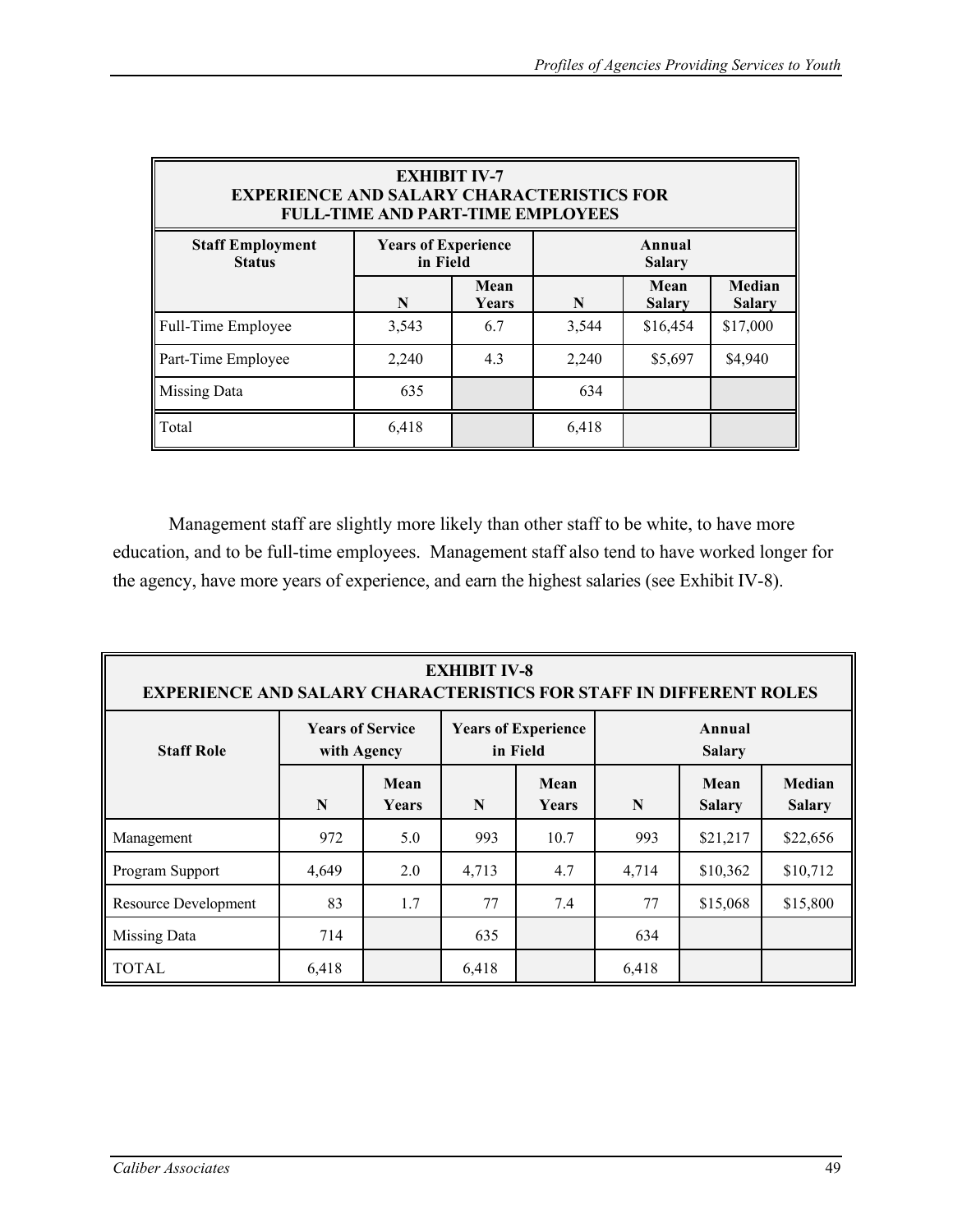| <b>EXHIBIT IV-7</b><br><b>EXPERIENCE AND SALARY CHARACTERISTICS FOR</b><br><b>FULL-TIME AND PART-TIME EMPLOYEES</b> |                                                                   |               |       |                       |                         |  |  |  |
|---------------------------------------------------------------------------------------------------------------------|-------------------------------------------------------------------|---------------|-------|-----------------------|-------------------------|--|--|--|
| <b>Staff Employment</b><br><b>Status</b>                                                                            | <b>Years of Experience</b><br>Annual<br>in Field<br><b>Salary</b> |               |       |                       |                         |  |  |  |
|                                                                                                                     | N                                                                 | Mean<br>Years | N     | Mean<br><b>Salary</b> | Median<br><b>Salary</b> |  |  |  |
| Full-Time Employee                                                                                                  | 3,543                                                             | 6.7           | 3,544 | \$16,454              | \$17,000                |  |  |  |
| Part-Time Employee                                                                                                  | 2,240                                                             | 4.3           | 2,240 | \$5,697               | \$4,940                 |  |  |  |
| <b>Missing Data</b>                                                                                                 | 635                                                               |               | 634   |                       |                         |  |  |  |
| Total                                                                                                               | 6,418                                                             |               | 6,418 |                       |                         |  |  |  |

Management staff are slightly more likely than other staff to be white, to have more education, and to be full-time employees. Management staff also tend to have worked longer for the agency, have more years of experience, and earn the highest salaries (see Exhibit IV-8).

| <b>EXHIBIT IV-8</b><br><b>EXPERIENCE AND SALARY CHARACTERISTICS FOR STAFF IN DIFFERENT ROLES</b> |                                        |                      |       |                                        |                         |                       |                         |  |
|--------------------------------------------------------------------------------------------------|----------------------------------------|----------------------|-------|----------------------------------------|-------------------------|-----------------------|-------------------------|--|
| <b>Staff Role</b>                                                                                | <b>Years of Service</b><br>with Agency |                      |       | <b>Years of Experience</b><br>in Field | Annual<br><b>Salary</b> |                       |                         |  |
|                                                                                                  | N                                      | Mean<br><b>Years</b> | N     | Mean<br><b>Years</b>                   | N                       | Mean<br><b>Salary</b> | Median<br><b>Salary</b> |  |
| Management                                                                                       | 972                                    | 5.0                  | 993   | 10.7                                   | 993                     | \$21,217              | \$22,656                |  |
| Program Support                                                                                  | 4,649                                  | 2.0                  | 4,713 | 4.7                                    | 4,714                   | \$10,362              | \$10,712                |  |
| <b>Resource Development</b>                                                                      | 83                                     | 1.7                  | 77    | 7.4                                    | 77                      | \$15,068              | \$15,800                |  |
| Missing Data                                                                                     | 714                                    |                      | 635   |                                        | 634                     |                       |                         |  |
| <b>TOTAL</b>                                                                                     | 6,418                                  |                      | 6,418 |                                        | 6,418                   |                       |                         |  |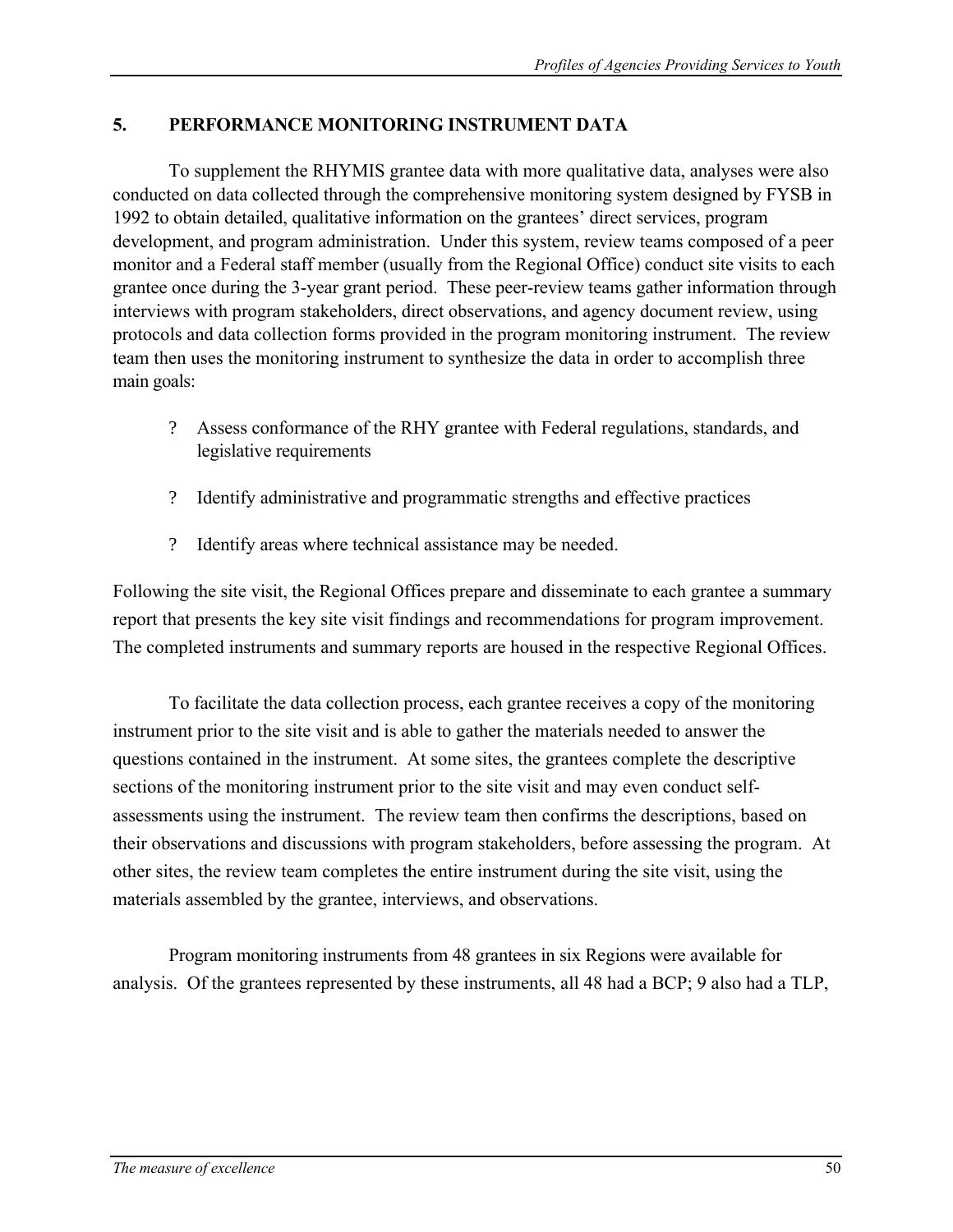## **5. PERFORMANCE MONITORING INSTRUMENT DATA**

To supplement the RHYMIS grantee data with more qualitative data, analyses were also conducted on data collected through the comprehensive monitoring system designed by FYSB in 1992 to obtain detailed, qualitative information on the grantees' direct services, program development, and program administration. Under this system, review teams composed of a peer monitor and a Federal staff member (usually from the Regional Office) conduct site visits to each grantee once during the 3-year grant period. These peer-review teams gather information through interviews with program stakeholders, direct observations, and agency document review, using protocols and data collection forms provided in the program monitoring instrument. The review team then uses the monitoring instrument to synthesize the data in order to accomplish three main goals:

- ? Assess conformance of the RHY grantee with Federal regulations, standards, and legislative requirements
- ? Identify administrative and programmatic strengths and effective practices
- ? Identify areas where technical assistance may be needed.

Following the site visit, the Regional Offices prepare and disseminate to each grantee a summary report that presents the key site visit findings and recommendations for program improvement. The completed instruments and summary reports are housed in the respective Regional Offices.

To facilitate the data collection process, each grantee receives a copy of the monitoring instrument prior to the site visit and is able to gather the materials needed to answer the questions contained in the instrument. At some sites, the grantees complete the descriptive sections of the monitoring instrument prior to the site visit and may even conduct selfassessments using the instrument. The review team then confirms the descriptions, based on their observations and discussions with program stakeholders, before assessing the program. At other sites, the review team completes the entire instrument during the site visit, using the materials assembled by the grantee, interviews, and observations.

Program monitoring instruments from 48 grantees in six Regions were available for analysis. Of the grantees represented by these instruments, all 48 had a BCP; 9 also had a TLP,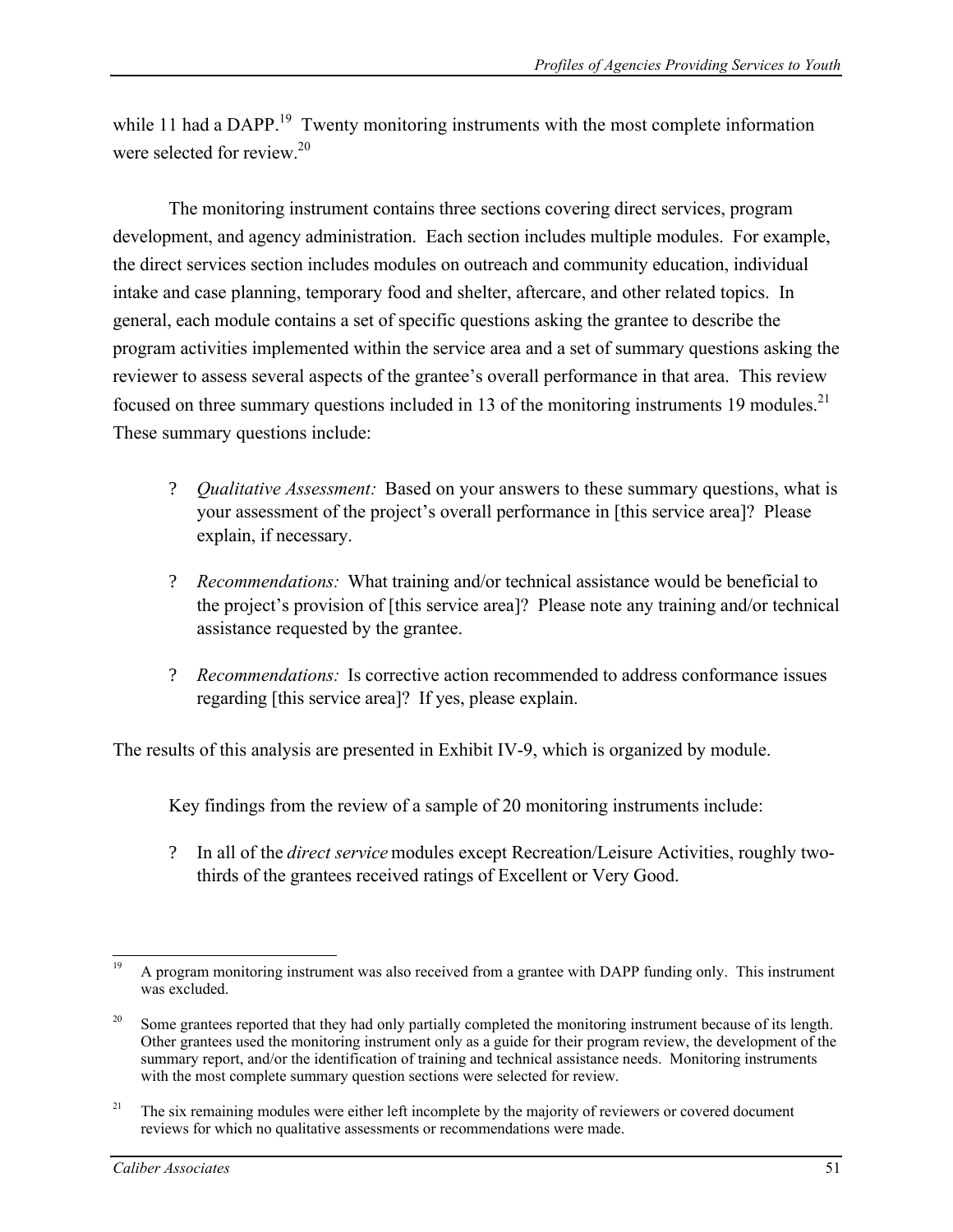while 11 had a DAPP.<sup>19</sup> Twenty monitoring instruments with the most complete information were selected for review  $20$ 

The monitoring instrument contains three sections covering direct services, program development, and agency administration. Each section includes multiple modules. For example, the direct services section includes modules on outreach and community education, individual intake and case planning, temporary food and shelter, aftercare, and other related topics. In general, each module contains a set of specific questions asking the grantee to describe the program activities implemented within the service area and a set of summary questions asking the reviewer to assess several aspects of the grantee's overall performance in that area. This review focused on three summary questions included in 13 of the monitoring instruments 19 modules.<sup>21</sup> These summary questions include:

- ? *Qualitative Assessment:* Based on your answers to these summary questions, what is your assessment of the project's overall performance in [this service area]? Please explain, if necessary.
- ? *Recommendations:* What training and/or technical assistance would be beneficial to the project's provision of [this service area]? Please note any training and/or technical assistance requested by the grantee.
- ? *Recommendations:* Is corrective action recommended to address conformance issues regarding [this service area]? If yes, please explain.

The results of this analysis are presented in Exhibit IV-9, which is organized by module.

Key findings from the review of a sample of 20 monitoring instruments include:

? In all of the *direct service* modules except Recreation/Leisure Activities, roughly twothirds of the grantees received ratings of Excellent or Very Good.

 $19$ A program monitoring instrument was also received from a grantee with DAPP funding only. This instrument was excluded.

<sup>&</sup>lt;sup>20</sup> Some grantees reported that they had only partially completed the monitoring instrument because of its length. Other grantees used the monitoring instrument only as a guide for their program review, the development of the summary report, and/or the identification of training and technical assistance needs. Monitoring instruments with the most complete summary question sections were selected for review.

<sup>&</sup>lt;sup>21</sup> The six remaining modules were either left incomplete by the majority of reviewers or covered document reviews for which no qualitative assessments or recommendations were made.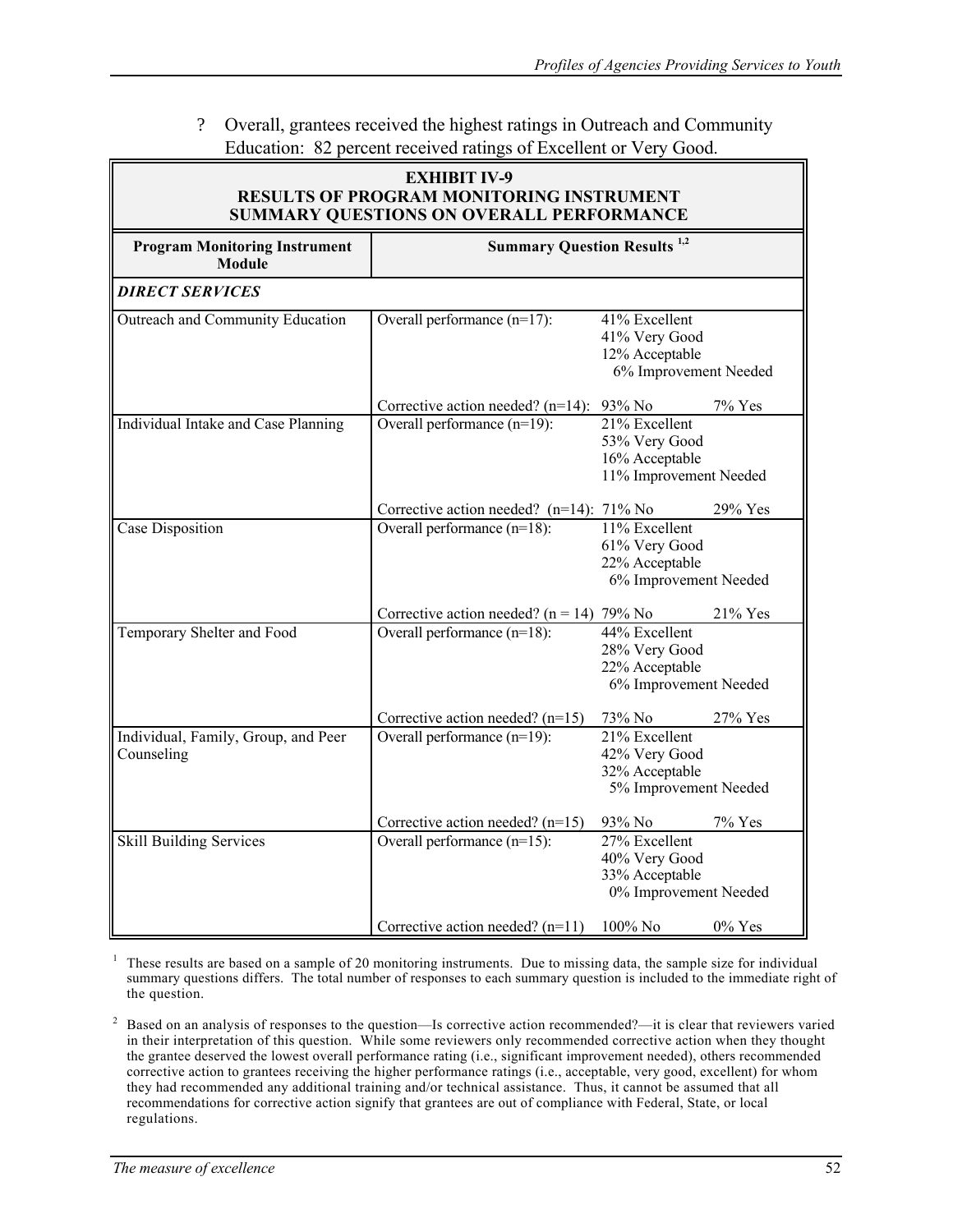### ? Overall, grantees received the highest ratings in Outreach and Community Education: 82 percent received ratings of Excellent or Very Good.

| <b>EXHIBIT IV-9</b><br><b>RESULTS OF PROGRAM MONITORING INSTRUMENT</b><br><b>SUMMARY QUESTIONS ON OVERALL PERFORMANCE</b> |                                                |                                                                              |  |  |  |  |  |
|---------------------------------------------------------------------------------------------------------------------------|------------------------------------------------|------------------------------------------------------------------------------|--|--|--|--|--|
| <b>Program Monitoring Instrument</b><br><b>Module</b>                                                                     | <b>Summary Question Results</b> <sup>1,2</sup> |                                                                              |  |  |  |  |  |
| <b>DIRECT SERVICES</b>                                                                                                    |                                                |                                                                              |  |  |  |  |  |
| Outreach and Community Education                                                                                          | Overall performance $(n=17)$ :                 | 41% Excellent<br>41% Very Good<br>12% Acceptable<br>6% Improvement Needed    |  |  |  |  |  |
|                                                                                                                           | Corrective action needed? $(n=14)$ : 93% No    | 7% Yes                                                                       |  |  |  |  |  |
| Individual Intake and Case Planning                                                                                       | Overall performance $(n=19)$ :                 | 21% Excellent<br>53% Very Good<br>16% Acceptable<br>11% Improvement Needed   |  |  |  |  |  |
|                                                                                                                           | Corrective action needed? $(n=14)$ : 71% No    | 29% Yes                                                                      |  |  |  |  |  |
| <b>Case Disposition</b>                                                                                                   | Overall performance $(n=18)$ :                 | 11% Excellent<br>61% Very Good<br>22% Acceptable<br>6% Improvement Needed    |  |  |  |  |  |
|                                                                                                                           | Corrective action needed? $(n = 14)$ 79% No    | 21% Yes                                                                      |  |  |  |  |  |
| Temporary Shelter and Food                                                                                                | Overall performance (n=18):                    | 44% Excellent<br>28% Very Good<br>22% Acceptable<br>6% Improvement Needed    |  |  |  |  |  |
|                                                                                                                           | Corrective action needed? $(n=15)$             | 73% No<br>27% Yes                                                            |  |  |  |  |  |
| Individual, Family, Group, and Peer<br>Counseling                                                                         | Overall performance (n=19):                    | $21\%$ Excellent<br>42% Very Good<br>32% Acceptable<br>5% Improvement Needed |  |  |  |  |  |
|                                                                                                                           | Corrective action needed? $(n=15)$             | 7% Yes<br>93% No                                                             |  |  |  |  |  |
| <b>Skill Building Services</b>                                                                                            | Overall performance $(n=15)$ :                 | 27% Excellent<br>40% Very Good<br>33% Acceptable<br>0% Improvement Needed    |  |  |  |  |  |
|                                                                                                                           | Corrective action needed? $(n=11)$             | 100% No<br>$0\%$ Yes                                                         |  |  |  |  |  |

 $<sup>1</sup>$  These results are based on a sample of 20 monitoring instruments. Due to missing data, the sample size for individual</sup> summary questions differs. The total number of responses to each summary question is included to the immediate right of the question.

<sup>2</sup> Based on an analysis of responses to the question—Is corrective action recommended?—it is clear that reviewers varied in their interpretation of this question. While some reviewers only recommended corrective action when they thought the grantee deserved the lowest overall performance rating (i.e., significant improvement needed), others recommended corrective action to grantees receiving the higher performance ratings (i.e., acceptable, very good, excellent) for whom they had recommended any additional training and/or technical assistance. Thus, it cannot be assumed that all recommendations for corrective action signify that grantees are out of compliance with Federal, State, or local regulations.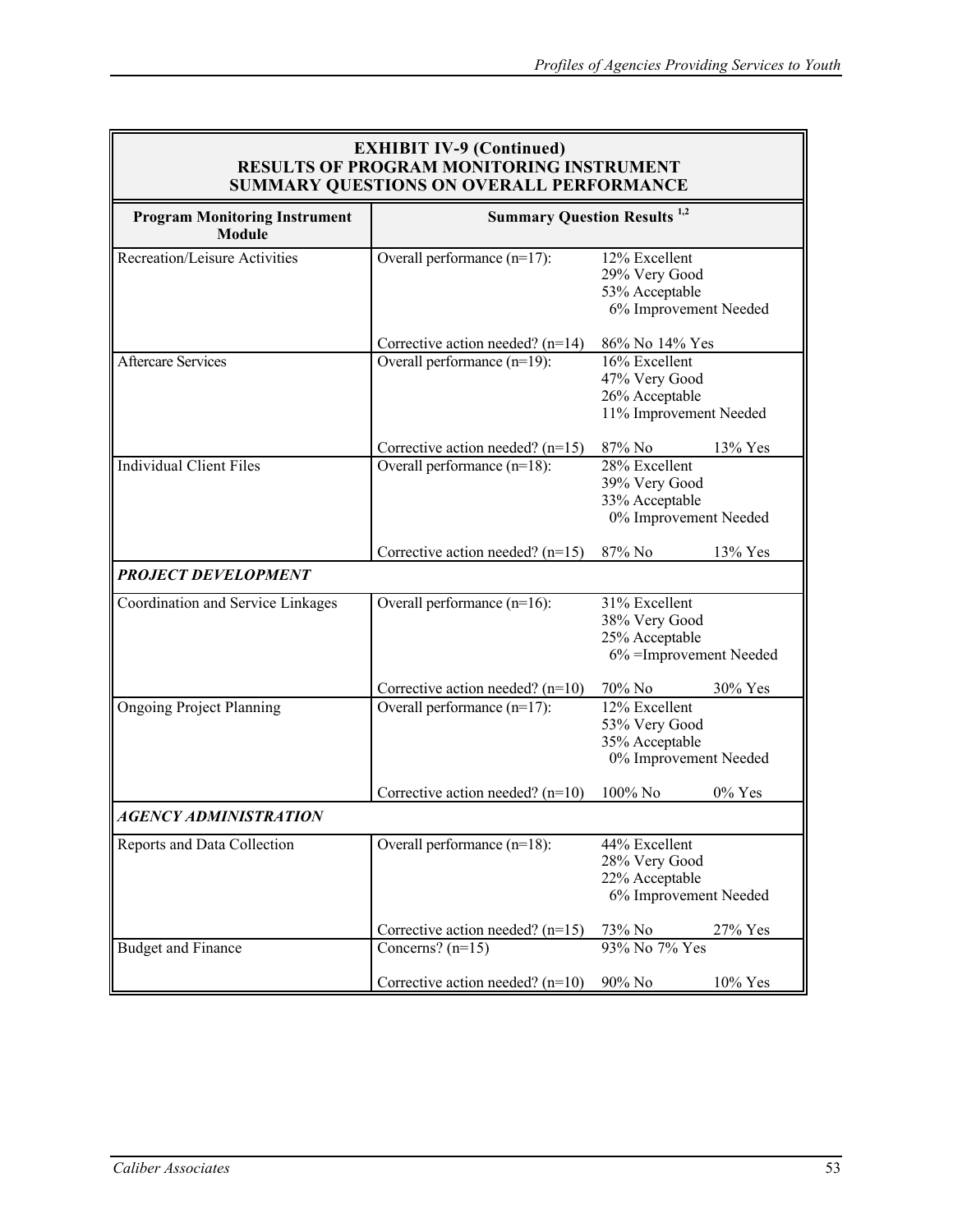| <b>EXHIBIT IV-9 (Continued)</b><br><b>RESULTS OF PROGRAM MONITORING INSTRUMENT</b><br><b>SUMMARY QUESTIONS ON OVERALL PERFORMANCE</b> |                                                          |                                                                             |  |  |  |  |  |  |
|---------------------------------------------------------------------------------------------------------------------------------------|----------------------------------------------------------|-----------------------------------------------------------------------------|--|--|--|--|--|--|
| <b>Program Monitoring Instrument</b><br><b>Module</b>                                                                                 | <b>Summary Question Results</b> <sup>1,2</sup>           |                                                                             |  |  |  |  |  |  |
| <b>Recreation/Leisure Activities</b>                                                                                                  | Overall performance $(n=17)$ :                           | 12% Excellent<br>29% Very Good<br>53% Acceptable<br>6% Improvement Needed   |  |  |  |  |  |  |
|                                                                                                                                       | Corrective action needed? $(n=14)$                       | 86% No 14% Yes                                                              |  |  |  |  |  |  |
| <b>Aftercare Services</b>                                                                                                             | Overall performance $(n=19)$ :                           | 16% Excellent<br>47% Very Good<br>26% Acceptable<br>11% Improvement Needed  |  |  |  |  |  |  |
|                                                                                                                                       | Corrective action needed? $(n=15)$                       | $13\%$ Yes<br>87% No                                                        |  |  |  |  |  |  |
| <b>Individual Client Files</b>                                                                                                        | Overall performance $(n=18)$ :                           | 28% Excellent<br>39% Very Good<br>33% Acceptable<br>0% Improvement Needed   |  |  |  |  |  |  |
|                                                                                                                                       | Corrective action needed? $(n=15)$                       | $87\%$ No<br>13% Yes                                                        |  |  |  |  |  |  |
| <b>PROJECT DEVELOPMENT</b>                                                                                                            |                                                          |                                                                             |  |  |  |  |  |  |
| Coordination and Service Linkages                                                                                                     | Overall performance $(n=16)$ :                           | 31% Excellent<br>38% Very Good<br>25% Acceptable<br>6% = Improvement Needed |  |  |  |  |  |  |
|                                                                                                                                       | Corrective action needed? $(n=10)$                       | 70% No<br>$30\%$ Yes                                                        |  |  |  |  |  |  |
| <b>Ongoing Project Planning</b>                                                                                                       | Overall performance $(n=17)$ :                           | 12% Excellent<br>53% Very Good<br>35% Acceptable<br>0% Improvement Needed   |  |  |  |  |  |  |
|                                                                                                                                       | Corrective action needed? $(n=10)$                       | $100\%$ No<br>$0\%$ Yes                                                     |  |  |  |  |  |  |
| AGENCY ADMINISTRATION                                                                                                                 |                                                          |                                                                             |  |  |  |  |  |  |
| Reports and Data Collection                                                                                                           | Overall performance $(n=18)$ :                           | 44% Excellent<br>28% Very Good<br>22% Acceptable<br>6% Improvement Needed   |  |  |  |  |  |  |
|                                                                                                                                       | Corrective action needed? $(n=15)$                       | 73% No<br>27% Yes                                                           |  |  |  |  |  |  |
| <b>Budget and Finance</b>                                                                                                             | Concerns? $(n=15)$<br>Corrective action needed? $(n=10)$ | 93% No 7% Yes<br>90% No<br>10% Yes                                          |  |  |  |  |  |  |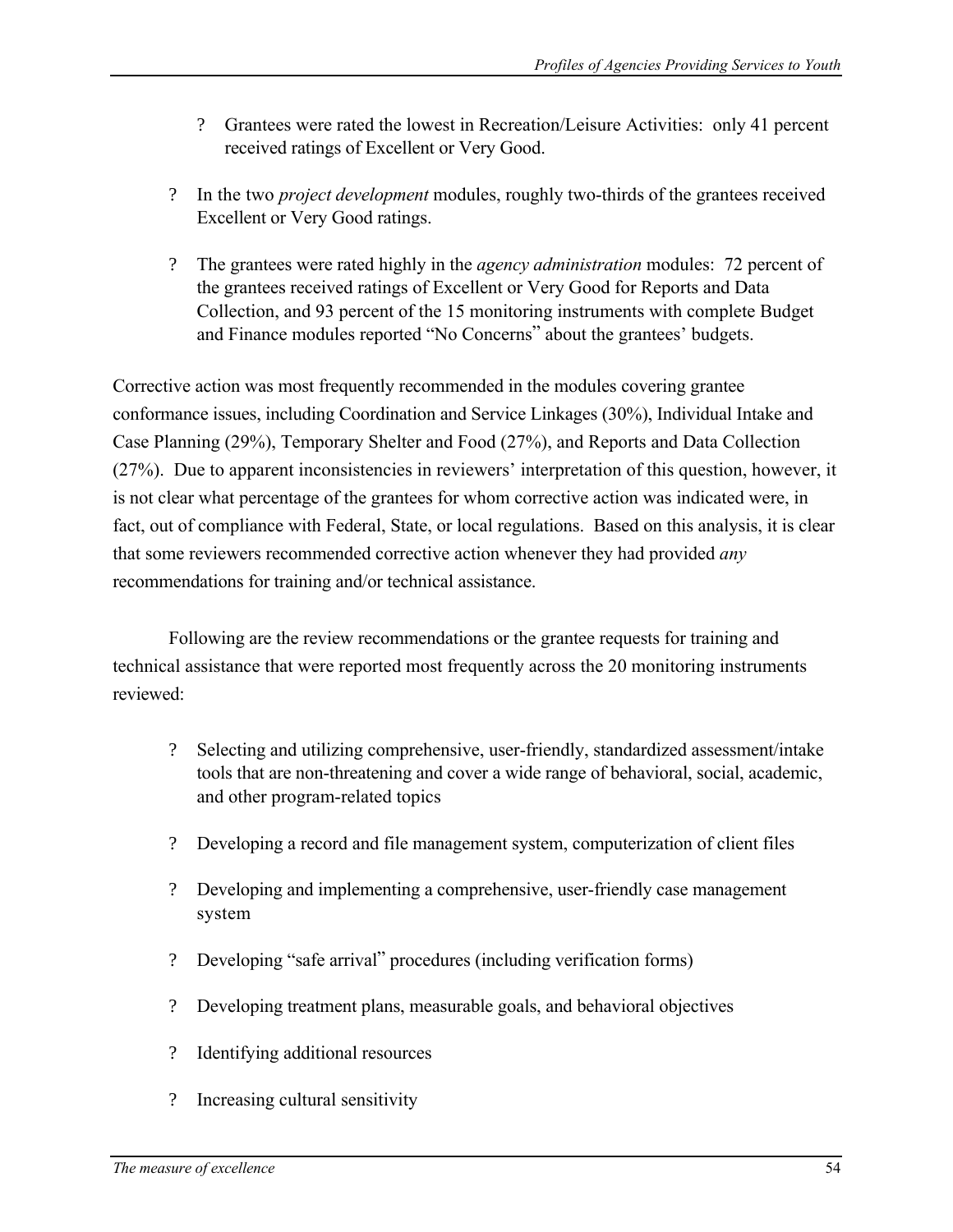- ? Grantees were rated the lowest in Recreation/Leisure Activities: only 41 percent received ratings of Excellent or Very Good.
- ? In the two *project development* modules, roughly two-thirds of the grantees received Excellent or Very Good ratings.
- ? The grantees were rated highly in the *agency administration* modules: 72 percent of the grantees received ratings of Excellent or Very Good for Reports and Data Collection, and 93 percent of the 15 monitoring instruments with complete Budget and Finance modules reported "No Concerns" about the grantees' budgets.

Corrective action was most frequently recommended in the modules covering grantee conformance issues, including Coordination and Service Linkages (30%), Individual Intake and Case Planning (29%), Temporary Shelter and Food (27%), and Reports and Data Collection (27%). Due to apparent inconsistencies in reviewers' interpretation of this question, however, it is not clear what percentage of the grantees for whom corrective action was indicated were, in fact, out of compliance with Federal, State, or local regulations. Based on this analysis, it is clear that some reviewers recommended corrective action whenever they had provided *any*  recommendations for training and/or technical assistance.

Following are the review recommendations or the grantee requests for training and technical assistance that were reported most frequently across the 20 monitoring instruments reviewed:

- ? Selecting and utilizing comprehensive, user-friendly, standardized assessment/intake tools that are non-threatening and cover a wide range of behavioral, social, academic, and other program-related topics
- ? Developing a record and file management system, computerization of client files
- ? Developing and implementing a comprehensive, user-friendly case management system
- ? Developing "safe arrival" procedures (including verification forms)
- ? Developing treatment plans, measurable goals, and behavioral objectives
- ? Identifying additional resources
- ? Increasing cultural sensitivity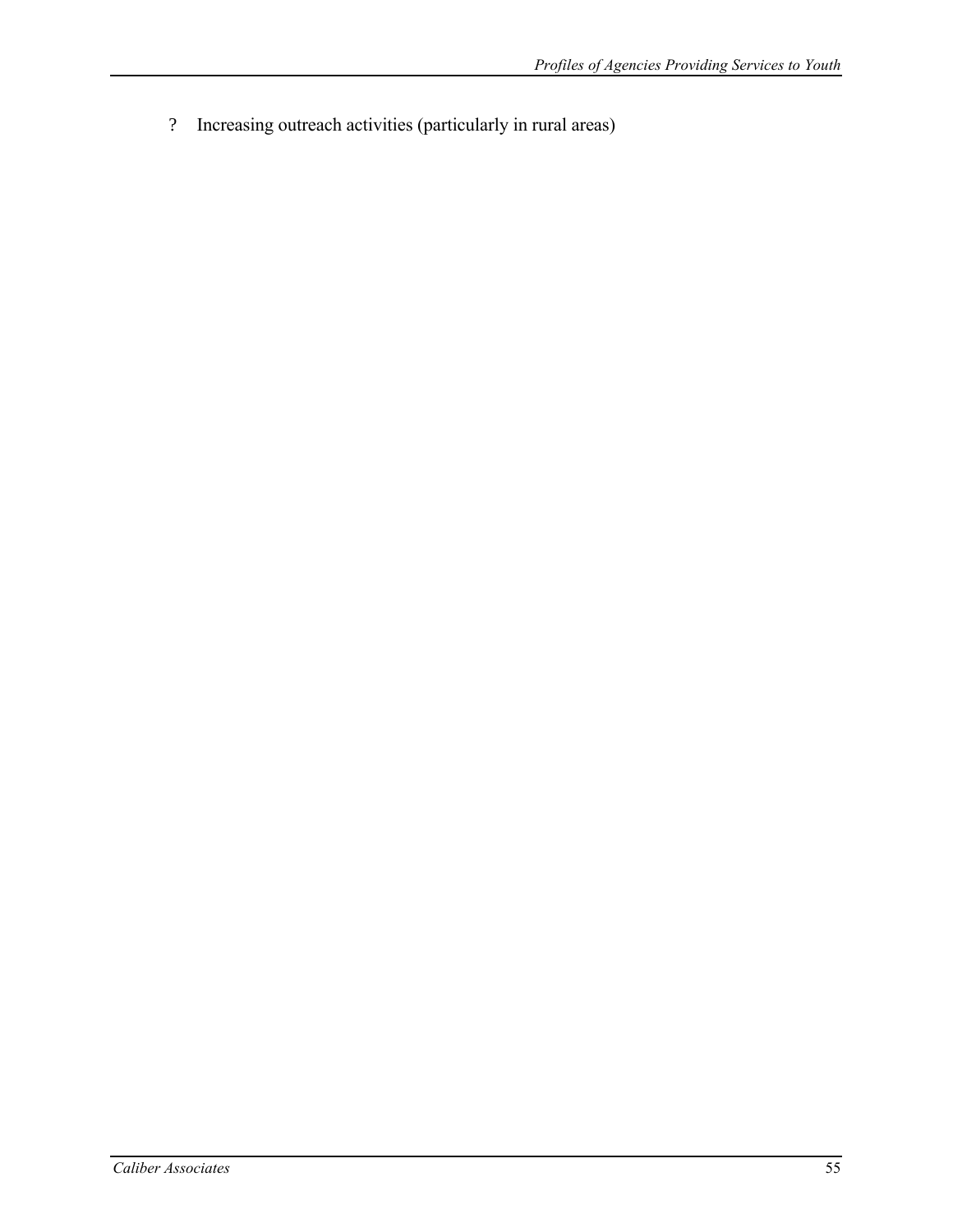? Increasing outreach activities (particularly in rural areas)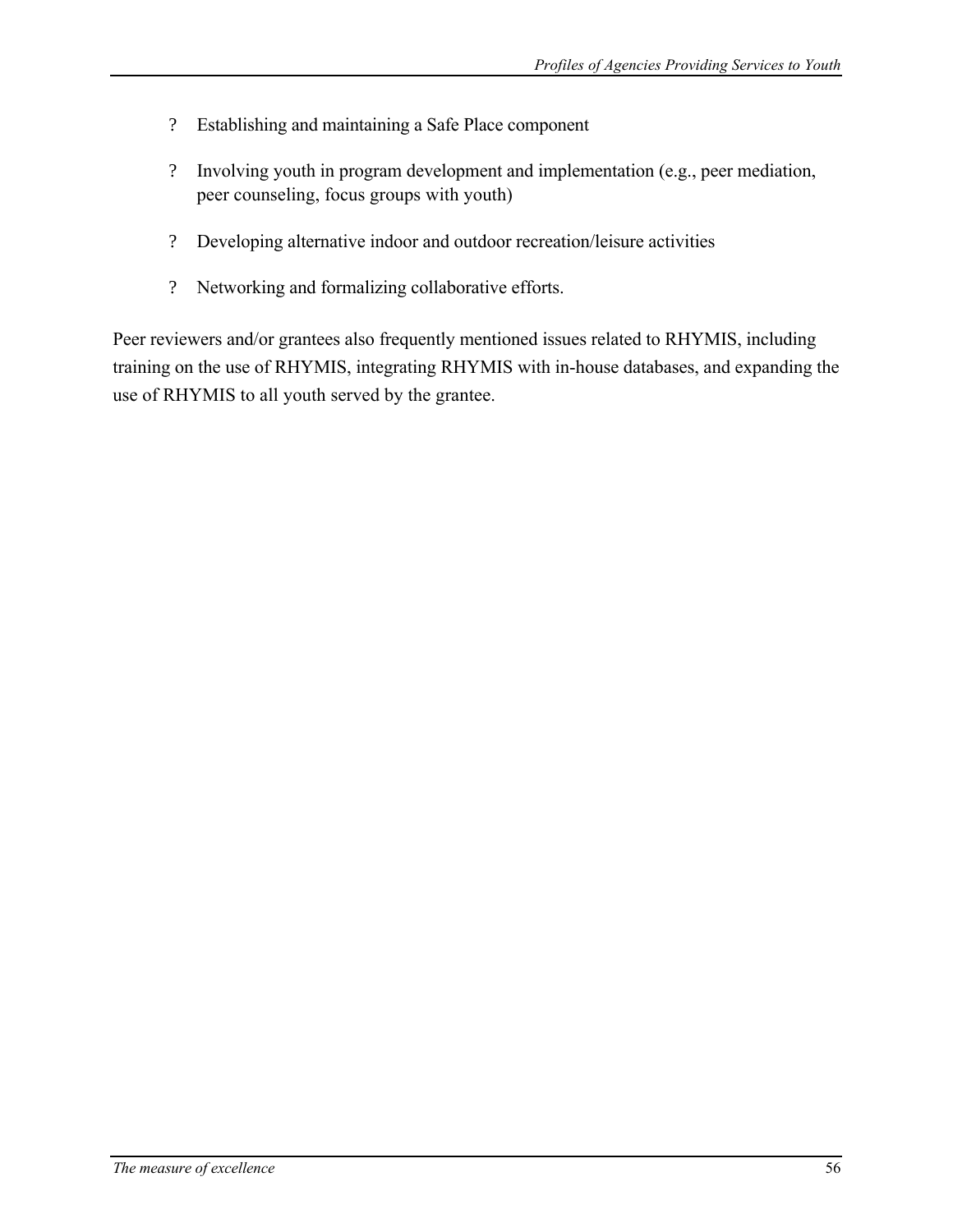- ? Establishing and maintaining a Safe Place component
- ? Involving youth in program development and implementation (e.g., peer mediation, peer counseling, focus groups with youth)
- ? Developing alternative indoor and outdoor recreation/leisure activities
- ? Networking and formalizing collaborative efforts.

Peer reviewers and/or grantees also frequently mentioned issues related to RHYMIS, including training on the use of RHYMIS, integrating RHYMIS with in-house databases, and expanding the use of RHYMIS to all youth served by the grantee.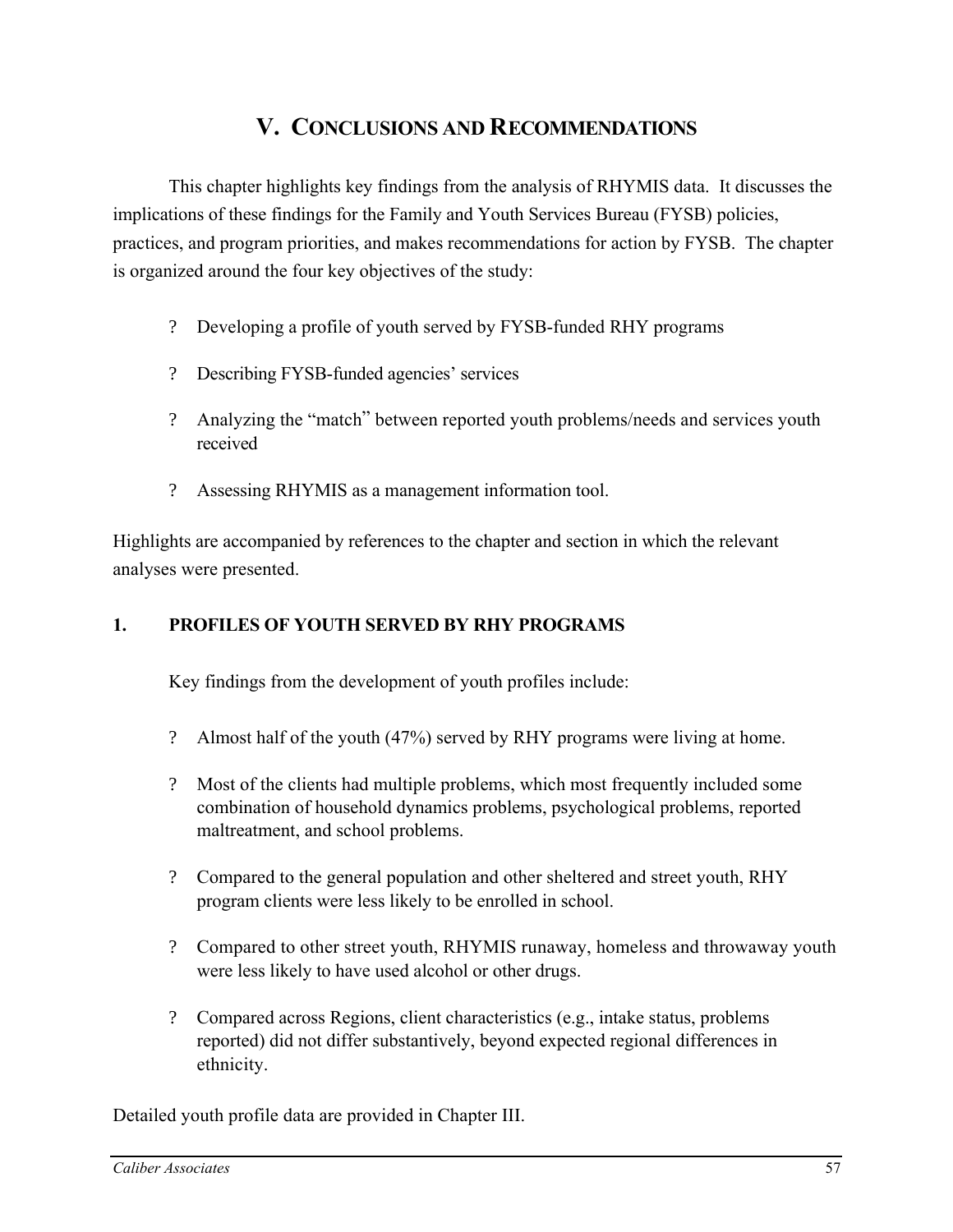# **V. CONCLUSIONS AND RECOMMENDATIONS**

This chapter highlights key findings from the analysis of RHYMIS data. It discusses the implications of these findings for the Family and Youth Services Bureau (FYSB) policies, practices, and program priorities, and makes recommendations for action by FYSB. The chapter is organized around the four key objectives of the study:

- ? Developing a profile of youth served by FYSB-funded RHY programs
- ? Describing FYSB-funded agencies' services
- ? Analyzing the "match" between reported youth problems/needs and services youth received
- ? Assessing RHYMIS as a management information tool.

Highlights are accompanied by references to the chapter and section in which the relevant analyses were presented.

### **1. PROFILES OF YOUTH SERVED BY RHY PROGRAMS**

Key findings from the development of youth profiles include:

- ? Almost half of the youth (47%) served by RHY programs were living at home.
- ? Most of the clients had multiple problems, which most frequently included some combination of household dynamics problems, psychological problems, reported maltreatment, and school problems.
- ? Compared to the general population and other sheltered and street youth, RHY program clients were less likely to be enrolled in school.
- ? Compared to other street youth, RHYMIS runaway, homeless and throwaway youth were less likely to have used alcohol or other drugs.
- ? Compared across Regions, client characteristics (e.g., intake status, problems reported) did not differ substantively, beyond expected regional differences in ethnicity.

Detailed youth profile data are provided in Chapter III.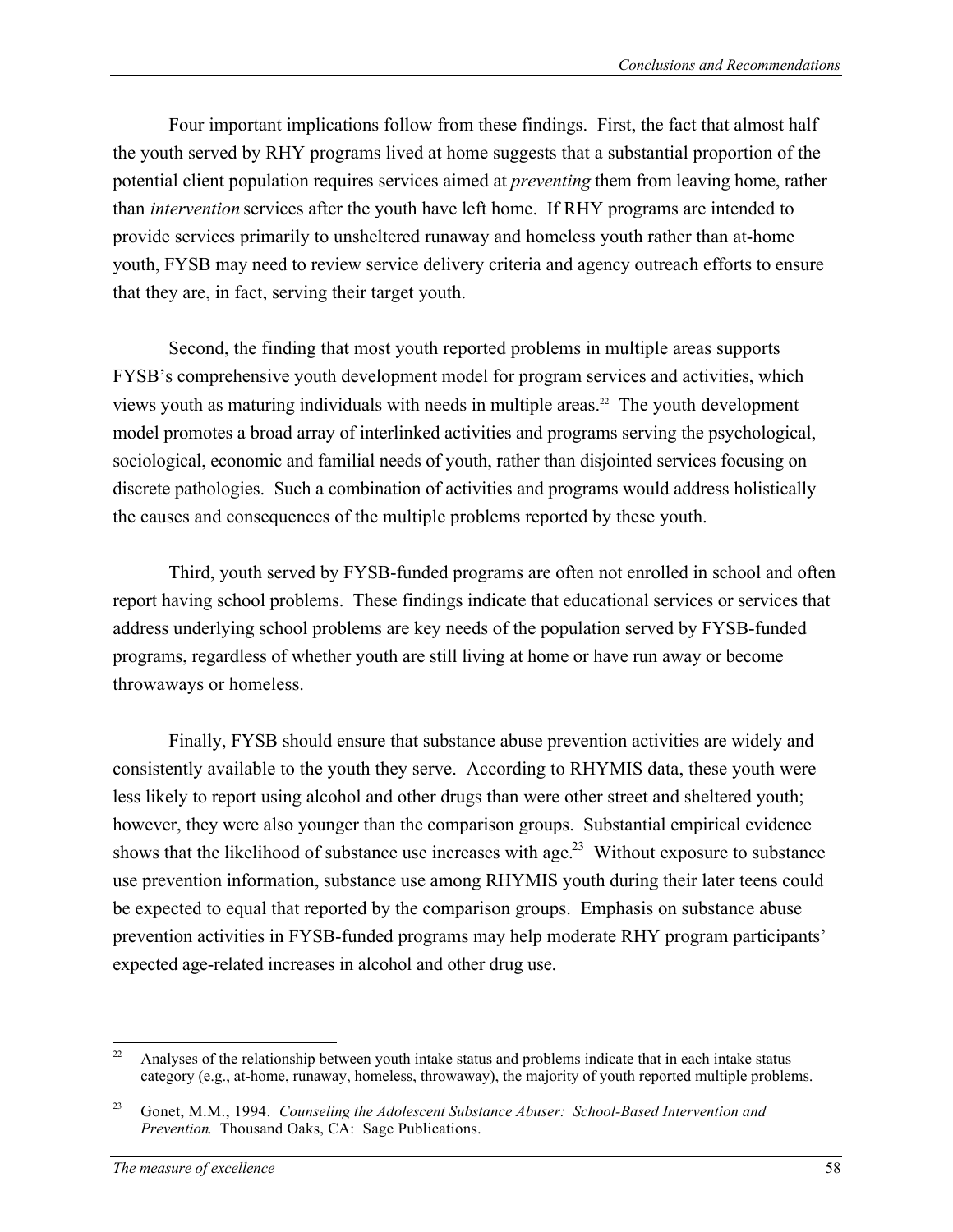Four important implications follow from these findings. First, the fact that almost half the youth served by RHY programs lived at home suggests that a substantial proportion of the potential client population requires services aimed at *preventing* them from leaving home, rather than *intervention* services after the youth have left home. If RHY programs are intended to provide services primarily to unsheltered runaway and homeless youth rather than at-home youth, FYSB may need to review service delivery criteria and agency outreach efforts to ensure that they are, in fact, serving their target youth.

Second, the finding that most youth reported problems in multiple areas supports FYSB's comprehensive youth development model for program services and activities, which views youth as maturing individuals with needs in multiple areas.<sup>22</sup> The youth development model promotes a broad array of interlinked activities and programs serving the psychological, sociological, economic and familial needs of youth, rather than disjointed services focusing on discrete pathologies. Such a combination of activities and programs would address holistically the causes and consequences of the multiple problems reported by these youth.

Third, youth served by FYSB-funded programs are often not enrolled in school and often report having school problems. These findings indicate that educational services or services that address underlying school problems are key needs of the population served by FYSB-funded programs, regardless of whether youth are still living at home or have run away or become throwaways or homeless.

Finally, FYSB should ensure that substance abuse prevention activities are widely and consistently available to the youth they serve. According to RHYMIS data, these youth were less likely to report using alcohol and other drugs than were other street and sheltered youth; however, they were also younger than the comparison groups. Substantial empirical evidence shows that the likelihood of substance use increases with age.<sup>23</sup> Without exposure to substance use prevention information, substance use among RHYMIS youth during their later teens could be expected to equal that reported by the comparison groups. Emphasis on substance abuse prevention activities in FYSB-funded programs may help moderate RHY program participants' expected age-related increases in alcohol and other drug use.

<sup>22</sup> Analyses of the relationship between youth intake status and problems indicate that in each intake status category (e.g., at-home, runaway, homeless, throwaway), the majority of youth reported multiple problems.

<sup>&</sup>lt;sup>23</sup> Gonet, M.M., 1994. *Counseling the Adolescent Substance Abuser: School-Based Intervention and Prevention*. Thousand Oaks, CA: Sage Publications.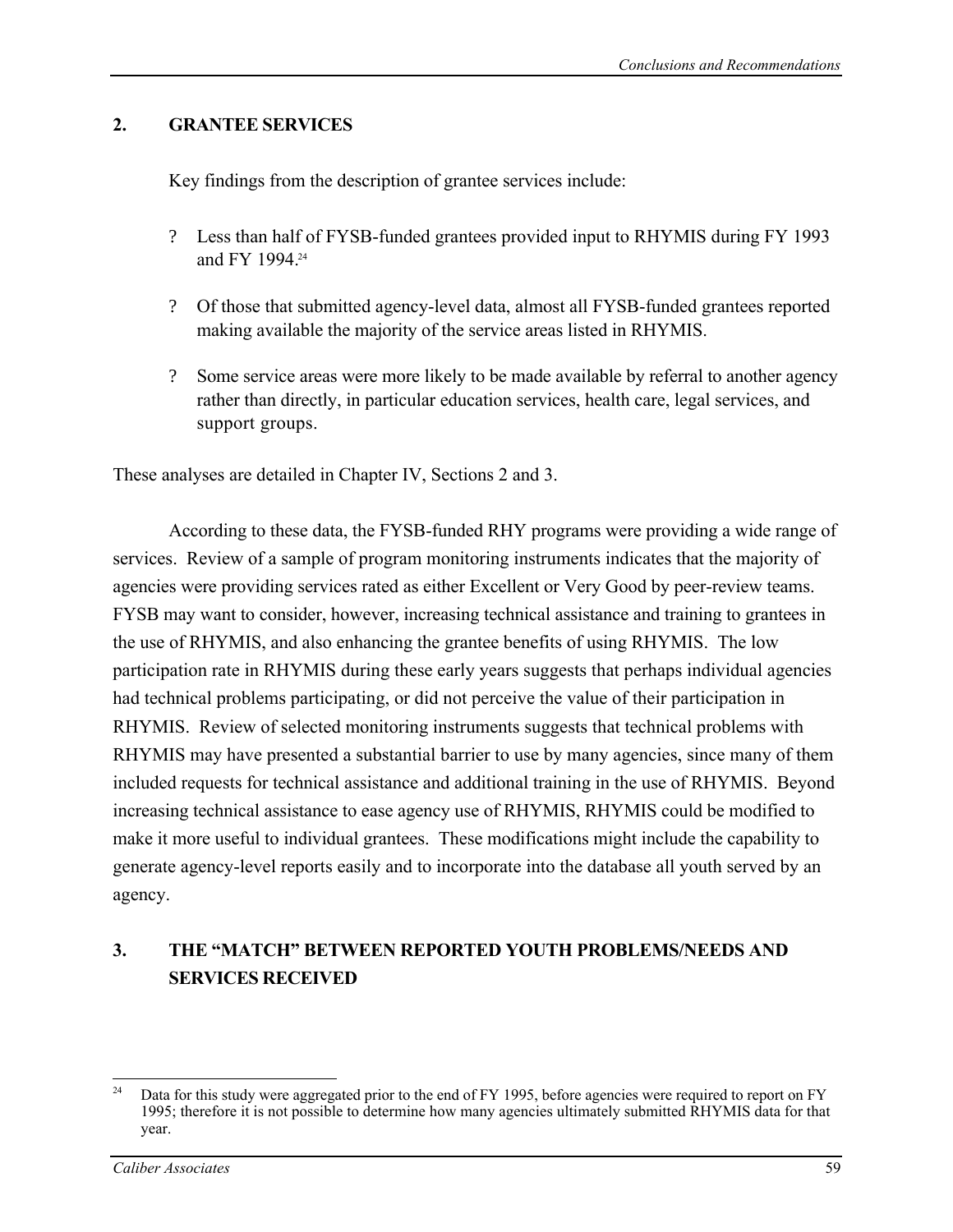# **2. GRANTEE SERVICES**

Key findings from the description of grantee services include:

- ? Less than half of FYSB-funded grantees provided input to RHYMIS during FY 1993 and FY 1994<sup>24</sup>
- ? Of those that submitted agency-level data, almost all FYSB-funded grantees reported making available the majority of the service areas listed in RHYMIS.
- ? Some service areas were more likely to be made available by referral to another agency rather than directly, in particular education services, health care, legal services, and support groups.

These analyses are detailed in Chapter IV, Sections 2 and 3.

According to these data, the FYSB-funded RHY programs were providing a wide range of services. Review of a sample of program monitoring instruments indicates that the majority of agencies were providing services rated as either Excellent or Very Good by peer-review teams. FYSB may want to consider, however, increasing technical assistance and training to grantees in the use of RHYMIS, and also enhancing the grantee benefits of using RHYMIS. The low participation rate in RHYMIS during these early years suggests that perhaps individual agencies had technical problems participating, or did not perceive the value of their participation in RHYMIS. Review of selected monitoring instruments suggests that technical problems with RHYMIS may have presented a substantial barrier to use by many agencies, since many of them included requests for technical assistance and additional training in the use of RHYMIS. Beyond increasing technical assistance to ease agency use of RHYMIS, RHYMIS could be modified to make it more useful to individual grantees. These modifications might include the capability to generate agency-level reports easily and to incorporate into the database all youth served by an agency.

# **3. THE "MATCH" BETWEEN REPORTED YOUTH PROBLEMS/NEEDS AND SERVICES RECEIVED**

 $24$ Data for this study were aggregated prior to the end of FY 1995, before agencies were required to report on FY 1995; therefore it is not possible to determine how many agencies ultimately submitted RHYMIS data for that year.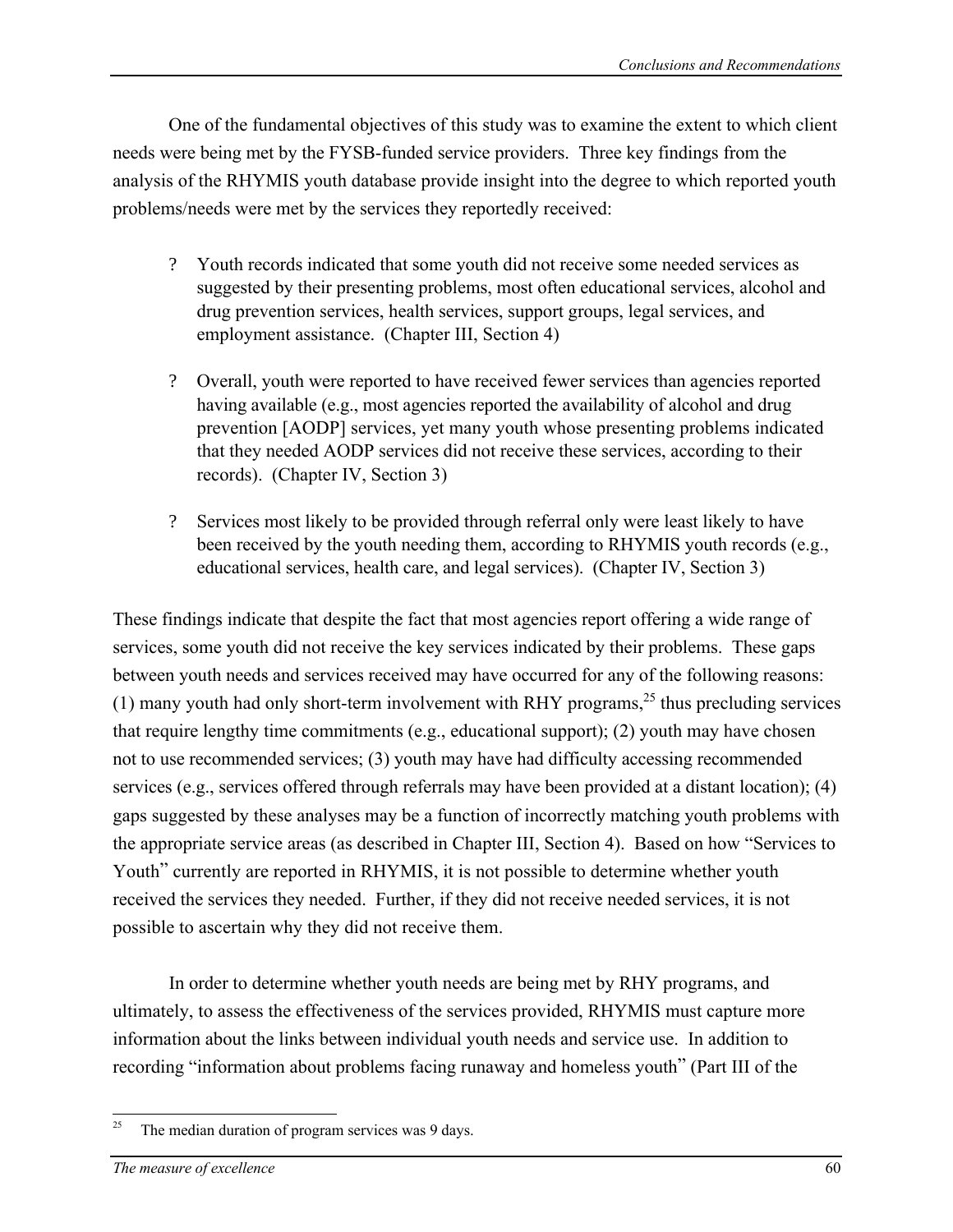One of the fundamental objectives of this study was to examine the extent to which client needs were being met by the FYSB-funded service providers. Three key findings from the analysis of the RHYMIS youth database provide insight into the degree to which reported youth problems/needs were met by the services they reportedly received:

- ? Youth records indicated that some youth did not receive some needed services as suggested by their presenting problems, most often educational services, alcohol and drug prevention services, health services, support groups, legal services, and employment assistance. (Chapter III, Section 4)
- ? Overall, youth were reported to have received fewer services than agencies reported having available (e.g., most agencies reported the availability of alcohol and drug prevention [AODP] services, yet many youth whose presenting problems indicated that they needed AODP services did not receive these services, according to their records). (Chapter IV, Section 3)
- ? Services most likely to be provided through referral only were least likely to have been received by the youth needing them, according to RHYMIS youth records (e.g., educational services, health care, and legal services). (Chapter IV, Section 3)

These findings indicate that despite the fact that most agencies report offering a wide range of services, some youth did not receive the key services indicated by their problems. These gaps between youth needs and services received may have occurred for any of the following reasons: (1) many youth had only short-term involvement with RHY programs,  $^{25}$  thus precluding services that require lengthy time commitments (e.g., educational support); (2) youth may have chosen not to use recommended services; (3) youth may have had difficulty accessing recommended services (e.g., services offered through referrals may have been provided at a distant location); (4) gaps suggested by these analyses may be a function of incorrectly matching youth problems with the appropriate service areas (as described in Chapter III, Section 4). Based on how "Services to Youth" currently are reported in RHYMIS, it is not possible to determine whether youth received the services they needed. Further, if they did not receive needed services, it is not possible to ascertain why they did not receive them.

In order to determine whether youth needs are being met by RHY programs, and ultimately, to assess the effectiveness of the services provided, RHYMIS must capture more information about the links between individual youth needs and service use. In addition to recording "information about problems facing runaway and homeless youth" (Part III of the

 $25\,$ The median duration of program services was 9 days.